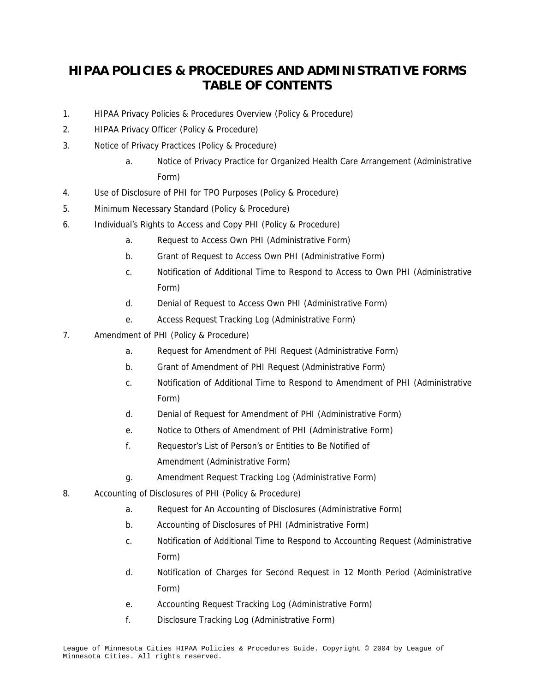# **HIPAA POLICIES & PROCEDURES AND ADMINISTRATIVE FORMS TABLE OF CONTENTS**

- 1. HIPAA Privacy Policies & Procedures Overview (Policy & Procedure)
- 2. HIPAA Privacy Officer (Policy & Procedure)
- 3. Notice of Privacy Practices (Policy & Procedure)
	- a. Notice of Privacy Practice for Organized Health Care Arrangement (Administrative Form)
- 4. Use of Disclosure of PHI for TPO Purposes (Policy & Procedure)
- 5. Minimum Necessary Standard (Policy & Procedure)
- 6. Individual's Rights to Access and Copy PHI (Policy & Procedure)
	- a. Request to Access Own PHI (Administrative Form)
	- b. Grant of Request to Access Own PHI (Administrative Form)
	- c. Notification of Additional Time to Respond to Access to Own PHI (Administrative Form)
	- d. Denial of Request to Access Own PHI (Administrative Form)
	- e. Access Request Tracking Log (Administrative Form)
- 7. Amendment of PHI (Policy & Procedure)
	- a. Request for Amendment of PHI Request (Administrative Form)
	- b. Grant of Amendment of PHI Request (Administrative Form)
	- c. Notification of Additional Time to Respond to Amendment of PHI (Administrative Form)
	- d. Denial of Request for Amendment of PHI (Administrative Form)
	- e. Notice to Others of Amendment of PHI (Administrative Form)
	- f. Requestor's List of Person's or Entities to Be Notified of Amendment (Administrative Form)
	- g. Amendment Request Tracking Log (Administrative Form)
- 8. Accounting of Disclosures of PHI (Policy & Procedure)
	- a. Request for An Accounting of Disclosures (Administrative Form)
	- b. Accounting of Disclosures of PHI (Administrative Form)
	- c. Notification of Additional Time to Respond to Accounting Request (Administrative Form)
	- d. Notification of Charges for Second Request in 12 Month Period (Administrative Form)
	- e. Accounting Request Tracking Log (Administrative Form)
	- f. Disclosure Tracking Log (Administrative Form)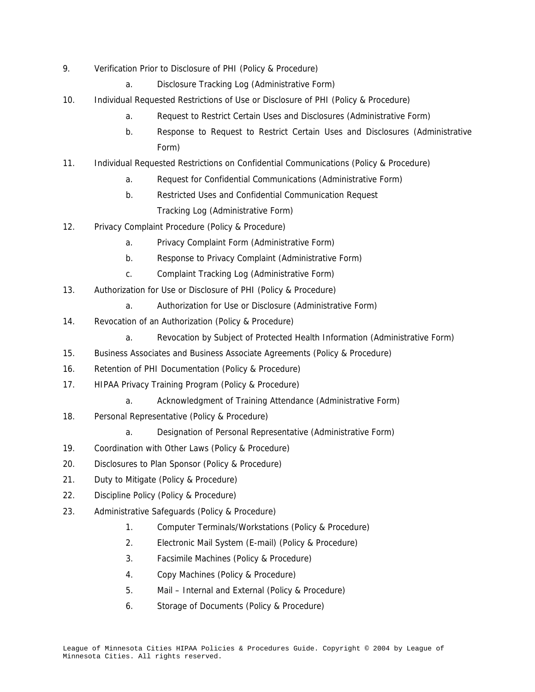- 9. Verification Prior to Disclosure of PHI (Policy & Procedure)
	- a. Disclosure Tracking Log (Administrative Form)
- 10. Individual Requested Restrictions of Use or Disclosure of PHI (Policy & Procedure)
	- a. Request to Restrict Certain Uses and Disclosures (Administrative Form)
	- b. Response to Request to Restrict Certain Uses and Disclosures (Administrative Form)
- 11. Individual Requested Restrictions on Confidential Communications (Policy & Procedure)
	- a. Request for Confidential Communications (Administrative Form)
	- b. Restricted Uses and Confidential Communication Request Tracking Log (Administrative Form)
- 12. Privacy Complaint Procedure (Policy & Procedure)
	- a. Privacy Complaint Form (Administrative Form)
	- b. Response to Privacy Complaint (Administrative Form)
	- c. Complaint Tracking Log (Administrative Form)
- 13. Authorization for Use or Disclosure of PHI (Policy & Procedure)
	- a. Authorization for Use or Disclosure (Administrative Form)
- 14. Revocation of an Authorization (Policy & Procedure)
	- a. Revocation by Subject of Protected Health Information (Administrative Form)
- 15. Business Associates and Business Associate Agreements (Policy & Procedure)
- 16. Retention of PHI Documentation (Policy & Procedure)
- 17. HIPAA Privacy Training Program (Policy & Procedure)
	- a. Acknowledgment of Training Attendance (Administrative Form)
- 18. Personal Representative (Policy & Procedure)
	- a. Designation of Personal Representative (Administrative Form)
- 19. Coordination with Other Laws (Policy & Procedure)
- 20. Disclosures to Plan Sponsor (Policy & Procedure)
- 21. Duty to Mitigate (Policy & Procedure)
- 22. Discipline Policy (Policy & Procedure)
- 23. Administrative Safeguards (Policy & Procedure)
	- 1. Computer Terminals/Workstations (Policy & Procedure)
	- 2. Electronic Mail System (E-mail) (Policy & Procedure)
	- 3. Facsimile Machines (Policy & Procedure)
	- 4. Copy Machines (Policy & Procedure)
	- 5. Mail Internal and External (Policy & Procedure)
	- 6. Storage of Documents (Policy & Procedure)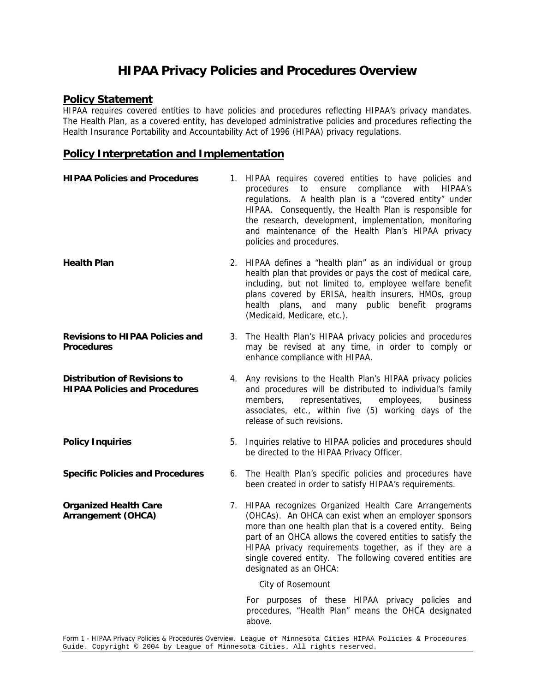# **HIPAA Privacy Policies and Procedures Overview**

## **Policy Statement**

HIPAA requires covered entities to have policies and procedures reflecting HIPAA's privacy mandates. The Health Plan, as a covered entity, has developed administrative policies and procedures reflecting the Health Insurance Portability and Accountability Act of 1996 (HIPAA) privacy regulations.

## **Policy Interpretation and Implementation**

| <b>HIPAA Policies and Procedures</b>                                        |    | 1. HIPAA requires covered entities to have policies and<br>compliance<br>HIPAA'S<br>procedures<br>to<br>ensure<br>with<br>A health plan is a "covered entity" under<br>regulations.<br>HIPAA. Consequently, the Health Plan is responsible for<br>the research, development, implementation, monitoring<br>and maintenance of the Health Plan's HIPAA privacy<br>policies and procedures. |
|-----------------------------------------------------------------------------|----|-------------------------------------------------------------------------------------------------------------------------------------------------------------------------------------------------------------------------------------------------------------------------------------------------------------------------------------------------------------------------------------------|
| <b>Health Plan</b>                                                          |    | 2. HIPAA defines a "health plan" as an individual or group<br>health plan that provides or pays the cost of medical care,<br>including, but not limited to, employee welfare benefit<br>plans covered by ERISA, health insurers, HMOs, group<br>health plans, and many public benefit programs<br>(Medicaid, Medicare, etc.).                                                             |
| <b>Revisions to HIPAA Policies and</b><br><b>Procedures</b>                 |    | 3. The Health Plan's HIPAA privacy policies and procedures<br>may be revised at any time, in order to comply or<br>enhance compliance with HIPAA.                                                                                                                                                                                                                                         |
| <b>Distribution of Revisions to</b><br><b>HIPAA Policies and Procedures</b> |    | 4. Any revisions to the Health Plan's HIPAA privacy policies<br>and procedures will be distributed to individual's family<br>employees,<br>business<br>members.<br>representatives,<br>associates, etc., within five (5) working days of the<br>release of such revisions.                                                                                                                |
| <b>Policy Inquiries</b>                                                     | 5. | Inquiries relative to HIPAA policies and procedures should<br>be directed to the HIPAA Privacy Officer.                                                                                                                                                                                                                                                                                   |
| <b>Specific Policies and Procedures</b>                                     |    | 6. The Health Plan's specific policies and procedures have<br>been created in order to satisfy HIPAA's requirements.                                                                                                                                                                                                                                                                      |
| <b>Organized Health Care</b><br><b>Arrangement (OHCA)</b>                   |    | 7. HIPAA recognizes Organized Health Care Arrangements<br>(OHCAs). An OHCA can exist when an employer sponsors<br>more than one health plan that is a covered entity. Being<br>part of an OHCA allows the covered entities to satisfy the<br>HIPAA privacy requirements together, as if they are a<br>single covered entity. The following covered entities are<br>designated as an OHCA: |
|                                                                             |    | City of Rosemount                                                                                                                                                                                                                                                                                                                                                                         |
|                                                                             |    | For purposes of these HIPAA privacy policies and<br>procedures, "Health Plan" means the OHCA designated<br>above.                                                                                                                                                                                                                                                                         |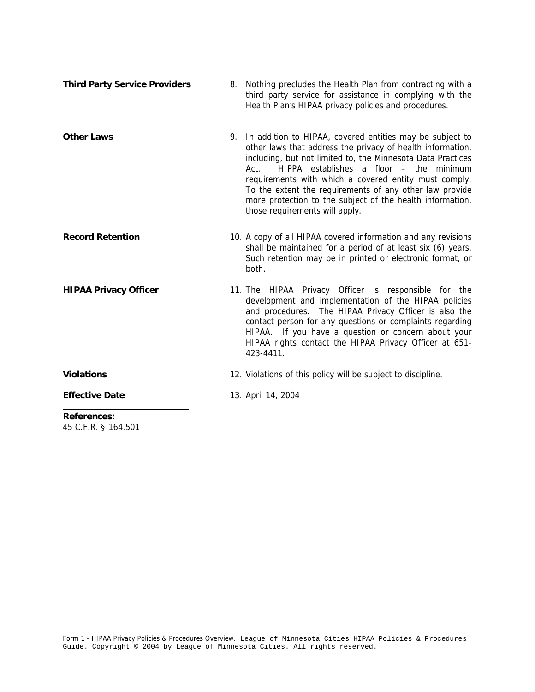| <b>Third Party Service Providers</b>      | 8. Nothing precludes the Health Plan from contracting with a<br>third party service for assistance in complying with the<br>Health Plan's HIPAA privacy policies and procedures.                                                                                                                                                                                                                                                                               |
|-------------------------------------------|----------------------------------------------------------------------------------------------------------------------------------------------------------------------------------------------------------------------------------------------------------------------------------------------------------------------------------------------------------------------------------------------------------------------------------------------------------------|
| <b>Other Laws</b>                         | 9. In addition to HIPAA, covered entities may be subject to<br>other laws that address the privacy of health information,<br>including, but not limited to, the Minnesota Data Practices<br>HIPPA establishes a floor - the minimum<br>Act.<br>requirements with which a covered entity must comply.<br>To the extent the requirements of any other law provide<br>more protection to the subject of the health information,<br>those requirements will apply. |
| <b>Record Retention</b>                   | 10. A copy of all HIPAA covered information and any revisions<br>shall be maintained for a period of at least six (6) years.<br>Such retention may be in printed or electronic format, or<br>both.                                                                                                                                                                                                                                                             |
| <b>HIPAA Privacy Officer</b>              | 11. The HIPAA Privacy Officer is responsible for the<br>development and implementation of the HIPAA policies<br>and procedures. The HIPAA Privacy Officer is also the<br>contact person for any questions or complaints regarding<br>HIPAA. If you have a question or concern about your<br>HIPAA rights contact the HIPAA Privacy Officer at 651-<br>423-4411.                                                                                                |
| <b>Violations</b>                         | 12. Violations of this policy will be subject to discipline.                                                                                                                                                                                                                                                                                                                                                                                                   |
| <b>Effective Date</b>                     | 13. April 14, 2004                                                                                                                                                                                                                                                                                                                                                                                                                                             |
| <b>References:</b><br>45 C.F.R. § 164.501 |                                                                                                                                                                                                                                                                                                                                                                                                                                                                |

Form 1 - HIPAA Privacy Policies & Procedures Overview. League of Minnesota Cities HIPAA Policies & Procedures Guide. Copyright © 2004 by League of Minnesota Cities. All rights reserved.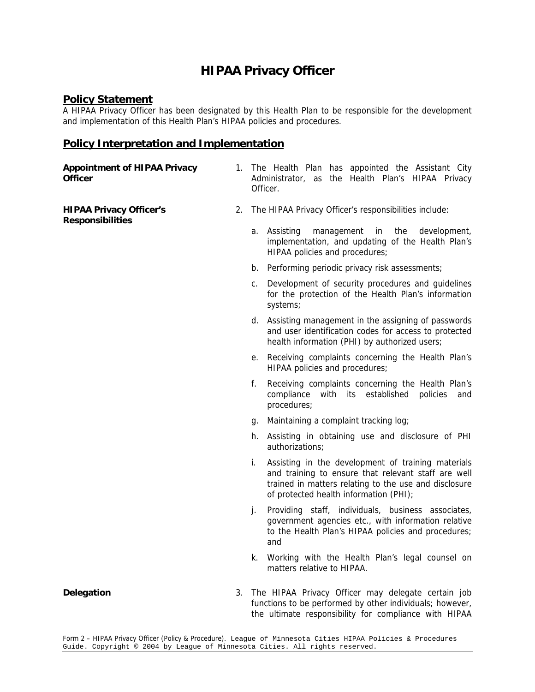# **HIPAA Privacy Officer**

### **Policy Statement**

A HIPAA Privacy Officer has been designated by this Health Plan to be responsible for the development and implementation of this Health Plan's HIPAA policies and procedures.

### **Policy Interpretation and Implementation**

| <b>Appointment of HIPAA Privacy</b> |  |
|-------------------------------------|--|
| <b>Officer</b>                      |  |

**HIPAA Privacy Officer's Responsibilities** 

- 1. The Health Plan has appointed the Assistant City Administrator, as the Health Plan's HIPAA Privacy Officer.
- 2. The HIPAA Privacy Officer's responsibilities include:
	- a. Assisting management in the development, implementation, and updating of the Health Plan's HIPAA policies and procedures;
	- b. Performing periodic privacy risk assessments;
	- c. Development of security procedures and guidelines for the protection of the Health Plan's information systems;
	- d. Assisting management in the assigning of passwords and user identification codes for access to protected health information (PHI) by authorized users;
	- e. Receiving complaints concerning the Health Plan's HIPAA policies and procedures;
	- f. Receiving complaints concerning the Health Plan's compliance with its established policies and procedures;
	- g. Maintaining a complaint tracking log;
	- h. Assisting in obtaining use and disclosure of PHI authorizations;
	- i. Assisting in the development of training materials and training to ensure that relevant staff are well trained in matters relating to the use and disclosure of protected health information (PHI);
	- j. Providing staff, individuals, business associates, government agencies etc., with information relative to the Health Plan's HIPAA policies and procedures; and
	- k. Working with the Health Plan's legal counsel on matters relative to HIPAA.
- **Delegation 3. The HIPAA Privacy Officer may delegate certain job** functions to be performed by other individuals; however, the ultimate responsibility for compliance with HIPAA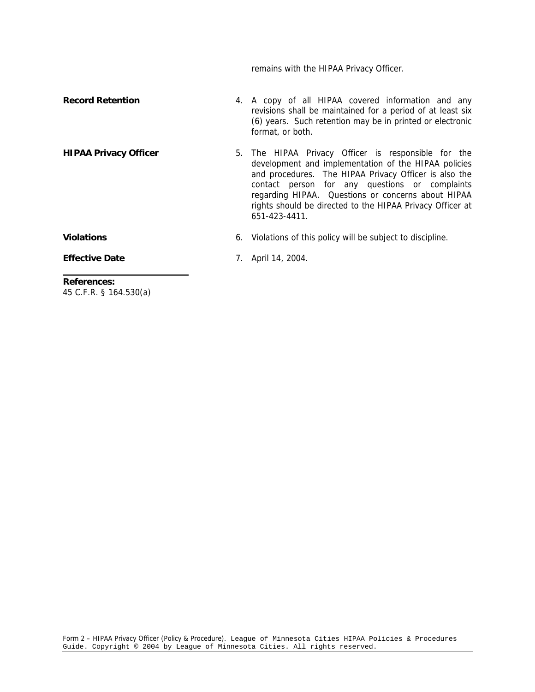remains with the HIPAA Privacy Officer.

| <b>Record Retention</b>      |    | 4. A copy of all HIPAA covered information and any<br>revisions shall be maintained for a period of at least six<br>(6) years. Such retention may be in printed or electronic<br>format, or both.                                                                                                                                                          |
|------------------------------|----|------------------------------------------------------------------------------------------------------------------------------------------------------------------------------------------------------------------------------------------------------------------------------------------------------------------------------------------------------------|
| <b>HIPAA Privacy Officer</b> |    | 5. The HIPAA Privacy Officer is responsible for the<br>development and implementation of the HIPAA policies<br>and procedures. The HIPAA Privacy Officer is also the<br>contact person for any questions or complaints<br>regarding HIPAA. Questions or concerns about HIPAA<br>rights should be directed to the HIPAA Privacy Officer at<br>651-423-4411. |
| <b>Violations</b>            |    | 6. Violations of this policy will be subject to discipline.                                                                                                                                                                                                                                                                                                |
| <b>Effective Date</b>        | 7. | April 14, 2004.                                                                                                                                                                                                                                                                                                                                            |
|                              |    |                                                                                                                                                                                                                                                                                                                                                            |

**References:**  45 C.F.R. § 164.530(a)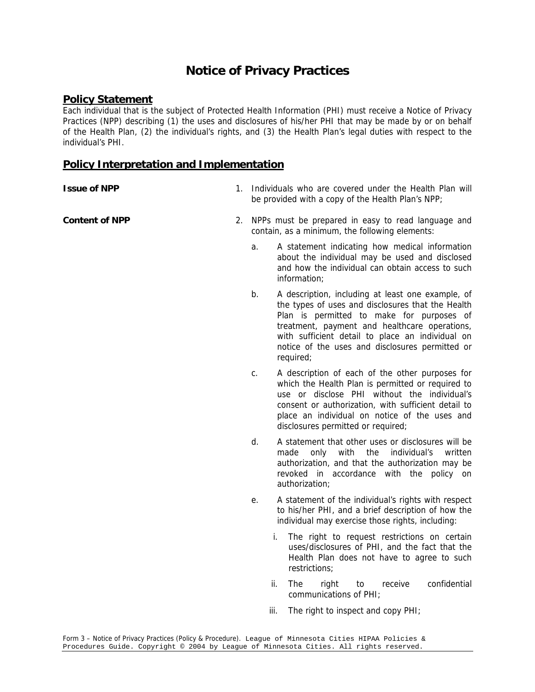# **Notice of Privacy Practices**

### **Policy Statement**

Each individual that is the subject of Protected Health Information (PHI) must receive a Notice of Privacy Practices (NPP) describing (1) the uses and disclosures of his/her PHI that may be made by or on behalf of the Health Plan, (2) the individual's rights, and (3) the Health Plan's legal duties with respect to the individual's PHI.

## **Policy Interpretation and Implementation**

- **Issue of NPP** 1. Individuals who are covered under the Health Plan will be provided with a copy of the Health Plan's NPP;
- 
- **Content of NPP** 2. NPPs must be prepared in easy to read language and contain, as a minimum, the following elements:
	- a. A statement indicating how medical information about the individual may be used and disclosed and how the individual can obtain access to such information;
	- b. A description, including at least one example, of the types of uses and disclosures that the Health Plan is permitted to make for purposes of treatment, payment and healthcare operations, with sufficient detail to place an individual on notice of the uses and disclosures permitted or required;
	- c. A description of each of the other purposes for which the Health Plan is permitted or required to use or disclose PHI without the individual's consent or authorization, with sufficient detail to place an individual on notice of the uses and disclosures permitted or required;
	- d. A statement that other uses or disclosures will be made only with the individual's written authorization, and that the authorization may be revoked in accordance with the policy on authorization;
	- e. A statement of the individual's rights with respect to his/her PHI, and a brief description of how the individual may exercise those rights, including:
		- i. The right to request restrictions on certain uses/disclosures of PHI, and the fact that the Health Plan does not have to agree to such restrictions;
		- ii. The right to receive confidential communications of PHI;
		- iii. The right to inspect and copy PHI;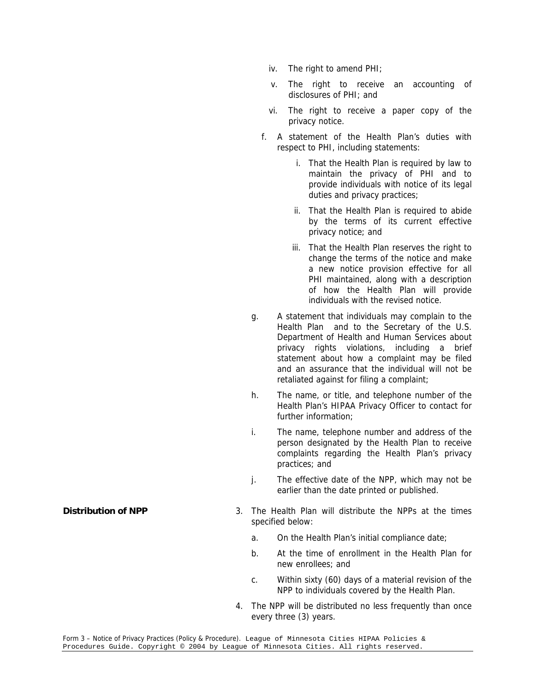- iv. The right to amend PHI;
- v. The right to receive an accounting of disclosures of PHI; and
- vi. The right to receive a paper copy of the privacy notice.
- f. A statement of the Health Plan's duties with respect to PHI, including statements:
	- i. That the Health Plan is required by law to maintain the privacy of PHI and to provide individuals with notice of its legal duties and privacy practices;
	- ii. That the Health Plan is required to abide by the terms of its current effective privacy notice; and
	- iii. That the Health Plan reserves the right to change the terms of the notice and make a new notice provision effective for all PHI maintained, along with a description of how the Health Plan will provide individuals with the revised notice.
- g. A statement that individuals may complain to the Health Plan and to the Secretary of the U.S. Department of Health and Human Services about privacy rights violations, including a brief statement about how a complaint may be filed and an assurance that the individual will not be retaliated against for filing a complaint;
- h. The name, or title, and telephone number of the Health Plan's HIPAA Privacy Officer to contact for further information;
- i. The name, telephone number and address of the person designated by the Health Plan to receive complaints regarding the Health Plan's privacy practices; and
- j. The effective date of the NPP, which may not be earlier than the date printed or published.
- **Distribution of NPP** 3. The Health Plan will distribute the NPPs at the times specified below:
	- a. On the Health Plan's initial compliance date;
	- b. At the time of enrollment in the Health Plan for new enrollees; and
	- c. Within sixty (60) days of a material revision of the NPP to individuals covered by the Health Plan.
	- 4. The NPP will be distributed no less frequently than once every three (3) years.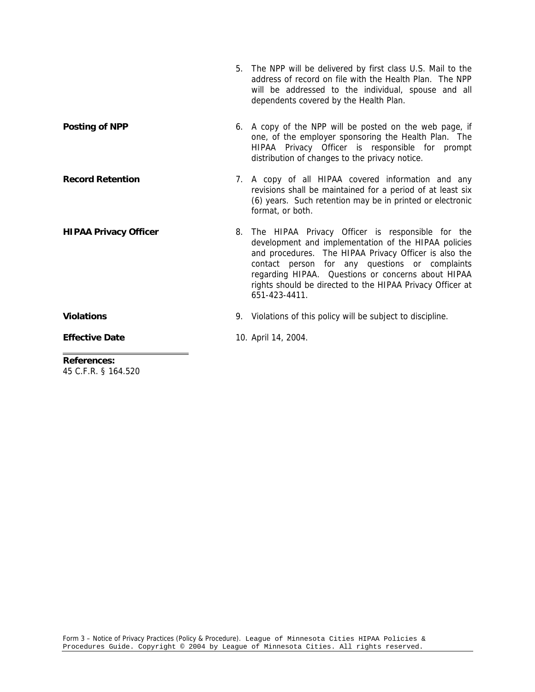|                              | 5. The NPP will be delivered by first class U.S. Mail to the<br>address of record on file with the Health Plan. The NPP<br>will be addressed to the individual, spouse and all<br>dependents covered by the Health Plan.                                                                                                                                   |
|------------------------------|------------------------------------------------------------------------------------------------------------------------------------------------------------------------------------------------------------------------------------------------------------------------------------------------------------------------------------------------------------|
| Posting of NPP               | 6. A copy of the NPP will be posted on the web page, if<br>one, of the employer sponsoring the Health Plan. The<br>HIPAA Privacy Officer is responsible for prompt<br>distribution of changes to the privacy notice.                                                                                                                                       |
| <b>Record Retention</b>      | 7. A copy of all HIPAA covered information and any<br>revisions shall be maintained for a period of at least six<br>(6) years. Such retention may be in printed or electronic<br>format, or both.                                                                                                                                                          |
| <b>HIPAA Privacy Officer</b> | 8. The HIPAA Privacy Officer is responsible for the<br>development and implementation of the HIPAA policies<br>and procedures. The HIPAA Privacy Officer is also the<br>contact person for any questions or complaints<br>regarding HIPAA. Questions or concerns about HIPAA<br>rights should be directed to the HIPAA Privacy Officer at<br>651-423-4411. |
| <b>Violations</b>            | 9. Violations of this policy will be subject to discipline.                                                                                                                                                                                                                                                                                                |
| <b>Effective Date</b>        | 10. April 14, 2004.                                                                                                                                                                                                                                                                                                                                        |
| <b>References:</b>           |                                                                                                                                                                                                                                                                                                                                                            |

45 C.F.R. § 164.520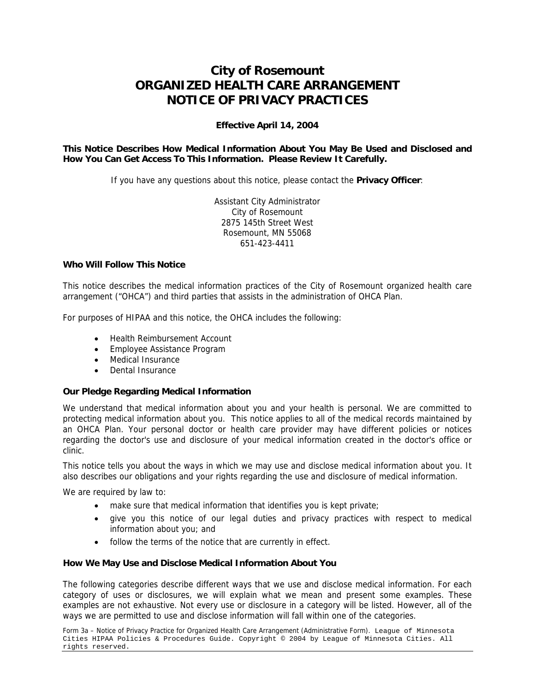# **City of Rosemount ORGANIZED HEALTH CARE ARRANGEMENT NOTICE OF PRIVACY PRACTICES**

### **Effective April 14, 2004**

**This Notice Describes How Medical Information About You May Be Used and Disclosed and How You Can Get Access To This Information. Please Review It Carefully.** 

If you have any questions about this notice, please contact the **Privacy Officer**:

Assistant City Administrator City of Rosemount 2875 145th Street West Rosemount, MN 55068 651-423-4411

### **Who Will Follow This Notice**

This notice describes the medical information practices of the City of Rosemount organized health care arrangement ("OHCA") and third parties that assists in the administration of OHCA Plan.

For purposes of HIPAA and this notice, the OHCA includes the following:

- Health Reimbursement Account
- Employee Assistance Program
- Medical Insurance
- Dental Insurance

### **Our Pledge Regarding Medical Information**

We understand that medical information about you and your health is personal. We are committed to protecting medical information about you. This notice applies to all of the medical records maintained by an OHCA Plan. Your personal doctor or health care provider may have different policies or notices regarding the doctor's use and disclosure of your medical information created in the doctor's office or clinic.

This notice tells you about the ways in which we may use and disclose medical information about you. It also describes our obligations and your rights regarding the use and disclosure of medical information.

We are required by law to:

- make sure that medical information that identifies you is kept private;
- give you this notice of our legal duties and privacy practices with respect to medical information about you; and
- follow the terms of the notice that are currently in effect.

### **How We May Use and Disclose Medical Information About You**

The following categories describe different ways that we use and disclose medical information. For each category of uses or disclosures, we will explain what we mean and present some examples. These examples are not exhaustive. Not every use or disclosure in a category will be listed. However, all of the ways we are permitted to use and disclose information will fall within one of the categories.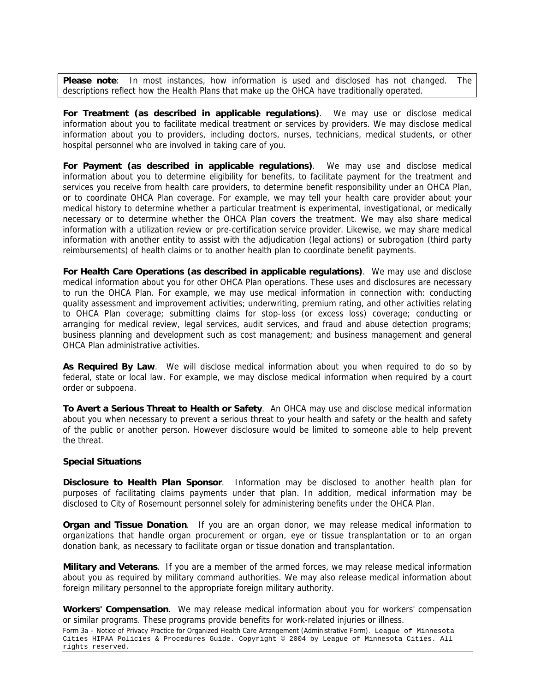**Please note**: In most instances, how information is used and disclosed has not changed. The descriptions reflect how the Health Plans that make up the OHCA have traditionally operated.

**For Treatment (as described in applicable regulations)**. We may use or disclose medical information about you to facilitate medical treatment or services by providers. We may disclose medical information about you to providers, including doctors, nurses, technicians, medical students, or other hospital personnel who are involved in taking care of you.

**For Payment (as described in applicable regulations)**. We may use and disclose medical information about you to determine eligibility for benefits, to facilitate payment for the treatment and services you receive from health care providers, to determine benefit responsibility under an OHCA Plan, or to coordinate OHCA Plan coverage. For example, we may tell your health care provider about your medical history to determine whether a particular treatment is experimental, investigational, or medically necessary or to determine whether the OHCA Plan covers the treatment. We may also share medical information with a utilization review or pre-certification service provider. Likewise, we may share medical information with another entity to assist with the adjudication (legal actions) or subrogation (third party reimbursements) of health claims or to another health plan to coordinate benefit payments.

**For Health Care Operations (as described in applicable regulations)**. We may use and disclose medical information about you for other OHCA Plan operations. These uses and disclosures are necessary to run the OHCA Plan. For example, we may use medical information in connection with: conducting quality assessment and improvement activities; underwriting, premium rating, and other activities relating to OHCA Plan coverage; submitting claims for stop-loss (or excess loss) coverage; conducting or arranging for medical review, legal services, audit services, and fraud and abuse detection programs; business planning and development such as cost management; and business management and general OHCA Plan administrative activities.

**As Required By Law**. We will disclose medical information about you when required to do so by federal, state or local law. For example, we may disclose medical information when required by a court order or subpoena.

**To Avert a Serious Threat to Health or Safety**. An OHCA may use and disclose medical information about you when necessary to prevent a serious threat to your health and safety or the health and safety of the public or another person. However disclosure would be limited to someone able to help prevent the threat.

### **Special Situations**

**Disclosure to Health Plan Sponsor**. Information may be disclosed to another health plan for purposes of facilitating claims payments under that plan. In addition, medical information may be disclosed to City of Rosemount personnel solely for administering benefits under the OHCA Plan.

**Organ and Tissue Donation**. If you are an organ donor, we may release medical information to organizations that handle organ procurement or organ, eye or tissue transplantation or to an organ donation bank, as necessary to facilitate organ or tissue donation and transplantation.

**Military and Veterans**. If you are a member of the armed forces, we may release medical information about you as required by military command authorities. We may also release medical information about foreign military personnel to the appropriate foreign military authority.

**Workers' Compensation**. We may release medical information about you for workers' compensation or similar programs. These programs provide benefits for work-related injuries or illness.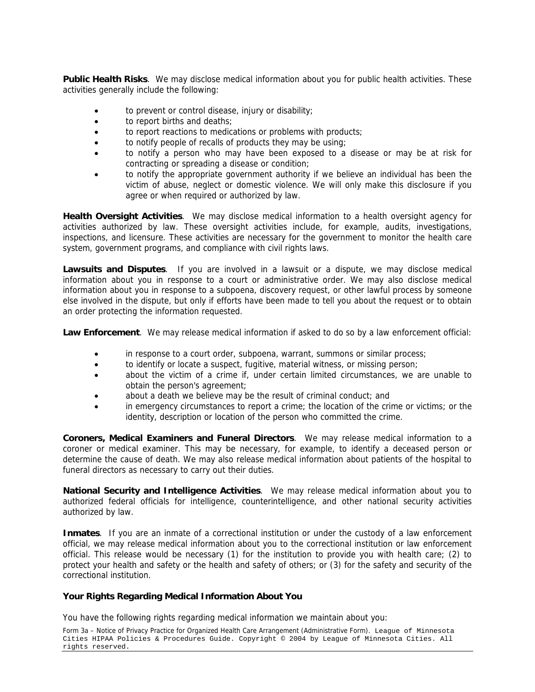**Public Health Risks**. We may disclose medical information about you for public health activities. These activities generally include the following:

- to prevent or control disease, injury or disability;
- to report births and deaths;
- to report reactions to medications or problems with products;
- to notify people of recalls of products they may be using;
- to notify a person who may have been exposed to a disease or may be at risk for contracting or spreading a disease or condition;
- to notify the appropriate government authority if we believe an individual has been the victim of abuse, neglect or domestic violence. We will only make this disclosure if you agree or when required or authorized by law.

**Health Oversight Activities**. We may disclose medical information to a health oversight agency for activities authorized by law. These oversight activities include, for example, audits, investigations, inspections, and licensure. These activities are necessary for the government to monitor the health care system, government programs, and compliance with civil rights laws.

**Lawsuits and Disputes**. If you are involved in a lawsuit or a dispute, we may disclose medical information about you in response to a court or administrative order. We may also disclose medical information about you in response to a subpoena, discovery request, or other lawful process by someone else involved in the dispute, but only if efforts have been made to tell you about the request or to obtain an order protecting the information requested.

**Law Enforcement**. We may release medical information if asked to do so by a law enforcement official:

- in response to a court order, subpoena, warrant, summons or similar process;
- to identify or locate a suspect, fugitive, material witness, or missing person;
- about the victim of a crime if, under certain limited circumstances, we are unable to obtain the person's agreement;
- about a death we believe may be the result of criminal conduct; and
- in emergency circumstances to report a crime; the location of the crime or victims; or the identity, description or location of the person who committed the crime.

**Coroners, Medical Examiners and Funeral Directors**. We may release medical information to a coroner or medical examiner. This may be necessary, for example, to identify a deceased person or determine the cause of death. We may also release medical information about patients of the hospital to funeral directors as necessary to carry out their duties.

**National Security and Intelligence Activities**. We may release medical information about you to authorized federal officials for intelligence, counterintelligence, and other national security activities authorized by law.

**Inmates**. If you are an inmate of a correctional institution or under the custody of a law enforcement official, we may release medical information about you to the correctional institution or law enforcement official. This release would be necessary (1) for the institution to provide you with health care; (2) to protect your health and safety or the health and safety of others; or (3) for the safety and security of the correctional institution.

### **Your Rights Regarding Medical Information About You**

You have the following rights regarding medical information we maintain about you: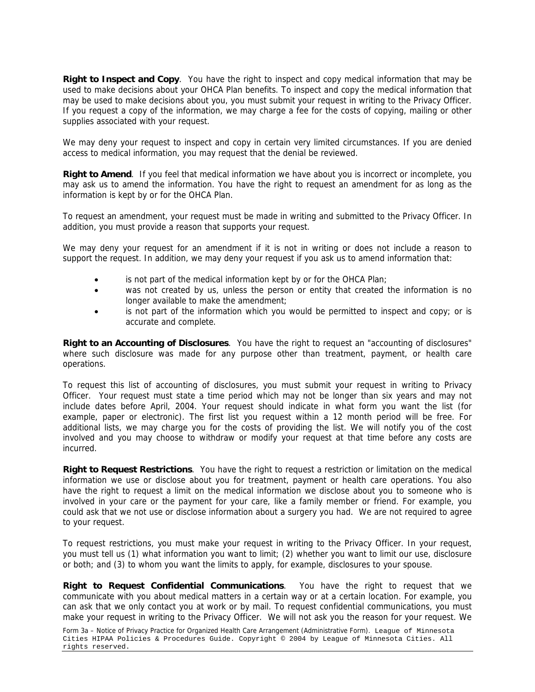**Right to Inspect and Copy**. You have the right to inspect and copy medical information that may be used to make decisions about your OHCA Plan benefits. To inspect and copy the medical information that may be used to make decisions about you, you must submit your request in writing to the Privacy Officer. If you request a copy of the information, we may charge a fee for the costs of copying, mailing or other supplies associated with your request.

We may deny your request to inspect and copy in certain very limited circumstances. If you are denied access to medical information, you may request that the denial be reviewed.

**Right to Amend**. If you feel that medical information we have about you is incorrect or incomplete, you may ask us to amend the information. You have the right to request an amendment for as long as the information is kept by or for the OHCA Plan.

To request an amendment, your request must be made in writing and submitted to the Privacy Officer. In addition, you must provide a reason that supports your request.

We may deny your request for an amendment if it is not in writing or does not include a reason to support the request. In addition, we may deny your request if you ask us to amend information that:

- is not part of the medical information kept by or for the OHCA Plan;
- was not created by us, unless the person or entity that created the information is no longer available to make the amendment;
- is not part of the information which you would be permitted to inspect and copy; or is accurate and complete.

**Right to an Accounting of Disclosures**. You have the right to request an "accounting of disclosures" where such disclosure was made for any purpose other than treatment, payment, or health care operations.

To request this list of accounting of disclosures, you must submit your request in writing to Privacy Officer. Your request must state a time period which may not be longer than six years and may not include dates before April, 2004. Your request should indicate in what form you want the list (for example, paper or electronic). The first list you request within a 12 month period will be free. For additional lists, we may charge you for the costs of providing the list. We will notify you of the cost involved and you may choose to withdraw or modify your request at that time before any costs are incurred.

**Right to Request Restrictions**. You have the right to request a restriction or limitation on the medical information we use or disclose about you for treatment, payment or health care operations. You also have the right to request a limit on the medical information we disclose about you to someone who is involved in your care or the payment for your care, like a family member or friend. For example, you could ask that we not use or disclose information about a surgery you had. We are not required to agree to your request.

To request restrictions, you must make your request in writing to the Privacy Officer. In your request, you must tell us (1) what information you want to limit; (2) whether you want to limit our use, disclosure or both; and (3) to whom you want the limits to apply, for example, disclosures to your spouse.

**Right to Request Confidential Communications**. You have the right to request that we communicate with you about medical matters in a certain way or at a certain location. For example, you can ask that we only contact you at work or by mail. To request confidential communications, you must make your request in writing to the Privacy Officer. We will not ask you the reason for your request. We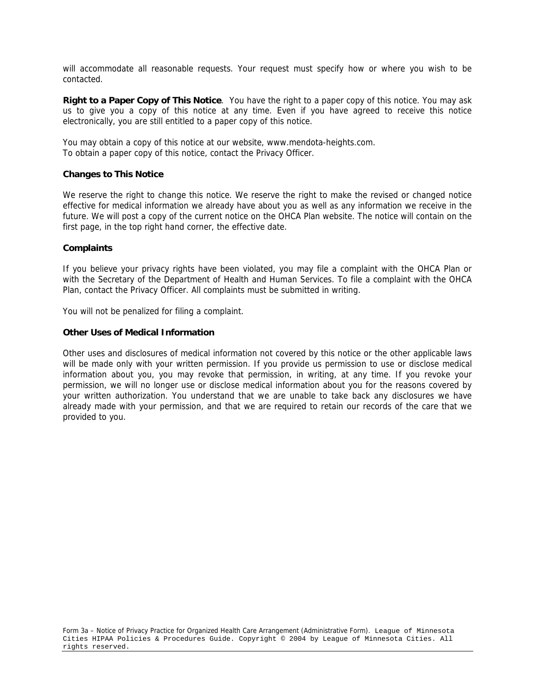will accommodate all reasonable requests. Your request must specify how or where you wish to be contacted.

**Right to a Paper Copy of This Notice**. You have the right to a paper copy of this notice. You may ask us to give you a copy of this notice at any time. Even if you have agreed to receive this notice electronically, you are still entitled to a paper copy of this notice.

You may obtain a copy of this notice at our website, www.mendota-heights.com. To obtain a paper copy of this notice, contact the Privacy Officer.

#### **Changes to This Notice**

We reserve the right to change this notice. We reserve the right to make the revised or changed notice effective for medical information we already have about you as well as any information we receive in the future. We will post a copy of the current notice on the OHCA Plan website. The notice will contain on the first page, in the top right hand corner, the effective date.

#### **Complaints**

If you believe your privacy rights have been violated, you may file a complaint with the OHCA Plan or with the Secretary of the Department of Health and Human Services. To file a complaint with the OHCA Plan, contact the Privacy Officer. All complaints must be submitted in writing.

You will not be penalized for filing a complaint.

#### **Other Uses of Medical Information**

Other uses and disclosures of medical information not covered by this notice or the other applicable laws will be made only with your written permission. If you provide us permission to use or disclose medical information about you, you may revoke that permission, in writing, at any time. If you revoke your permission, we will no longer use or disclose medical information about you for the reasons covered by your written authorization. You understand that we are unable to take back any disclosures we have already made with your permission, and that we are required to retain our records of the care that we provided to you.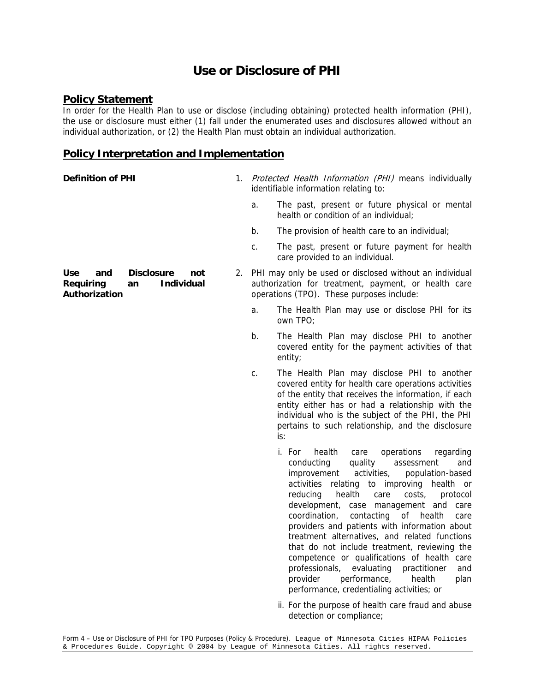## **Use or Disclosure of PHI**

## **Policy Statement**

In order for the Health Plan to use or disclose (including obtaining) protected health information (PHI), the use or disclosure must either (1) fall under the enumerated uses and disclosures allowed without an individual authorization, or (2) the Health Plan must obtain an individual authorization.

## **Policy Interpretation and Implementation**

| <b>Definition of PHI</b>                        |                                                     | 1. | Protected Health Information (PHI) means individually<br>identifiable information relating to: |                                                                                                                                                                                                                                                                                                                                                                                                                                                                                                                                                                                                                  |  |  |
|-------------------------------------------------|-----------------------------------------------------|----|------------------------------------------------------------------------------------------------|------------------------------------------------------------------------------------------------------------------------------------------------------------------------------------------------------------------------------------------------------------------------------------------------------------------------------------------------------------------------------------------------------------------------------------------------------------------------------------------------------------------------------------------------------------------------------------------------------------------|--|--|
|                                                 |                                                     |    | a.                                                                                             | The past, present or future physical or mental<br>health or condition of an individual;                                                                                                                                                                                                                                                                                                                                                                                                                                                                                                                          |  |  |
|                                                 |                                                     |    | b.                                                                                             | The provision of health care to an individual;                                                                                                                                                                                                                                                                                                                                                                                                                                                                                                                                                                   |  |  |
|                                                 |                                                     |    | $C_{1}$                                                                                        | The past, present or future payment for health<br>care provided to an individual.                                                                                                                                                                                                                                                                                                                                                                                                                                                                                                                                |  |  |
| <b>Use</b><br>and<br>Requiring<br>Authorization | <b>Disclosure</b><br>not<br><b>Individual</b><br>an |    |                                                                                                | 2. PHI may only be used or disclosed without an individual<br>authorization for treatment, payment, or health care<br>operations (TPO). These purposes include:                                                                                                                                                                                                                                                                                                                                                                                                                                                  |  |  |
|                                                 |                                                     |    | a.                                                                                             | The Health Plan may use or disclose PHI for its<br>own TPO;                                                                                                                                                                                                                                                                                                                                                                                                                                                                                                                                                      |  |  |
|                                                 |                                                     |    | b.                                                                                             | The Health Plan may disclose PHI to another<br>covered entity for the payment activities of that<br>entity;                                                                                                                                                                                                                                                                                                                                                                                                                                                                                                      |  |  |
|                                                 |                                                     |    | C.                                                                                             | The Health Plan may disclose PHI to another<br>covered entity for health care operations activities<br>of the entity that receives the information, if each<br>entity either has or had a relationship with the<br>individual who is the subject of the PHI, the PHI<br>pertains to such relationship, and the disclosure<br>is:                                                                                                                                                                                                                                                                                 |  |  |
|                                                 |                                                     |    |                                                                                                | health<br>operations<br>i. For<br>care<br>regarding<br>conducting<br>assessment<br>quality<br>and<br>activities,<br>improvement<br>population-based<br>relating to improving health or<br>activities<br>reducing<br>health<br>costs,<br>care<br>protocol<br>development, case management and<br>care<br>coordination,<br>contacting<br>of<br>health<br>care<br>providers and patients with information about<br>treatment alternatives, and related functions<br>that do not include treatment, reviewing the<br>competence or qualifications of health care<br>professionals, evaluating<br>practitioner<br>and |  |  |

ii. For the purpose of health care fraud and abuse detection or compliance;

performance, credentialing activities; or

provider performance, health plan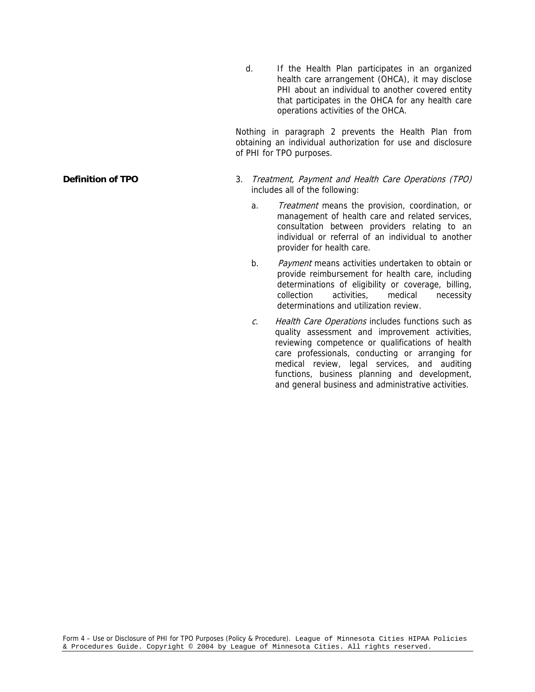d. If the Health Plan participates in an organized health care arrangement (OHCA), it may disclose PHI about an individual to another covered entity that participates in the OHCA for any health care operations activities of the OHCA.

Nothing in paragraph 2 prevents the Health Plan from obtaining an individual authorization for use and disclosure of PHI for TPO purposes.

- **Definition of TPO** 3. Treatment, Payment and Health Care Operations (TPO) includes all of the following:
	- a. Treatment means the provision, coordination, or management of health care and related services, consultation between providers relating to an individual or referral of an individual to another provider for health care.
	- b. Payment means activities undertaken to obtain or provide reimbursement for health care, including determinations of eligibility or coverage, billing, collection activities, medical necessity determinations and utilization review.
	- c. Health Care Operations includes functions such as quality assessment and improvement activities, reviewing competence or qualifications of health care professionals, conducting or arranging for medical review, legal services, and auditing functions, business planning and development, and general business and administrative activities.

Form 4 – Use or Disclosure of PHI for TPO Purposes (Policy & Procedure). League of Minnesota Cities HIPAA Policies & Procedures Guide. Copyright © 2004 by League of Minnesota Cities. All rights reserved.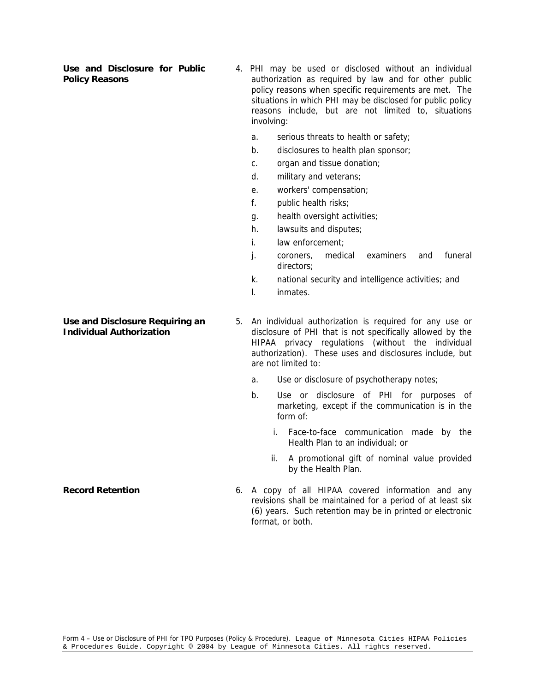**Use and Disclosure for Public Policy Reasons**

- 4. PHI may be used or disclosed without an individual authorization as required by law and for other public policy reasons when specific requirements are met. The situations in which PHI may be disclosed for public policy reasons include, but are not limited to, situations involving:
	- a. serious threats to health or safety;
	- b. disclosures to health plan sponsor;
	- c. organ and tissue donation;
	- d. military and veterans;
	- e. workers' compensation;
	- f. public health risks;
	- g. health oversight activities;
	- h. lawsuits and disputes;
	- i. law enforcement;
	- j. coroners, medical examiners and funeral directors;
	- k. national security and intelligence activities; and
	- l. inmates.
- **Use and Disclosure Requiring an Individual Authorization**
- 5. An individual authorization is required for any use or disclosure of PHI that is not specifically allowed by the HIPAA privacy regulations (without the individual authorization). These uses and disclosures include, but are not limited to:
	- a. Use or disclosure of psychotherapy notes;
	- b. Use or disclosure of PHI for purposes of marketing, except if the communication is in the form of:
		- i. Face-to-face communication made by the Health Plan to an individual; or
		- ii. A promotional gift of nominal value provided by the Health Plan.
- **Record Retention 6.** A copy of all HIPAA covered information and any revisions shall be maintained for a period of at least six (6) years. Such retention may be in printed or electronic format, or both.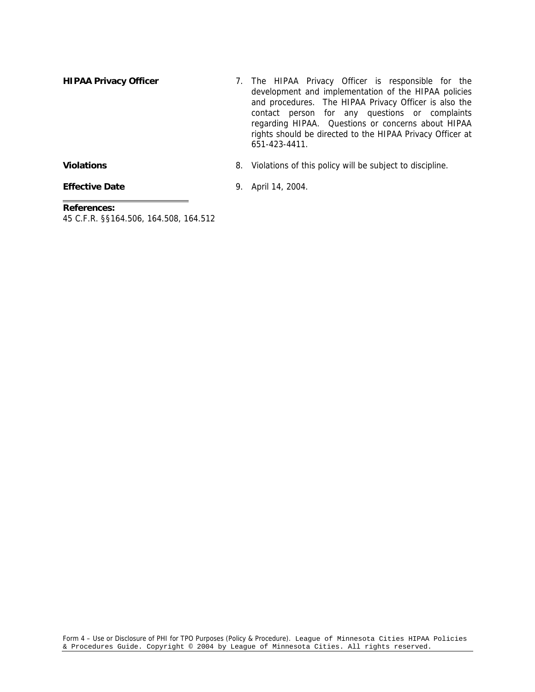**HIPAA Privacy Officer** 7. The HIPAA Privacy Officer is responsible for the development and implementation of the HIPAA policies and procedures. The HIPAA Privacy Officer is also the contact person for any questions or complaints regarding HIPAA. Questions or concerns about HIPAA rights should be directed to the HIPAA Privacy Officer at 651-423-4411. **Violations** 8. Violations of this policy will be subject to discipline.

**Effective Date** 9. April 14, 2004.

 **References:**  45 C.F.R. §§164.506, 164.508, 164.512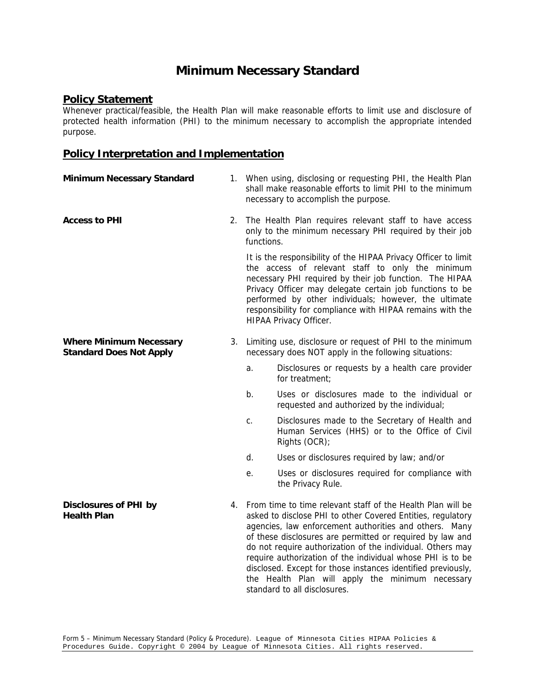# **Minimum Necessary Standard**

## **Policy Statement**

Whenever practical/feasible, the Health Plan will make reasonable efforts to limit use and disclosure of protected health information (PHI) to the minimum necessary to accomplish the appropriate intended purpose.

## **Policy Interpretation and Implementation**

| <b>Minimum Necessary Standard</b>                                | 1. When using, disclosing or requesting PHI, the Health Plan<br>shall make reasonable efforts to limit PHI to the minimum<br>necessary to accomplish the purpose.                                                                                                                                                                                                                         |                                                                                                                                                                                                                                                                                                                                                                                                                                                                                                                                      |  |  |  |
|------------------------------------------------------------------|-------------------------------------------------------------------------------------------------------------------------------------------------------------------------------------------------------------------------------------------------------------------------------------------------------------------------------------------------------------------------------------------|--------------------------------------------------------------------------------------------------------------------------------------------------------------------------------------------------------------------------------------------------------------------------------------------------------------------------------------------------------------------------------------------------------------------------------------------------------------------------------------------------------------------------------------|--|--|--|
| <b>Access to PHI</b>                                             | 2. The Health Plan requires relevant staff to have access<br>only to the minimum necessary PHI required by their job<br>functions.                                                                                                                                                                                                                                                        |                                                                                                                                                                                                                                                                                                                                                                                                                                                                                                                                      |  |  |  |
|                                                                  | It is the responsibility of the HIPAA Privacy Officer to limit<br>the access of relevant staff to only the minimum<br>necessary PHI required by their job function. The HIPAA<br>Privacy Officer may delegate certain job functions to be<br>performed by other individuals; however, the ultimate<br>responsibility for compliance with HIPAA remains with the<br>HIPAA Privacy Officer. |                                                                                                                                                                                                                                                                                                                                                                                                                                                                                                                                      |  |  |  |
| <b>Where Minimum Necessary</b><br><b>Standard Does Not Apply</b> |                                                                                                                                                                                                                                                                                                                                                                                           | 3. Limiting use, disclosure or request of PHI to the minimum<br>necessary does NOT apply in the following situations:                                                                                                                                                                                                                                                                                                                                                                                                                |  |  |  |
|                                                                  | a.                                                                                                                                                                                                                                                                                                                                                                                        | Disclosures or requests by a health care provider<br>for treatment;                                                                                                                                                                                                                                                                                                                                                                                                                                                                  |  |  |  |
|                                                                  | b.                                                                                                                                                                                                                                                                                                                                                                                        | Uses or disclosures made to the individual or<br>requested and authorized by the individual;                                                                                                                                                                                                                                                                                                                                                                                                                                         |  |  |  |
|                                                                  | $\mathtt{C}.$                                                                                                                                                                                                                                                                                                                                                                             | Disclosures made to the Secretary of Health and<br>Human Services (HHS) or to the Office of Civil<br>Rights (OCR);                                                                                                                                                                                                                                                                                                                                                                                                                   |  |  |  |
|                                                                  | d.                                                                                                                                                                                                                                                                                                                                                                                        | Uses or disclosures required by law; and/or                                                                                                                                                                                                                                                                                                                                                                                                                                                                                          |  |  |  |
|                                                                  | е.                                                                                                                                                                                                                                                                                                                                                                                        | Uses or disclosures required for compliance with<br>the Privacy Rule.                                                                                                                                                                                                                                                                                                                                                                                                                                                                |  |  |  |
| <b>Disclosures of PHI by</b><br><b>Health Plan</b>               |                                                                                                                                                                                                                                                                                                                                                                                           | 4. From time to time relevant staff of the Health Plan will be<br>asked to disclose PHI to other Covered Entities, regulatory<br>agencies, law enforcement authorities and others. Many<br>of these disclosures are permitted or required by law and<br>do not require authorization of the individual. Others may<br>require authorization of the individual whose PHI is to be<br>disclosed. Except for those instances identified previously,<br>the Health Plan will apply the minimum necessary<br>standard to all disclosures. |  |  |  |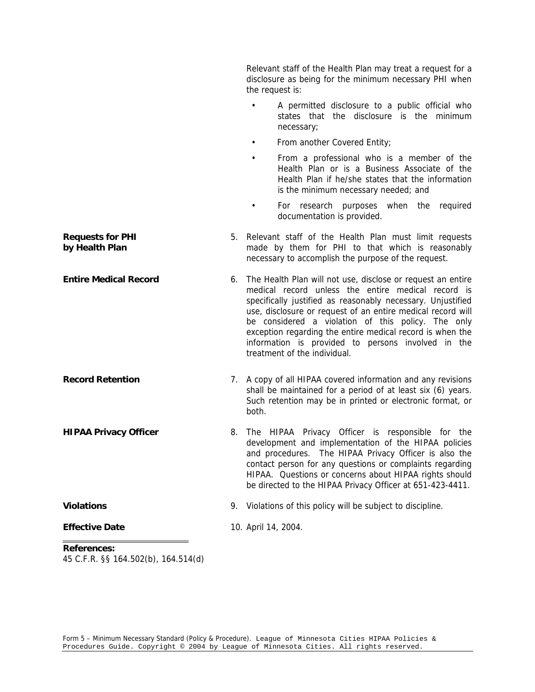|                                           | Relevant staff of the Health Plan may treat a request for a<br>disclosure as being for the minimum necessary PHI when<br>the request is:                                                                                                                                                                                                                                                                                                                    |
|-------------------------------------------|-------------------------------------------------------------------------------------------------------------------------------------------------------------------------------------------------------------------------------------------------------------------------------------------------------------------------------------------------------------------------------------------------------------------------------------------------------------|
|                                           | A permitted disclosure to a public official who<br>states that the disclosure is the minimum<br>necessary;                                                                                                                                                                                                                                                                                                                                                  |
|                                           | From another Covered Entity;<br>$\bullet$                                                                                                                                                                                                                                                                                                                                                                                                                   |
|                                           | From a professional who is a member of the<br>Health Plan or is a Business Associate of the<br>Health Plan if he/she states that the information<br>is the minimum necessary needed; and                                                                                                                                                                                                                                                                    |
|                                           | For research purposes when the required<br>documentation is provided.                                                                                                                                                                                                                                                                                                                                                                                       |
| <b>Requests for PHI</b><br>by Health Plan | 5. Relevant staff of the Health Plan must limit requests<br>made by them for PHI to that which is reasonably<br>necessary to accomplish the purpose of the request.                                                                                                                                                                                                                                                                                         |
| <b>Entire Medical Record</b>              | 6. The Health Plan will not use, disclose or request an entire<br>medical record unless the entire medical record is<br>specifically justified as reasonably necessary. Unjustified<br>use, disclosure or request of an entire medical record will<br>be considered a violation of this policy. The only<br>exception regarding the entire medical record is when the<br>information is provided to persons involved in the<br>treatment of the individual. |
| <b>Record Retention</b>                   | 7. A copy of all HIPAA covered information and any revisions<br>shall be maintained for a period of at least six (6) years.<br>Such retention may be in printed or electronic format, or<br>both.                                                                                                                                                                                                                                                           |
| <b>HIPAA Privacy Officer</b>              | The HIPAA Privacy Officer is responsible for the<br>8.<br>development and implementation of the HIPAA policies<br>and procedures. The HIPAA Privacy Officer is also the<br>contact person for any questions or complaints regarding<br>HIPAA. Questions or concerns about HIPAA rights should<br>be directed to the HIPAA Privacy Officer at 651-423-4411.                                                                                                  |
| <b>Violations</b>                         | 9. Violations of this policy will be subject to discipline.                                                                                                                                                                                                                                                                                                                                                                                                 |
| <b>Effective Date</b>                     | 10. April 14, 2004.                                                                                                                                                                                                                                                                                                                                                                                                                                         |
| <b>References:</b>                        |                                                                                                                                                                                                                                                                                                                                                                                                                                                             |

45 C.F.R. §§ 164.502(b), 164.514(d)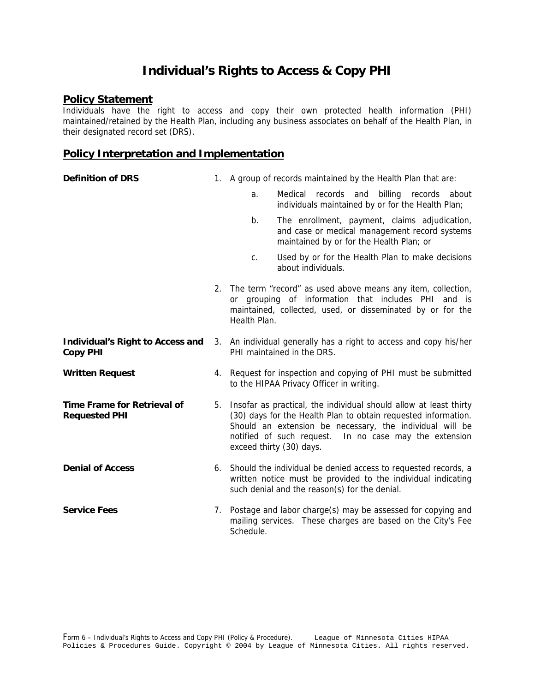# **Individual's Rights to Access & Copy PHI**

## **Policy Statement**

Individuals have the right to access and copy their own protected health information (PHI) maintained/retained by the Health Plan, including any business associates on behalf of the Health Plan, in their designated record set (DRS).

## **Policy Interpretation and Implementation**

| <b>Definition of DRS</b>                                   |    | 1. A group of records maintained by the Health Plan that are:                                                                                                                                                                                                                         |
|------------------------------------------------------------|----|---------------------------------------------------------------------------------------------------------------------------------------------------------------------------------------------------------------------------------------------------------------------------------------|
|                                                            |    | Medical records and billing records about<br>a.<br>individuals maintained by or for the Health Plan;                                                                                                                                                                                  |
|                                                            |    | b.<br>The enrollment, payment, claims adjudication,<br>and case or medical management record systems<br>maintained by or for the Health Plan; or                                                                                                                                      |
|                                                            |    | Used by or for the Health Plan to make decisions<br>C <sub>1</sub><br>about individuals.                                                                                                                                                                                              |
|                                                            | 2. | The term "record" as used above means any item, collection,<br>or grouping of information that includes PHI and is<br>maintained, collected, used, or disseminated by or for the<br>Health Plan.                                                                                      |
| <b>Individual's Right to Access and</b><br><b>Copy PHI</b> |    | 3. An individual generally has a right to access and copy his/her<br>PHI maintained in the DRS.                                                                                                                                                                                       |
| <b>Written Request</b>                                     | 4. | Request for inspection and copying of PHI must be submitted<br>to the HIPAA Privacy Officer in writing.                                                                                                                                                                               |
| Time Frame for Retrieval of<br><b>Requested PHI</b>        | 5. | Insofar as practical, the individual should allow at least thirty<br>(30) days for the Health Plan to obtain requested information.<br>Should an extension be necessary, the individual will be<br>notified of such request. In no case may the extension<br>exceed thirty (30) days. |
| <b>Denial of Access</b>                                    |    | 6. Should the individual be denied access to requested records, a<br>written notice must be provided to the individual indicating<br>such denial and the reason(s) for the denial.                                                                                                    |
| <b>Service Fees</b>                                        | 7. | Postage and labor charge(s) may be assessed for copying and<br>mailing services. These charges are based on the City's Fee<br>Schedule.                                                                                                                                               |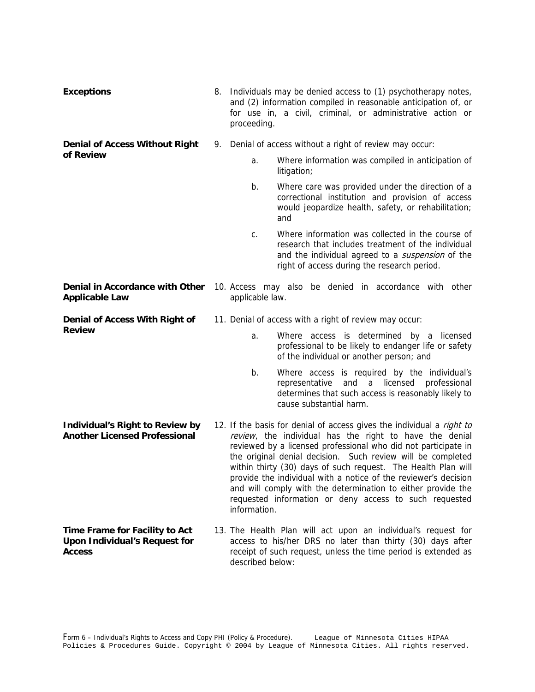| <b>Exceptions</b>                                                                       | Individuals may be denied access to (1) psychotherapy notes,<br>8.<br>and (2) information compiled in reasonable anticipation of, or<br>for use in, a civil, criminal, or administrative action or<br>proceeding.                                                                                                                                                                                                                                                                                                                               |                 |                                                                                                                                                                                                           |  |  |
|-----------------------------------------------------------------------------------------|-------------------------------------------------------------------------------------------------------------------------------------------------------------------------------------------------------------------------------------------------------------------------------------------------------------------------------------------------------------------------------------------------------------------------------------------------------------------------------------------------------------------------------------------------|-----------------|-----------------------------------------------------------------------------------------------------------------------------------------------------------------------------------------------------------|--|--|
| <b>Denial of Access Without Right</b>                                                   | 9.                                                                                                                                                                                                                                                                                                                                                                                                                                                                                                                                              |                 | Denial of access without a right of review may occur:                                                                                                                                                     |  |  |
| of Review                                                                               |                                                                                                                                                                                                                                                                                                                                                                                                                                                                                                                                                 | a.              | Where information was compiled in anticipation of<br>litigation;                                                                                                                                          |  |  |
|                                                                                         |                                                                                                                                                                                                                                                                                                                                                                                                                                                                                                                                                 | b.              | Where care was provided under the direction of a<br>correctional institution and provision of access<br>would jeopardize health, safety, or rehabilitation;<br>and                                        |  |  |
|                                                                                         |                                                                                                                                                                                                                                                                                                                                                                                                                                                                                                                                                 | $C_{1}$         | Where information was collected in the course of<br>research that includes treatment of the individual<br>and the individual agreed to a suspension of the<br>right of access during the research period. |  |  |
| Denial in Accordance with Other<br><b>Applicable Law</b>                                |                                                                                                                                                                                                                                                                                                                                                                                                                                                                                                                                                 | applicable law. | 10. Access may also be denied in accordance with other                                                                                                                                                    |  |  |
| Denial of Access With Right of<br><b>Review</b>                                         |                                                                                                                                                                                                                                                                                                                                                                                                                                                                                                                                                 |                 | 11. Denial of access with a right of review may occur:                                                                                                                                                    |  |  |
|                                                                                         |                                                                                                                                                                                                                                                                                                                                                                                                                                                                                                                                                 | a.              | Where access is determined by a licensed<br>professional to be likely to endanger life or safety<br>of the individual or another person; and                                                              |  |  |
|                                                                                         |                                                                                                                                                                                                                                                                                                                                                                                                                                                                                                                                                 | b.              | Where access is required by the individual's<br>and a licensed<br>professional<br>representative<br>determines that such access is reasonably likely to<br>cause substantial harm.                        |  |  |
| <b>Individual's Right to Review by</b><br><b>Another Licensed Professional</b>          | 12. If the basis for denial of access gives the individual a right to<br>review, the individual has the right to have the denial<br>reviewed by a licensed professional who did not participate in<br>the original denial decision. Such review will be completed<br>within thirty (30) days of such request. The Health Plan will<br>provide the individual with a notice of the reviewer's decision<br>and will comply with the determination to either provide the<br>requested information or deny access to such requested<br>information. |                 |                                                                                                                                                                                                           |  |  |
| Time Frame for Facility to Act<br><b>Upon Individual's Request for</b><br><b>Access</b> |                                                                                                                                                                                                                                                                                                                                                                                                                                                                                                                                                 |                 | 13. The Health Plan will act upon an individual's request for<br>access to his/her DRS no later than thirty (30) days after<br>receipt of such request, unless the time period is extended as             |  |  |

described below: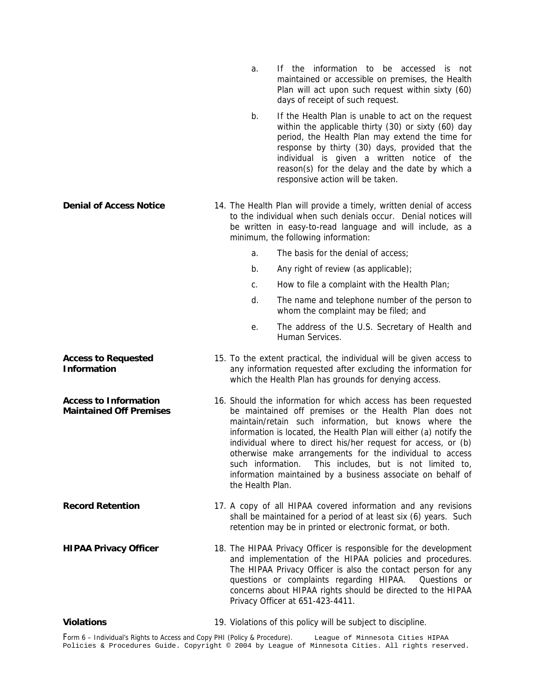- a. If the information to be accessed is not maintained or accessible on premises, the Health Plan will act upon such request within sixty (60) days of receipt of such request.
- b. If the Health Plan is unable to act on the request within the applicable thirty (30) or sixty (60) day period, the Health Plan may extend the time for response by thirty (30) days, provided that the individual is given a written notice of the reason(s) for the delay and the date by which a responsive action will be taken.
- **Denial of Access Notice** 14. The Health Plan will provide a timely, written denial of access to the individual when such denials occur. Denial notices will be written in easy-to-read language and will include, as a minimum, the following information:
	- a. The basis for the denial of access;
	- b. Any right of review (as applicable);
	- c. How to file a complaint with the Health Plan;
	- d. The name and telephone number of the person to whom the complaint may be filed; and
	- e. The address of the U.S. Secretary of Health and Human Services.
- **Access to Requested Information**  15. To the extent practical, the individual will be given access to any information requested after excluding the information for which the Health Plan has grounds for denying access.

**Access to Information Maintained Off Premises**  16. Should the information for which access has been requested be maintained off premises or the Health Plan does not maintain/retain such information, but knows where the information is located, the Health Plan will either (a) notify the individual where to direct his/her request for access, or (b) otherwise make arrangements for the individual to access such information. This includes, but is not limited to, information maintained by a business associate on behalf of the Health Plan.

- **Record Retention** 17. A copy of all HIPAA covered information and any revisions shall be maintained for a period of at least six (6) years. Such retention may be in printed or electronic format, or both.
- **HIPAA Privacy Officer** 18. The HIPAA Privacy Officer is responsible for the development and implementation of the HIPAA policies and procedures. The HIPAA Privacy Officer is also the contact person for any questions or complaints regarding HIPAA. Questions or concerns about HIPAA rights should be directed to the HIPAA Privacy Officer at 651-423-4411.
- **Violations** 19. Violations of this policy will be subject to discipline.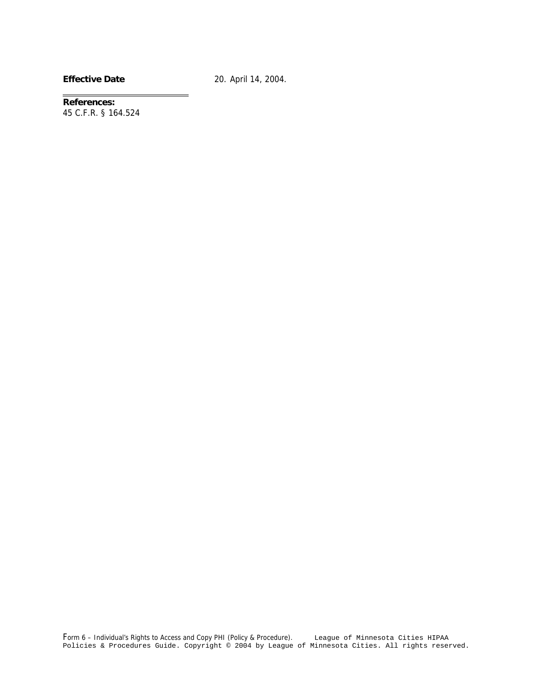**Effective Date** 20. April 14, 2004.

**References:**  45 C.F.R. § 164.524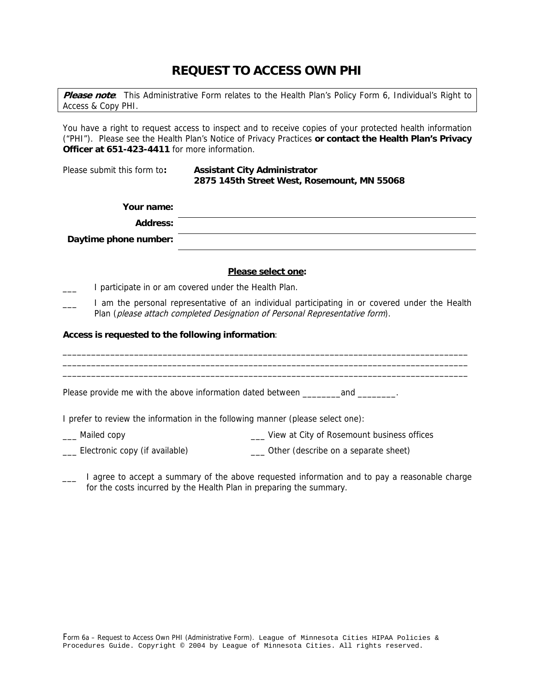# **REQUEST TO ACCESS OWN PHI**

**Please note**:This Administrative Form relates to the Health Plan's Policy Form 6, Individual's Right to Access & Copy PHI.

You have a right to request access to inspect and to receive copies of your protected health information ("PHI"). Please see the Health Plan's Notice of Privacy Practices **or contact the Health Plan's Privacy Officer at 651-423-4411** for more information.

Please submit this form to**: Assistant City Administrator** 

 **2875 145th Street West, Rosemount, MN 55068**

| Your name:            |  |
|-----------------------|--|
| <b>Address:</b>       |  |
| Daytime phone number: |  |

### **Please select one:**

I participate in or am covered under the Health Plan.

I am the personal representative of an individual participating in or covered under the Health Plan (please attach completed Designation of Personal Representative form).

### **Access is requested to the following information**:

\_\_\_\_\_\_\_\_\_\_\_\_\_\_\_\_\_\_\_\_\_\_\_\_\_\_\_\_\_\_\_\_\_\_\_\_\_\_\_\_\_\_\_\_\_\_\_\_\_\_\_\_\_\_\_\_\_\_\_\_\_\_\_\_\_\_\_\_\_\_\_\_\_\_\_\_\_\_\_\_\_\_\_\_\_ \_\_\_\_\_\_\_\_\_\_\_\_\_\_\_\_\_\_\_\_\_\_\_\_\_\_\_\_\_\_\_\_\_\_\_\_\_\_\_\_\_\_\_\_\_\_\_\_\_\_\_\_\_\_\_\_\_\_\_\_\_\_\_\_\_\_\_\_\_\_\_\_\_\_\_\_\_\_\_\_\_\_\_\_\_ \_\_\_\_\_\_\_\_\_\_\_\_\_\_\_\_\_\_\_\_\_\_\_\_\_\_\_\_\_\_\_\_\_\_\_\_\_\_\_\_\_\_\_\_\_\_\_\_\_\_\_\_\_\_\_\_\_\_\_\_\_\_\_\_\_\_\_\_\_\_\_\_\_\_\_\_\_\_\_\_\_\_\_\_\_ Please provide me with the above information dated between \_\_\_\_\_\_\_\_\_\_\_\_\_\_\_\_\_\_\_. I prefer to review the information in the following manner (please select one): \_\_\_ Mailed copy \_\_\_ View at City of Rosemount business offices \_\_\_ Electronic copy (if available) \_\_\_ Other (describe on a separate sheet) \_\_\_ I agree to accept a summary of the above requested information and to pay a reasonable charge for the costs incurred by the Health Plan in preparing the summary.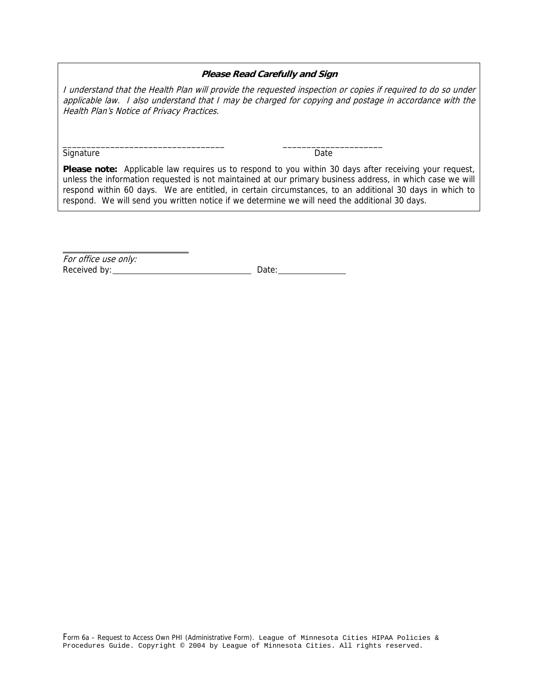### **Please Read Carefully and Sign**

I understand that the Health Plan will provide the requested inspection or copies if required to do so under applicable law. I also understand that I may be charged for copying and postage in accordance with the Health Plan's Notice of Privacy Practices.

Signature Date Date Date

**Please note:** Applicable law requires us to respond to you within 30 days after receiving your request, unless the information requested is not maintained at our primary business address, in which case we will respond within 60 days. We are entitled, in certain circumstances, to an additional 30 days in which to respond. We will send you written notice if we determine we will need the additional 30 days.

\_\_\_\_\_\_\_\_\_\_\_\_\_\_\_\_\_\_\_\_\_\_\_\_\_\_\_\_\_\_\_\_\_\_ \_\_\_\_\_\_\_\_\_\_\_\_\_\_\_\_\_\_\_\_\_

For office use only: Received by: Date: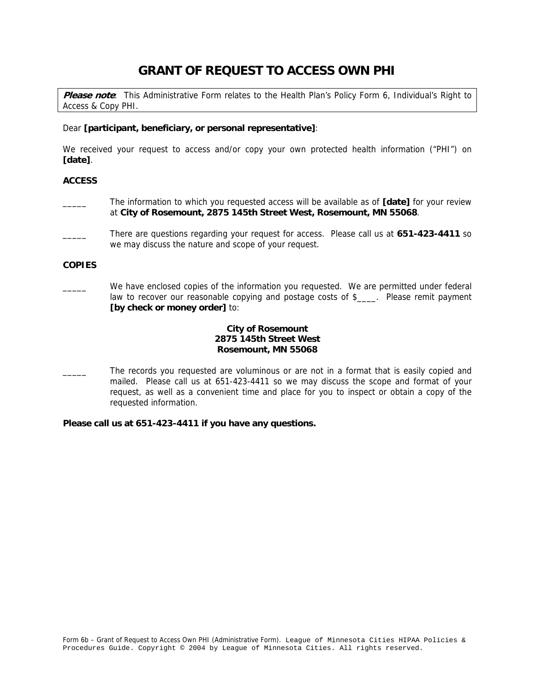# **GRANT OF REQUEST TO ACCESS OWN PHI**

**Please note**:This Administrative Form relates to the Health Plan's Policy Form 6, Individual's Right to Access & Copy PHI.

### Dear **[participant, beneficiary, or personal representative]**:

We received your request to access and/or copy your own protected health information ("PHI") on **[date]**.

### **ACCESS**

- \_\_\_\_\_ The information to which you requested access will be available as of **[date]** for your review at **City of Rosemount, 2875 145th Street West, Rosemount, MN 55068**.
- \_\_\_\_\_ There are questions regarding your request for access. Please call us at **651-423-4411** so we may discuss the nature and scope of your request.

#### **COPIES**

We have enclosed copies of the information you requested. We are permitted under federal law to recover our reasonable copying and postage costs of \$\_\_\_\_. Please remit payment **[by check or money order]** to:

### **City of Rosemount 2875 145th Street West Rosemount, MN 55068**

The records you requested are voluminous or are not in a format that is easily copied and mailed. Please call us at 651-423-4411 so we may discuss the scope and format of your request, as well as a convenient time and place for you to inspect or obtain a copy of the requested information.

**Please call us at 651-423-4411 if you have any questions.**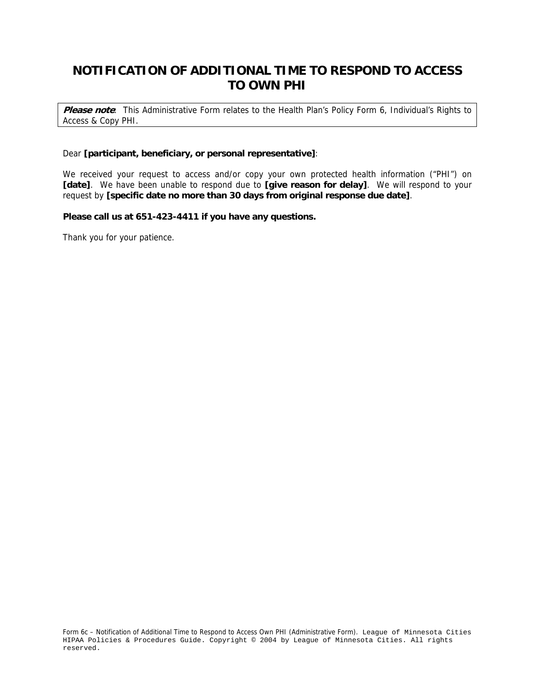# **NOTIFICATION OF ADDITIONAL TIME TO RESPOND TO ACCESS TO OWN PHI**

**Please note**:This Administrative Form relates to the Health Plan's Policy Form 6, Individual's Rights to Access & Copy PHI.

Dear **[participant, beneficiary, or personal representative]**:

We received your request to access and/or copy your own protected health information ("PHI") on **[date]**. We have been unable to respond due to **[give reason for delay]**. We will respond to your request by **[specific date no more than 30 days from original response due date]**.

**Please call us at 651-423-4411 if you have any questions.** 

Thank you for your patience.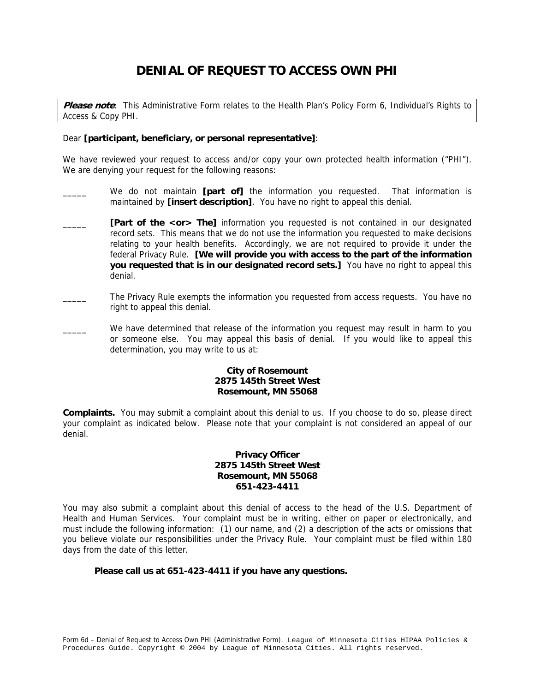# **DENIAL OF REQUEST TO ACCESS OWN PHI**

**Please note**:This Administrative Form relates to the Health Plan's Policy Form 6, Individual's Rights to Access & Copy PHI.

#### Dear **[participant, beneficiary, or personal representative]**:

We have reviewed your request to access and/or copy your own protected health information ("PHI"). We are denying your request for the following reasons:

- We do not maintain **[part of]** the information you requested. That information is maintained by **[insert description]**. You have no right to appeal this denial.
- **[Part of the <or> The]** information you requested is not contained in our designated record sets. This means that we do not use the information you requested to make decisions relating to your health benefits. Accordingly, we are not required to provide it under the federal Privacy Rule. **[We will provide you with access to the part of the information you requested that is in our designated record sets.]** You have no right to appeal this denial.
- The Privacy Rule exempts the information you requested from access requests. You have no right to appeal this denial.
	- We have determined that release of the information you request may result in harm to you or someone else. You may appeal this basis of denial. If you would like to appeal this determination, you may write to us at:

### **City of Rosemount 2875 145th Street West Rosemount, MN 55068**

**Complaints.** You may submit a complaint about this denial to us. If you choose to do so, please direct your complaint as indicated below. Please note that your complaint is not considered an appeal of our denial.

### **Privacy Officer 2875 145th Street West Rosemount, MN 55068 651-423-4411**

You may also submit a complaint about this denial of access to the head of the U.S. Department of Health and Human Services. Your complaint must be in writing, either on paper or electronically, and must include the following information: (1) our name, and (2) a description of the acts or omissions that you believe violate our responsibilities under the Privacy Rule. Your complaint must be filed within 180 days from the date of this letter.

### **Please call us at 651-423-4411 if you have any questions.**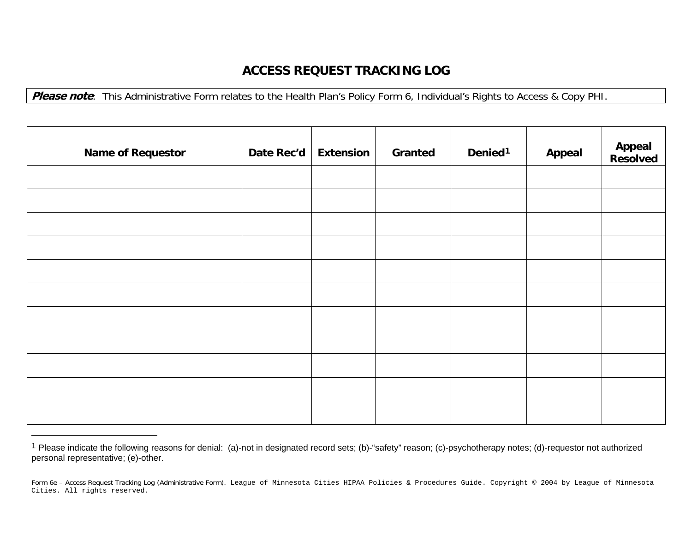# **ACCESS REQUEST TRACKING LOG**

**Please note**: This Administrative Form relates to the Health Plan's Policy Form 6, Individual's Rights to Access & Copy PHI.

| <b>Name of Requestor</b> | Date Rec'd | <b>Extension</b> | Granted | Denied <sup>1</sup> | Appeal | Appeal<br>Resolved |
|--------------------------|------------|------------------|---------|---------------------|--------|--------------------|
|                          |            |                  |         |                     |        |                    |
|                          |            |                  |         |                     |        |                    |
|                          |            |                  |         |                     |        |                    |
|                          |            |                  |         |                     |        |                    |
|                          |            |                  |         |                     |        |                    |
|                          |            |                  |         |                     |        |                    |
|                          |            |                  |         |                     |        |                    |
|                          |            |                  |         |                     |        |                    |
|                          |            |                  |         |                     |        |                    |
|                          |            |                  |         |                     |        |                    |
|                          |            |                  |         |                     |        |                    |

<span id="page-29-0"></span><sup>&</sup>lt;sup>1</sup> Please indicate the following reasons for denial: (a)-not in designated record sets; (b)-"safety" reason; (c)-psychotherapy notes; (d)-requestor not authorized personal representative; (e)-other.

Form 6e – Access Request Tracking Log (Administrative Form). League of Minnesota Cities HIPAA Policies & Procedures Guide. Copyright © 2004 by League of Minnesota Cities. All rights reserved.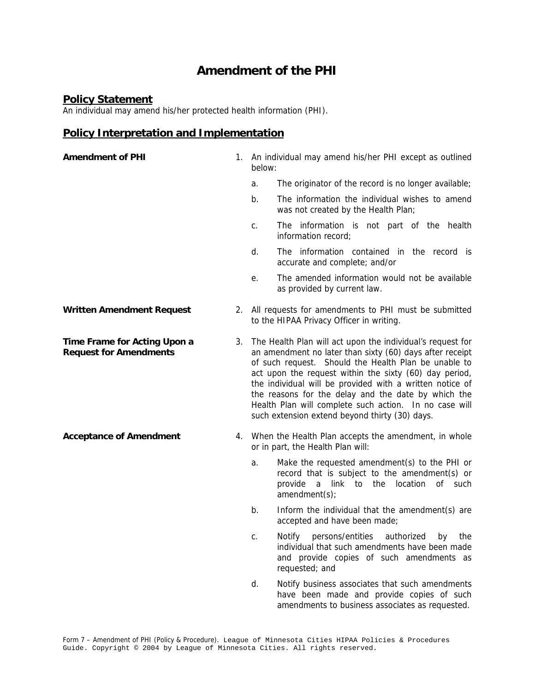# **Amendment of the PHI**

## **Policy Statement**

An individual may amend his/her protected health information (PHI).

## **Policy Interpretation and Implementation**

| <b>Amendment of PHI</b>                                       |    | 1. An individual may amend his/her PHI except as outlined<br>below:                                                                                                                                                                                                                                                                                                                                                                                                     |
|---------------------------------------------------------------|----|-------------------------------------------------------------------------------------------------------------------------------------------------------------------------------------------------------------------------------------------------------------------------------------------------------------------------------------------------------------------------------------------------------------------------------------------------------------------------|
|                                                               |    | The originator of the record is no longer available;<br>a.                                                                                                                                                                                                                                                                                                                                                                                                              |
|                                                               |    | The information the individual wishes to amend<br>b.<br>was not created by the Health Plan;                                                                                                                                                                                                                                                                                                                                                                             |
|                                                               |    | The information is not part of the health<br>C.<br>information record:                                                                                                                                                                                                                                                                                                                                                                                                  |
|                                                               |    | d.<br>The information contained in the record is<br>accurate and complete; and/or                                                                                                                                                                                                                                                                                                                                                                                       |
|                                                               |    | The amended information would not be available<br>е.<br>as provided by current law.                                                                                                                                                                                                                                                                                                                                                                                     |
| <b>Written Amendment Request</b>                              |    | 2. All requests for amendments to PHI must be submitted<br>to the HIPAA Privacy Officer in writing.                                                                                                                                                                                                                                                                                                                                                                     |
| Time Frame for Acting Upon a<br><b>Request for Amendments</b> | 3. | The Health Plan will act upon the individual's request for<br>an amendment no later than sixty (60) days after receipt<br>of such request. Should the Health Plan be unable to<br>act upon the request within the sixty (60) day period,<br>the individual will be provided with a written notice of<br>the reasons for the delay and the date by which the<br>Health Plan will complete such action. In no case will<br>such extension extend beyond thirty (30) days. |
| <b>Acceptance of Amendment</b>                                |    | 4. When the Health Plan accepts the amendment, in whole<br>or in part, the Health Plan will:                                                                                                                                                                                                                                                                                                                                                                            |
|                                                               |    | Make the requested amendment(s) to the PHI or<br>a.<br>record that is subject to the amendment(s) or<br>link to the location<br>provide a<br>of such<br>amendment(s);                                                                                                                                                                                                                                                                                                   |
|                                                               |    | b.<br>Inform the individual that the amendment(s) are<br>accepted and have been made;                                                                                                                                                                                                                                                                                                                                                                                   |
|                                                               |    | Notify persons/entities<br>authorized<br>by<br>the<br>C.<br>individual that such amendments have been made<br>and provide copies of such amendments as<br>requested; and                                                                                                                                                                                                                                                                                                |
|                                                               |    | Notify business associates that such amendments<br>d.                                                                                                                                                                                                                                                                                                                                                                                                                   |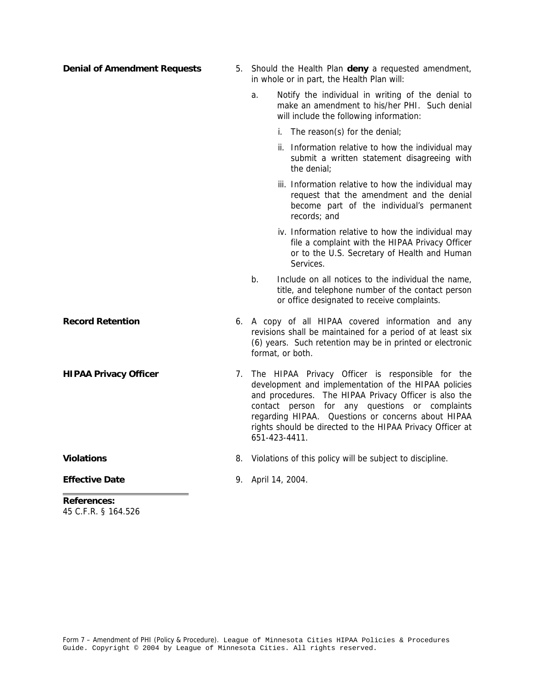| <b>Denial of Amendment Requests</b> |    | 5. Should the Health Plan deny a requested amendment,<br>in whole or in part, the Health Plan will:                                                                                                                                                                                                                                                     |
|-------------------------------------|----|---------------------------------------------------------------------------------------------------------------------------------------------------------------------------------------------------------------------------------------------------------------------------------------------------------------------------------------------------------|
|                                     |    | Notify the individual in writing of the denial to<br>a.<br>make an amendment to his/her PHI. Such denial<br>will include the following information:                                                                                                                                                                                                     |
|                                     |    | i. The reason(s) for the denial;                                                                                                                                                                                                                                                                                                                        |
|                                     |    | ii. Information relative to how the individual may<br>submit a written statement disagreeing with<br>the denial;                                                                                                                                                                                                                                        |
|                                     |    | iii. Information relative to how the individual may<br>request that the amendment and the denial<br>become part of the individual's permanent<br>records; and                                                                                                                                                                                           |
|                                     |    | iv. Information relative to how the individual may<br>file a complaint with the HIPAA Privacy Officer<br>or to the U.S. Secretary of Health and Human<br>Services.                                                                                                                                                                                      |
|                                     |    | b.<br>Include on all notices to the individual the name,<br>title, and telephone number of the contact person<br>or office designated to receive complaints.                                                                                                                                                                                            |
| <b>Record Retention</b>             |    | 6. A copy of all HIPAA covered information and any<br>revisions shall be maintained for a period of at least six<br>(6) years. Such retention may be in printed or electronic<br>format, or both.                                                                                                                                                       |
| <b>HIPAA Privacy Officer</b>        | 7. | The HIPAA Privacy Officer is responsible for the<br>development and implementation of the HIPAA policies<br>and procedures. The HIPAA Privacy Officer is also the<br>contact person for any questions or complaints<br>regarding HIPAA. Questions or concerns about HIPAA<br>rights should be directed to the HIPAA Privacy Officer at<br>651-423-4411. |
| <b>Violations</b>                   | 8. | Violations of this policy will be subject to discipline.                                                                                                                                                                                                                                                                                                |
| <b>Effective Date</b>               |    | 9. April 14, 2004.                                                                                                                                                                                                                                                                                                                                      |
|                                     |    |                                                                                                                                                                                                                                                                                                                                                         |

**References:**  45 C.F.R. § 164.526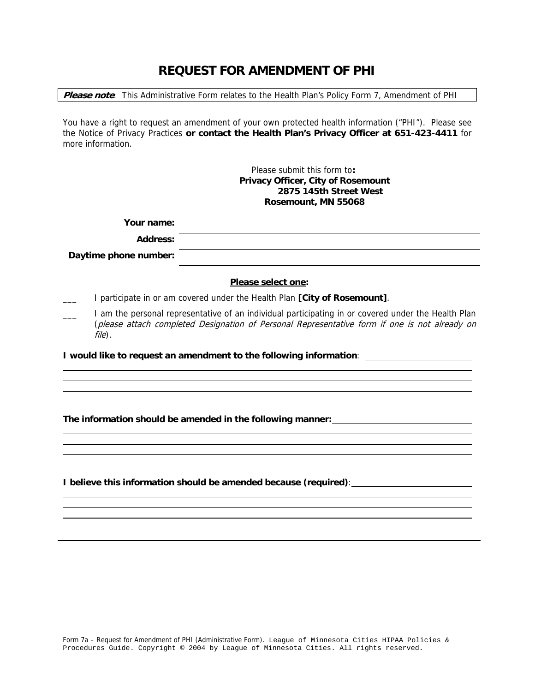## **REQUEST FOR AMENDMENT OF PHI**

**Please note**:This Administrative Form relates to the Health Plan's Policy Form 7, Amendment of PHI

You have a right to request an amendment of your own protected health information ("PHI"). Please see the Notice of Privacy Practices **or contact the Health Plan's Privacy Officer at 651-423-4411** for more information.

> Please submit this form to**: Privacy Officer, City of Rosemount 2875 145th Street West Rosemount, MN 55068**

**Your name:** 

**Address:** 

**Daytime phone number:** 

### **Please select one:**

- \_\_\_ I participate in or am covered under the Health Plan **[City of Rosemount]**.
- I am the personal representative of an individual participating in or covered under the Health Plan (please attach completed Designation of Personal Representative form if one is not already on file).

**I would like to request an amendment to the following information**:

**The information should be amended in the following manner:**

**I believe this information should be amended because (required)**: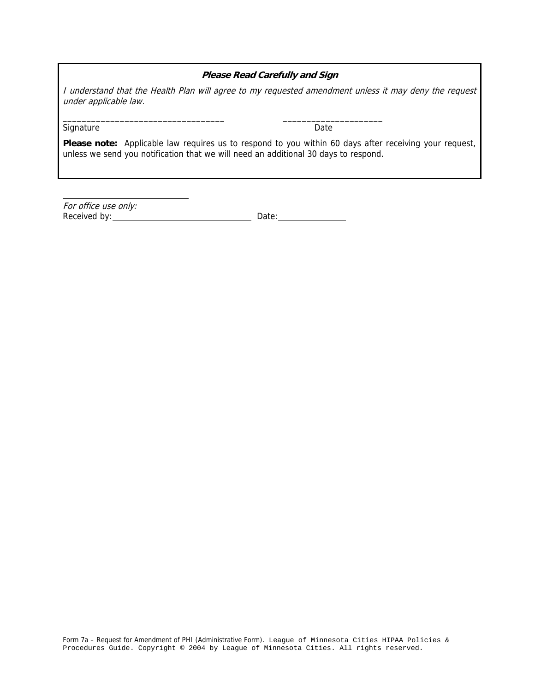### **Please Read Carefully and Sign**

I understand that the Health Plan will agree to my requested amendment unless it may deny the request under applicable law.

Signature Date Date Communications and Date Date

**Please note:** Applicable law requires us to respond to you within 60 days after receiving your request, unless we send you notification that we will need an additional 30 days to respond.

 For office use only: Received by: Note: Note: Date:

\_\_\_\_\_\_\_\_\_\_\_\_\_\_\_\_\_\_\_\_\_\_\_\_\_\_\_\_\_\_\_\_\_\_ \_\_\_\_\_\_\_\_\_\_\_\_\_\_\_\_\_\_\_\_\_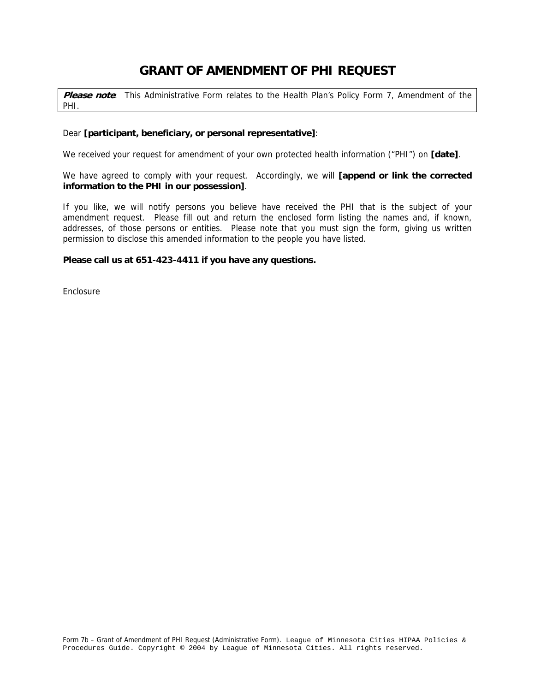# **GRANT OF AMENDMENT OF PHI REQUEST**

**Please note**:This Administrative Form relates to the Health Plan's Policy Form 7, Amendment of the PHI.

### Dear **[participant, beneficiary, or personal representative]**:

We received your request for amendment of your own protected health information ("PHI") on **[date]**.

We have agreed to comply with your request. Accordingly, we will **[append or link the corrected information to the PHI in our possession]**.

If you like, we will notify persons you believe have received the PHI that is the subject of your amendment request. Please fill out and return the enclosed form listing the names and, if known, addresses, of those persons or entities. Please note that you must sign the form, giving us written permission to disclose this amended information to the people you have listed.

### **Please call us at 651-423-4411 if you have any questions.**

Enclosure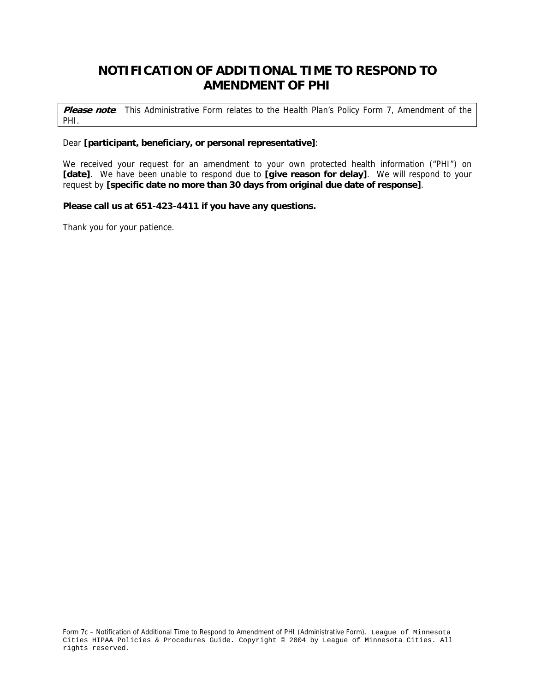# **NOTIFICATION OF ADDITIONAL TIME TO RESPOND TO AMENDMENT OF PHI**

**Please note**:This Administrative Form relates to the Health Plan's Policy Form 7, Amendment of the PHI.

Dear **[participant, beneficiary, or personal representative]**:

We received your request for an amendment to your own protected health information ("PHI") on **[date]**. We have been unable to respond due to **[give reason for delay]**. We will respond to your request by **[specific date no more than 30 days from original due date of response]**.

### **Please call us at 651-423-4411 if you have any questions.**

Thank you for your patience.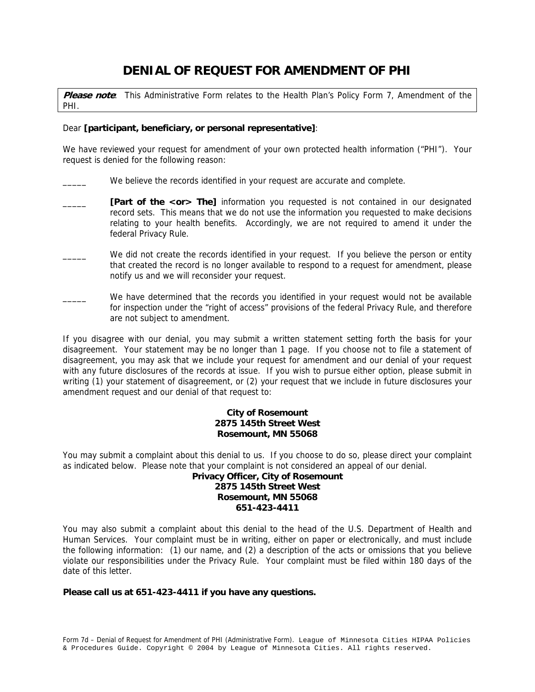## **DENIAL OF REQUEST FOR AMENDMENT OF PHI**

**Please note**:This Administrative Form relates to the Health Plan's Policy Form 7, Amendment of the PHI.

#### Dear **[participant, beneficiary, or personal representative]**:

We have reviewed your request for amendment of your own protected health information ("PHI"). Your request is denied for the following reason:

- We believe the records identified in your request are accurate and complete.
- **[Part of the <or> The]** information you requested is not contained in our designated record sets. This means that we do not use the information you requested to make decisions relating to your health benefits. Accordingly, we are not required to amend it under the federal Privacy Rule.
- We did not create the records identified in your request. If you believe the person or entity that created the record is no longer available to respond to a request for amendment, please notify us and we will reconsider your request.
- We have determined that the records you identified in your request would not be available for inspection under the "right of access" provisions of the federal Privacy Rule, and therefore are not subject to amendment.

If you disagree with our denial, you may submit a written statement setting forth the basis for your disagreement. Your statement may be no longer than 1 page. If you choose not to file a statement of disagreement, you may ask that we include your request for amendment and our denial of your request with any future disclosures of the records at issue. If you wish to pursue either option, please submit in writing (1) your statement of disagreement, or (2) your request that we include in future disclosures your amendment request and our denial of that request to:

#### **City of Rosemount 2875 145th Street West Rosemount, MN 55068**

You may submit a complaint about this denial to us. If you choose to do so, please direct your complaint as indicated below. Please note that your complaint is not considered an appeal of our denial.

#### **Privacy Officer, City of Rosemount 2875 145th Street West Rosemount, MN 55068 651-423-4411**

You may also submit a complaint about this denial to the head of the U.S. Department of Health and Human Services. Your complaint must be in writing, either on paper or electronically, and must include the following information: (1) our name, and (2) a description of the acts or omissions that you believe violate our responsibilities under the Privacy Rule. Your complaint must be filed within 180 days of the date of this letter.

#### **Please call us at 651-423-4411 if you have any questions.**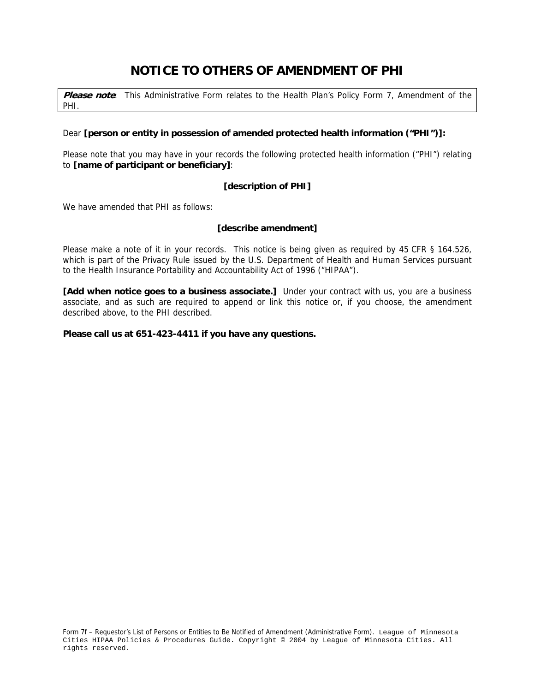# **NOTICE TO OTHERS OF AMENDMENT OF PHI**

**Please note**:This Administrative Form relates to the Health Plan's Policy Form 7, Amendment of the PHI.

#### Dear **[person or entity in possession of amended protected health information ("PHI")]:**

Please note that you may have in your records the following protected health information ("PHI") relating to **[name of participant or beneficiary]**:

#### **[description of PHI]**

We have amended that PHI as follows:

#### **[describe amendment]**

Please make a note of it in your records. This notice is being given as required by 45 CFR § 164.526, which is part of the Privacy Rule issued by the U.S. Department of Health and Human Services pursuant to the Health Insurance Portability and Accountability Act of 1996 ("HIPAA").

**[Add when notice goes to a business associate.]** Under your contract with us, you are a business associate, and as such are required to append or link this notice or, if you choose, the amendment described above, to the PHI described.

#### **Please call us at 651-423-4411 if you have any questions.**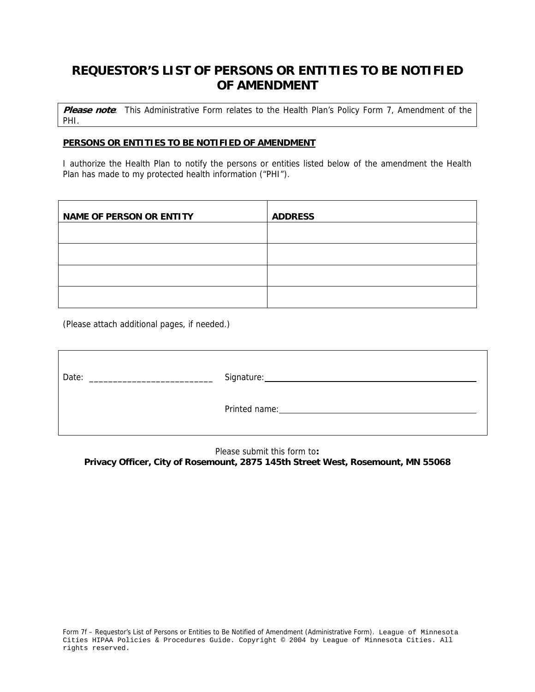# **REQUESTOR'S LIST OF PERSONS OR ENTITIES TO BE NOTIFIED OF AMENDMENT**

**Please note**:This Administrative Form relates to the Health Plan's Policy Form 7, Amendment of the PHI.

#### **PERSONS OR ENTITIES TO BE NOTIFIED OF AMENDMENT**

I authorize the Health Plan to notify the persons or entities listed below of the amendment the Health Plan has made to my protected health information ("PHI").

| <b>NAME OF PERSON OR ENTITY</b> | <b>ADDRESS</b> |
|---------------------------------|----------------|
|                                 |                |
|                                 |                |
|                                 |                |
|                                 |                |

(Please attach additional pages, if needed.)

| Date:<br><u> 1989 - Johann John Stein, market fan it ferstjer fan it ferstjer fan it ferstjer fan it ferstjer fan it fers</u> |               |
|-------------------------------------------------------------------------------------------------------------------------------|---------------|
|                                                                                                                               | Printed name: |

Please submit this form to**: Privacy Officer, City of Rosemount, 2875 145th Street West, Rosemount, MN 55068**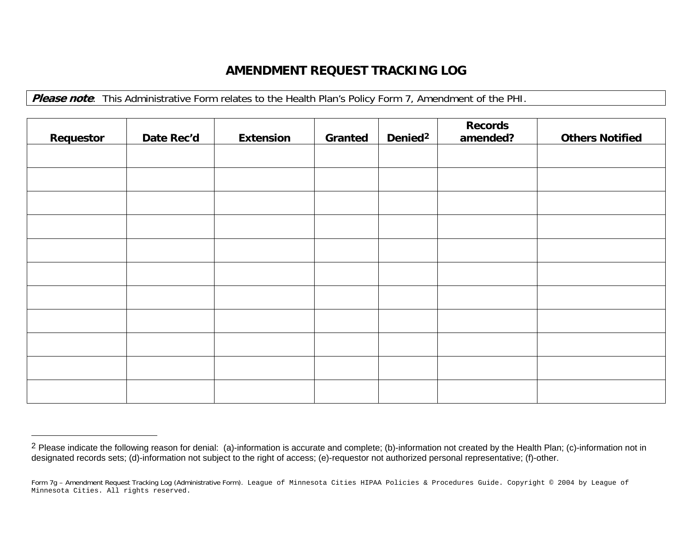# **AMENDMENT REQUEST TRACKING LOG**

**Please note**: This Administrative Form relates to the Health Plan's Policy Form 7, Amendment of the PHI.

|           |            |                  |         |                     | <b>Records</b> |                        |
|-----------|------------|------------------|---------|---------------------|----------------|------------------------|
| Requestor | Date Rec'd | <b>Extension</b> | Granted | Denied <sup>2</sup> | amended?       | <b>Others Notified</b> |
|           |            |                  |         |                     |                |                        |
|           |            |                  |         |                     |                |                        |
|           |            |                  |         |                     |                |                        |
|           |            |                  |         |                     |                |                        |
|           |            |                  |         |                     |                |                        |
|           |            |                  |         |                     |                |                        |
|           |            |                  |         |                     |                |                        |
|           |            |                  |         |                     |                |                        |
|           |            |                  |         |                     |                |                        |
|           |            |                  |         |                     |                |                        |
|           |            |                  |         |                     |                |                        |

<span id="page-39-0"></span><sup>&</sup>lt;sup>2</sup> Please indicate the following reason for denial: (a)-information is accurate and complete; (b)-information not created by the Health Plan; (c)-information not in designated records sets; (d)-information not subject to the right of access; (e)-requestor not authorized personal representative; (f)-other.

Form 7g – Amendment Request Tracking Log (Administrative Form). League of Minnesota Cities HIPAA Policies & Procedures Guide. Copyright © 2004 by League of Minnesota Cities. All rights reserved.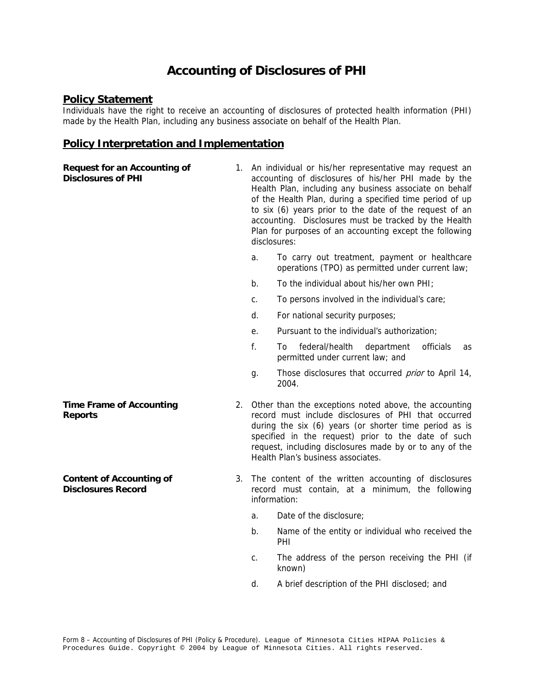## **Accounting of Disclosures of PHI**

### **Policy Statement**

Individuals have the right to receive an accounting of disclosures of protected health information (PHI) made by the Health Plan, including any business associate on behalf of the Health Plan.

### **Policy Interpretation and Implementation**

| <b>Request for an Accounting of</b><br><b>Disclosures of PHI</b> |  | An individual or his/her representative may request an<br>1.<br>accounting of disclosures of his/her PHI made by the<br>Health Plan, including any business associate on behalf<br>of the Health Plan, during a specified time period of up<br>to six (6) years prior to the date of the request of an<br>accounting. Disclosures must be tracked by the Health<br>Plan for purposes of an accounting except the following<br>disclosures: |                                                                                                                                                                                                                                                                                                                                    |  |  |  |
|------------------------------------------------------------------|--|--------------------------------------------------------------------------------------------------------------------------------------------------------------------------------------------------------------------------------------------------------------------------------------------------------------------------------------------------------------------------------------------------------------------------------------------|------------------------------------------------------------------------------------------------------------------------------------------------------------------------------------------------------------------------------------------------------------------------------------------------------------------------------------|--|--|--|
|                                                                  |  | a.                                                                                                                                                                                                                                                                                                                                                                                                                                         | To carry out treatment, payment or healthcare<br>operations (TPO) as permitted under current law;                                                                                                                                                                                                                                  |  |  |  |
|                                                                  |  | $b$ .                                                                                                                                                                                                                                                                                                                                                                                                                                      | To the individual about his/her own PHI;                                                                                                                                                                                                                                                                                           |  |  |  |
|                                                                  |  | C.                                                                                                                                                                                                                                                                                                                                                                                                                                         | To persons involved in the individual's care;                                                                                                                                                                                                                                                                                      |  |  |  |
|                                                                  |  | d.                                                                                                                                                                                                                                                                                                                                                                                                                                         | For national security purposes;                                                                                                                                                                                                                                                                                                    |  |  |  |
|                                                                  |  | е.                                                                                                                                                                                                                                                                                                                                                                                                                                         | Pursuant to the individual's authorization;                                                                                                                                                                                                                                                                                        |  |  |  |
|                                                                  |  | f.                                                                                                                                                                                                                                                                                                                                                                                                                                         | federal/health department<br>To<br>officials<br>as<br>permitted under current law; and                                                                                                                                                                                                                                             |  |  |  |
|                                                                  |  | g.                                                                                                                                                                                                                                                                                                                                                                                                                                         | Those disclosures that occurred <i>prior</i> to April 14,<br>2004.                                                                                                                                                                                                                                                                 |  |  |  |
| <b>Time Frame of Accounting</b><br><b>Reports</b>                |  |                                                                                                                                                                                                                                                                                                                                                                                                                                            | 2. Other than the exceptions noted above, the accounting<br>record must include disclosures of PHI that occurred<br>during the six (6) years (or shorter time period as is<br>specified in the request) prior to the date of such<br>request, including disclosures made by or to any of the<br>Health Plan's business associates. |  |  |  |
| <b>Content of Accounting of</b><br><b>Disclosures Record</b>     |  |                                                                                                                                                                                                                                                                                                                                                                                                                                            | 3. The content of the written accounting of disclosures<br>record must contain, at a minimum, the following                                                                                                                                                                                                                        |  |  |  |

- record must contain, at a minimum, the following information:
	- a. Date of the disclosure;
	- b. Name of the entity or individual who received the PHI
	- c. The address of the person receiving the PHI (if known)
	- d. A brief description of the PHI disclosed; and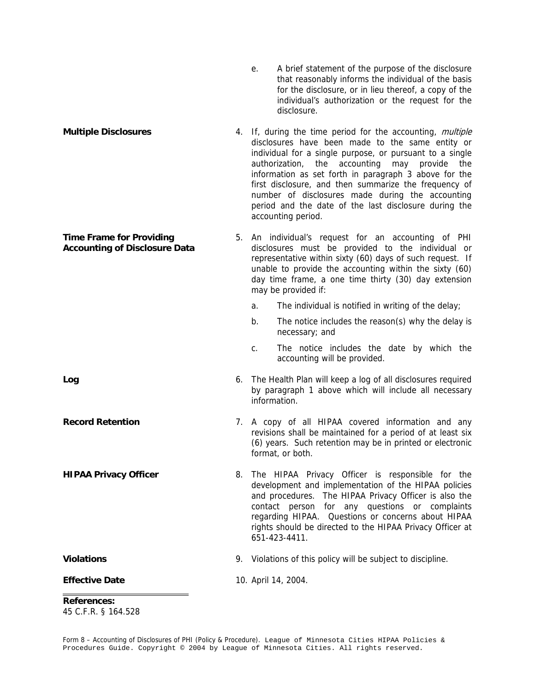e. A brief statement of the purpose of the disclosure that reasonably informs the individual of the basis for the disclosure, or in lieu thereof, a copy of the individual's authorization or the request for the disclosure.

**Multiple Disclosures 4.** If, during the time period for the accounting, *multiple* disclosures have been made to the same entity or individual for a single purpose, or pursuant to a single authorization, the accounting may provide the information as set forth in paragraph 3 above for the first disclosure, and then summarize the frequency of number of disclosures made during the accounting period and the date of the last disclosure during the accounting period.

**Time Frame for Providing Accounting of Disclosure Data**  5. An individual's request for an accounting of PHI disclosures must be provided to the individual or representative within sixty (60) days of such request. If unable to provide the accounting within the sixty (60) day time frame, a one time thirty (30) day extension may be provided if:

a. The individual is notified in writing of the delay;

b. The notice includes the reason(s) why the delay is necessary; and

c. The notice includes the date by which the accounting will be provided.

**Log 6.** The Health Plan will keep a log of all disclosures required by paragraph 1 above which will include all necessary information.

**Record Retention 7. A copy of all HIPAA covered information and any** revisions shall be maintained for a period of at least six (6) years. Such retention may be in printed or electronic format, or both.

**HIPAA Privacy Officer** 8. The HIPAA Privacy Officer is responsible for the development and implementation of the HIPAA policies and procedures. The HIPAA Privacy Officer is also the contact person for any questions or complaints regarding HIPAA. Questions or concerns about HIPAA rights should be directed to the HIPAA Privacy Officer at 651-423-4411.

**Violations** 9. Violations of this policy will be subject to discipline.

**Effective Date 10. April 14, 2004.** 

**References:**  45 C.F.R. § 164.528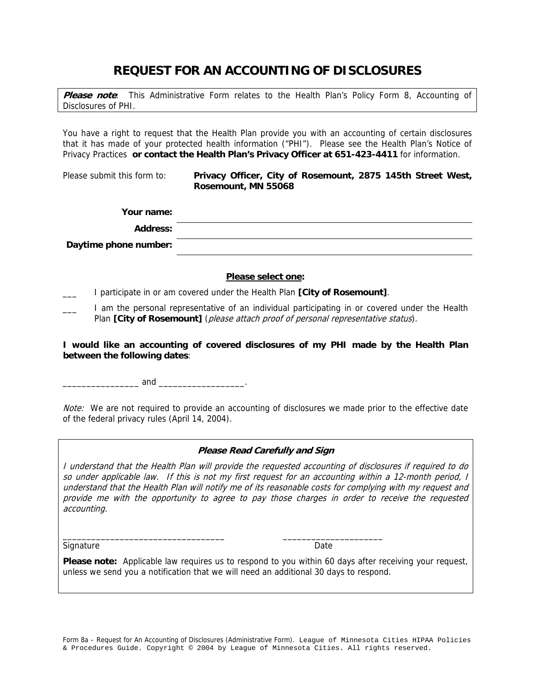# **REQUEST FOR AN ACCOUNTING OF DISCLOSURES**

**Please note**:This Administrative Form relates to the Health Plan's Policy Form 8, Accounting of Disclosures of PHI.

You have a right to request that the Health Plan provide you with an accounting of certain disclosures that it has made of your protected health information ("PHI"). Please see the Health Plan's Notice of Privacy Practices **or contact the Health Plan's Privacy Officer at 651-423-4411** for information.

Please submit this form to: **Privacy Officer, City of Rosemount, 2875 145th Street West, Rosemount, MN 55068** 

| Your name:            |  |
|-----------------------|--|
| <b>Address:</b>       |  |
| Daytime phone number: |  |

#### **Please select one:**

\_\_\_ I participate in or am covered under the Health Plan **[City of Rosemount]**.

I am the personal representative of an individual participating in or covered under the Health Plan **[City of Rosemount]** (please attach proof of personal representative status).

**I would like an accounting of covered disclosures of my PHI made by the Health Plan between the following dates**:

and  $\frac{1}{\sqrt{1-\frac{1}{2}}}$ 

Note: We are not required to provide an accounting of disclosures we made prior to the effective date of the federal privacy rules (April 14, 2004).

#### **Please Read Carefully and Sign**

I understand that the Health Plan will provide the requested accounting of disclosures if required to do so under applicable law. If this is not my first request for an accounting within a 12-month period, I understand that the Health Plan will notify me of its reasonable costs for complying with my request and provide me with the opportunity to agree to pay those charges in order to receive the requested accounting.

Signature Date

**Please note:** Applicable law requires us to respond to you within 60 days after receiving your request, unless we send you a notification that we will need an additional 30 days to respond.

\_\_\_\_\_\_\_\_\_\_\_\_\_\_\_\_\_\_\_\_\_\_\_\_\_\_\_\_\_\_\_\_\_\_ \_\_\_\_\_\_\_\_\_\_\_\_\_\_\_\_\_\_\_\_\_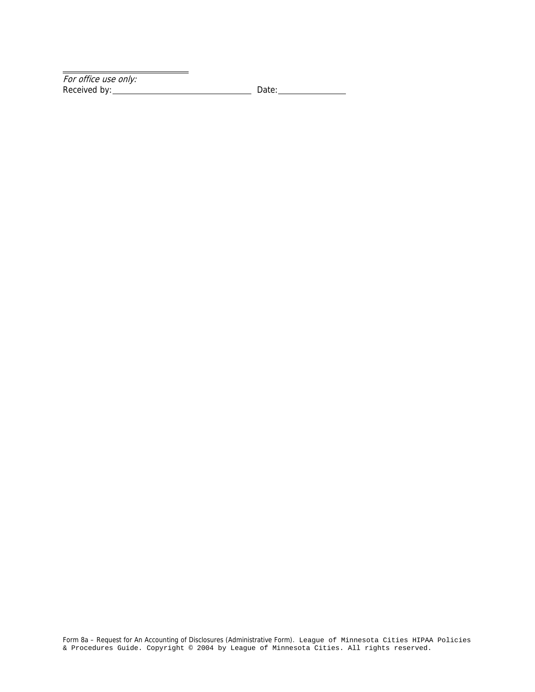For office use only: Received by: Date: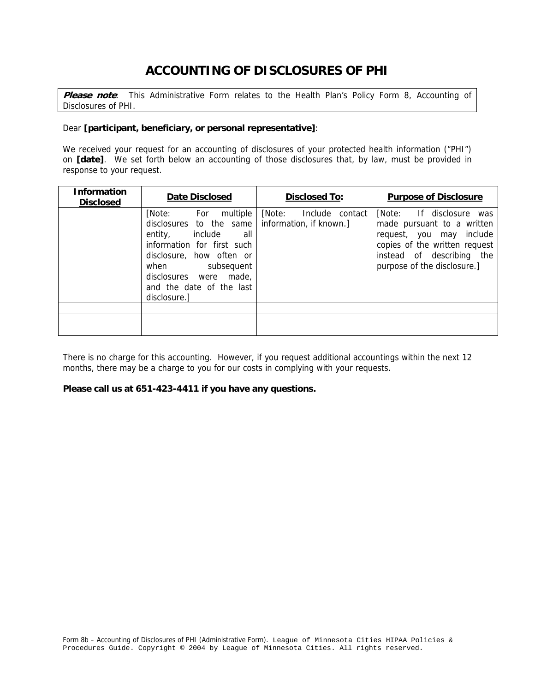# **ACCOUNTING OF DISCLOSURES OF PHI**

**Please note**:This Administrative Form relates to the Health Plan's Policy Form 8, Accounting of Disclosures of PHI.

#### Dear **[participant, beneficiary, or personal representative]**:

We received your request for an accounting of disclosures of your protected health information ("PHI") on **[date]**. We set forth below an accounting of those disclosures that, by law, must be provided in response to your request.

| <b>Information</b><br><b>Disclosed</b> | <b>Date Disclosed</b>                                                                                                                                                                                                              | <b>Disclosed To:</b>                              | <b>Purpose of Disclosure</b>                                                                                                                                                    |
|----------------------------------------|------------------------------------------------------------------------------------------------------------------------------------------------------------------------------------------------------------------------------------|---------------------------------------------------|---------------------------------------------------------------------------------------------------------------------------------------------------------------------------------|
|                                        | [Note: For<br>multiple<br>disclosures to the same<br>include<br>entity,<br>all a<br>information for first such<br>disclosure, how often or<br>when subsequent<br>disclosures were made,<br>and the date of the last<br>disclosure. | [Note: Include contact<br>information, if known.] | [Note: If disclosure was<br>made pursuant to a written<br>request, you may include<br>copies of the written request<br>instead of describing the<br>purpose of the disclosure.] |
|                                        |                                                                                                                                                                                                                                    |                                                   |                                                                                                                                                                                 |
|                                        |                                                                                                                                                                                                                                    |                                                   |                                                                                                                                                                                 |
|                                        |                                                                                                                                                                                                                                    |                                                   |                                                                                                                                                                                 |

There is no charge for this accounting. However, if you request additional accountings within the next 12 months, there may be a charge to you for our costs in complying with your requests.

#### **Please call us at 651-423-4411 if you have any questions.**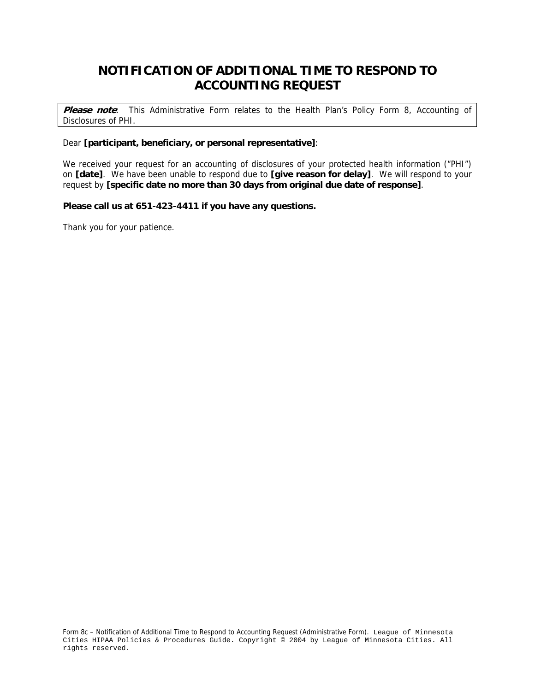# **NOTIFICATION OF ADDITIONAL TIME TO RESPOND TO ACCOUNTING REQUEST**

**Please note**:This Administrative Form relates to the Health Plan's Policy Form 8, Accounting of Disclosures of PHI.

Dear **[participant, beneficiary, or personal representative]**:

We received your request for an accounting of disclosures of your protected health information ("PHI") on **[date]**. We have been unable to respond due to **[give reason for delay]**. We will respond to your request by **[specific date no more than 30 days from original due date of response]**.

#### **Please call us at 651-423-4411 if you have any questions.**

Thank you for your patience.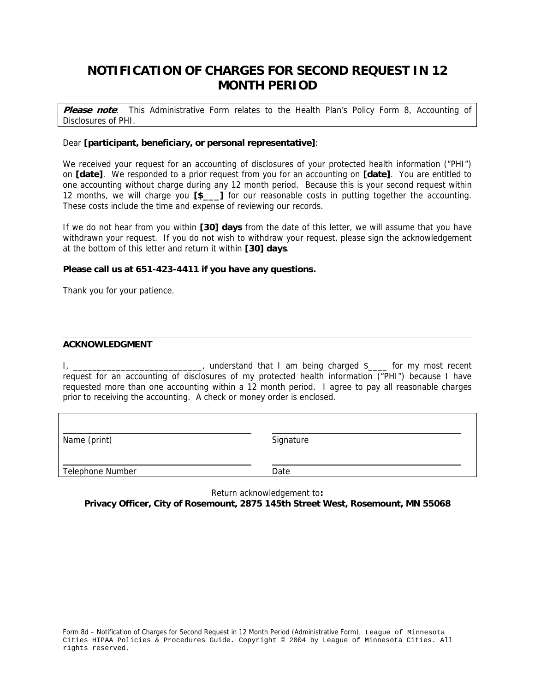# **NOTIFICATION OF CHARGES FOR SECOND REQUEST IN 12 MONTH PERIOD**

**Please note**:This Administrative Form relates to the Health Plan's Policy Form 8, Accounting of Disclosures of PHI.

#### Dear **[participant, beneficiary, or personal representative]**:

We received your request for an accounting of disclosures of your protected health information ("PHI") on **[date]**. We responded to a prior request from you for an accounting on **[date]**. You are entitled to one accounting without charge during any 12 month period. Because this is your second request within 12 months, we will charge you **[\$\_\_\_]** for our reasonable costs in putting together the accounting. These costs include the time and expense of reviewing our records.

If we do not hear from you within **[30] days** from the date of this letter, we will assume that you have withdrawn your request. If you do not wish to withdraw your request, please sign the acknowledgement at the bottom of this letter and return it within **[30] days**.

#### **Please call us at 651-423-4411 if you have any questions.**

Thank you for your patience.

#### **ACKNOWLEDGMENT**

I, \_\_\_\_\_\_\_\_\_\_\_\_\_\_\_\_\_\_\_\_\_\_\_\_\_\_\_\_, understand that I am being charged \$\_\_\_\_ for my most recent request for an accounting of disclosures of my protected health information ("PHI") because I have requested more than one accounting within a 12 month period. I agree to pay all reasonable charges prior to receiving the accounting. A check or money order is enclosed.

 $\overline{a}$ Name (print)

**Signature** 

Telephone Number

 Date

Return acknowledgement to**: Privacy Officer, City of Rosemount, 2875 145th Street West, Rosemount, MN 55068**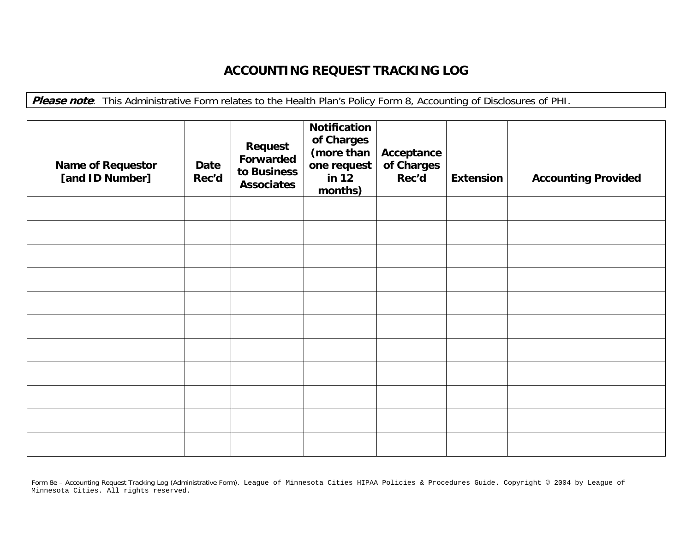# **ACCOUNTING REQUEST TRACKING LOG**

**Please note**: This Administrative Form relates to the Health Plan's Policy Form 8, Accounting of Disclosures of PHI.

| <b>Name of Requestor</b><br>[and ID Number] | <b>Date</b><br>Rec'd | <b>Request</b><br>Forwarded<br>to Business<br><b>Associates</b> | <b>Notification</b><br>of Charges<br>(more than<br>one request<br>in 12<br>months) | Acceptance<br>of Charges<br>Rec'd | <b>Extension</b> | <b>Accounting Provided</b> |
|---------------------------------------------|----------------------|-----------------------------------------------------------------|------------------------------------------------------------------------------------|-----------------------------------|------------------|----------------------------|
|                                             |                      |                                                                 |                                                                                    |                                   |                  |                            |
|                                             |                      |                                                                 |                                                                                    |                                   |                  |                            |
|                                             |                      |                                                                 |                                                                                    |                                   |                  |                            |
|                                             |                      |                                                                 |                                                                                    |                                   |                  |                            |
|                                             |                      |                                                                 |                                                                                    |                                   |                  |                            |
|                                             |                      |                                                                 |                                                                                    |                                   |                  |                            |
|                                             |                      |                                                                 |                                                                                    |                                   |                  |                            |
|                                             |                      |                                                                 |                                                                                    |                                   |                  |                            |
|                                             |                      |                                                                 |                                                                                    |                                   |                  |                            |
|                                             |                      |                                                                 |                                                                                    |                                   |                  |                            |
|                                             |                      |                                                                 |                                                                                    |                                   |                  |                            |

Form 8e – Accounting Request Tracking Log (Administrative Form). League of Minnesota Cities HIPAA Policies & Procedures Guide. Copyright © 2004 by League of Minnesota Cities. All rights reserved.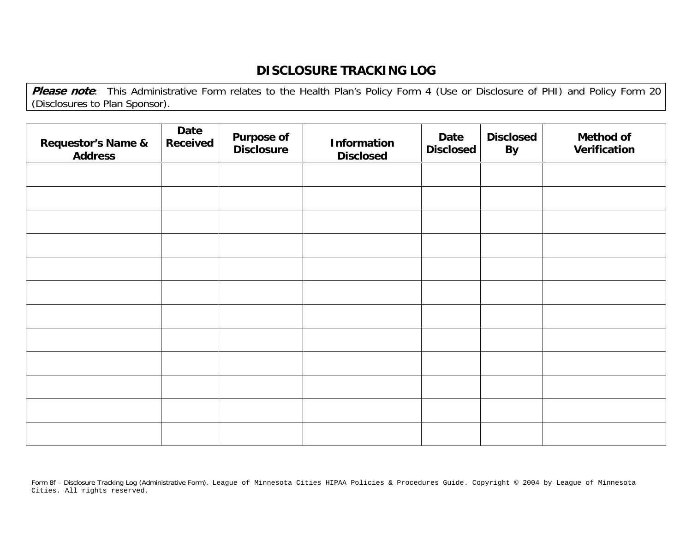# **DISCLOSURE TRACKING LOG**

**Please note**: This Administrative Form relates to the Health Plan's Policy Form 4 (Use or Disclosure of PHI) and Policy Form 20 (Disclosures to Plan Sponsor).

| Requestor's Name &<br><b>Address</b> | Date<br><b>Received</b> | <b>Purpose of<br/>Disclosure</b> | Information<br><b>Disclosed</b> | Date<br><b>Disclosed</b> | <b>Disclosed</b><br>By | <b>Method of</b><br>Verification |
|--------------------------------------|-------------------------|----------------------------------|---------------------------------|--------------------------|------------------------|----------------------------------|
|                                      |                         |                                  |                                 |                          |                        |                                  |
|                                      |                         |                                  |                                 |                          |                        |                                  |
|                                      |                         |                                  |                                 |                          |                        |                                  |
|                                      |                         |                                  |                                 |                          |                        |                                  |
|                                      |                         |                                  |                                 |                          |                        |                                  |
|                                      |                         |                                  |                                 |                          |                        |                                  |
|                                      |                         |                                  |                                 |                          |                        |                                  |
|                                      |                         |                                  |                                 |                          |                        |                                  |
|                                      |                         |                                  |                                 |                          |                        |                                  |
|                                      |                         |                                  |                                 |                          |                        |                                  |
|                                      |                         |                                  |                                 |                          |                        |                                  |
|                                      |                         |                                  |                                 |                          |                        |                                  |

Form 8f – Disclosure Tracking Log (Administrative Form). League of Minnesota Cities HIPAA Policies & Procedures Guide. Copyright © 2004 by League of Minnesota Cities. All rights reserved.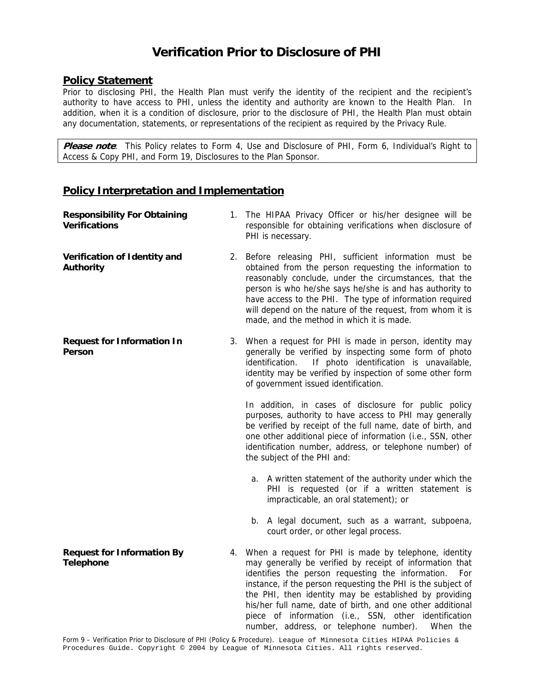# **Verification Prior to Disclosure of PHI**

### **Policy Statement**

Prior to disclosing PHI, the Health Plan must verify the identity of the recipient and the recipient's authority to have access to PHI, unless the identity and authority are known to the Health Plan. In addition, when it is a condition of disclosure, prior to the disclosure of PHI, the Health Plan must obtain any documentation, statements, or representations of the recipient as required by the Privacy Rule.

Please note: This Policy relates to Form 4, Use and Disclosure of PHI, Form 6, Individual's Right to Access & Copy PHI, and Form 19, Disclosures to the Plan Sponsor.

### **Policy Interpretation and Implementation**

| <b>Responsibility For Obtaining</b><br><b>Verifications</b> | 1. The HIPAA Privacy Officer or his/her designee will be<br>responsible for obtaining verifications when disclosure of<br>PHI is necessary.                                                                                                                                                                                                                                                                                                                                             |
|-------------------------------------------------------------|-----------------------------------------------------------------------------------------------------------------------------------------------------------------------------------------------------------------------------------------------------------------------------------------------------------------------------------------------------------------------------------------------------------------------------------------------------------------------------------------|
| Verification of Identity and<br><b>Authority</b>            | 2. Before releasing PHI, sufficient information must be<br>obtained from the person requesting the information to<br>reasonably conclude, under the circumstances, that the<br>person is who he/she says he/she is and has authority to<br>have access to the PHI. The type of information required<br>will depend on the nature of the request, from whom it is<br>made, and the method in which it is made.                                                                           |
| <b>Request for Information In</b><br>Person                 | 3. When a request for PHI is made in person, identity may<br>generally be verified by inspecting some form of photo<br>If photo identification is unavailable,<br>identification.<br>identity may be verified by inspection of some other form<br>of government issued identification.                                                                                                                                                                                                  |
|                                                             | In addition, in cases of disclosure for public policy<br>purposes, authority to have access to PHI may generally<br>be verified by receipt of the full name, date of birth, and<br>one other additional piece of information (i.e., SSN, other<br>identification number, address, or telephone number) of<br>the subject of the PHI and:                                                                                                                                                |
|                                                             | a. A written statement of the authority under which the<br>PHI is requested (or if a written statement is<br>impracticable, an oral statement); or                                                                                                                                                                                                                                                                                                                                      |
|                                                             | b. A legal document, such as a warrant, subpoena,<br>court order, or other legal process.                                                                                                                                                                                                                                                                                                                                                                                               |
| <b>Request for Information By</b><br><b>Telephone</b>       | 4. When a request for PHI is made by telephone, identity<br>may generally be verified by receipt of information that<br>identifies the person requesting the information.<br>For<br>instance, if the person requesting the PHI is the subject of<br>the PHI, then identity may be established by providing<br>his/her full name, date of birth, and one other additional<br>piece of information (i.e., SSN, other identification<br>number, address, or telephone number).<br>When the |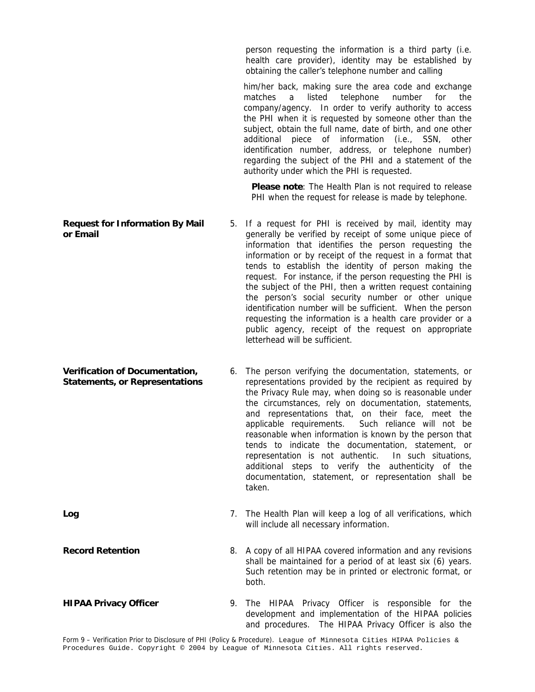person requesting the information is a third party (i.e. health care provider), identity may be established by obtaining the caller's telephone number and calling

him/her back, making sure the area code and exchange matches a listed telephone number for the company/agency. In order to verify authority to access the PHI when it is requested by someone other than the subject, obtain the full name, date of birth, and one other additional piece of information (i.e., SSN, other identification number, address, or telephone number) regarding the subject of the PHI and a statement of the authority under which the PHI is requested.

**Please note**: The Health Plan is not required to release PHI when the request for release is made by telephone.

- **Request for Information By Mail or Email** 5. If a request for PHI is received by mail, identity may generally be verified by receipt of some unique piece of information that identifies the person requesting the information or by receipt of the request in a format that tends to establish the identity of person making the request. For instance, if the person requesting the PHI is the subject of the PHI, then a written request containing the person's social security number or other unique identification number will be sufficient. When the person requesting the information is a health care provider or a public agency, receipt of the request on appropriate letterhead will be sufficient.
- **Verification of Documentation, Statements, or Representations**  6. The person verifying the documentation, statements, or representations provided by the recipient as required by the Privacy Rule may, when doing so is reasonable under the circumstances, rely on documentation, statements, and representations that, on their face, meet the applicable requirements. Such reliance will not be reasonable when information is known by the person that tends to indicate the documentation, statement, or representation is not authentic. In such situations, additional steps to verify the authenticity of the documentation, statement, or representation shall be taken.
- **Log** 7. The Health Plan will keep a log of all verifications, which will include all necessary information.
- **Record Retention 8.** A copy of all HIPAA covered information and any revisions shall be maintained for a period of at least six (6) years. Such retention may be in printed or electronic format, or both.
- **HIPAA Privacy Officer** 9. The HIPAA Privacy Officer is responsible for the development and implementation of the HIPAA policies and procedures. The HIPAA Privacy Officer is also the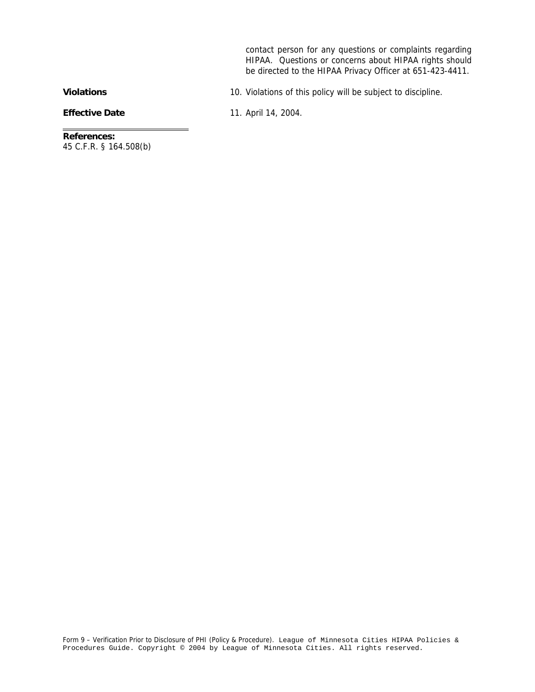contact person for any questions or complaints regarding HIPAA. Questions or concerns about HIPAA rights should be directed to the HIPAA Privacy Officer at 651-423-4411.

**Violations** 10. Violations of this policy will be subject to discipline.

**Effective Date 11. April 14, 2004.** 

**References:** 45 C.F.R. § 164.508(b)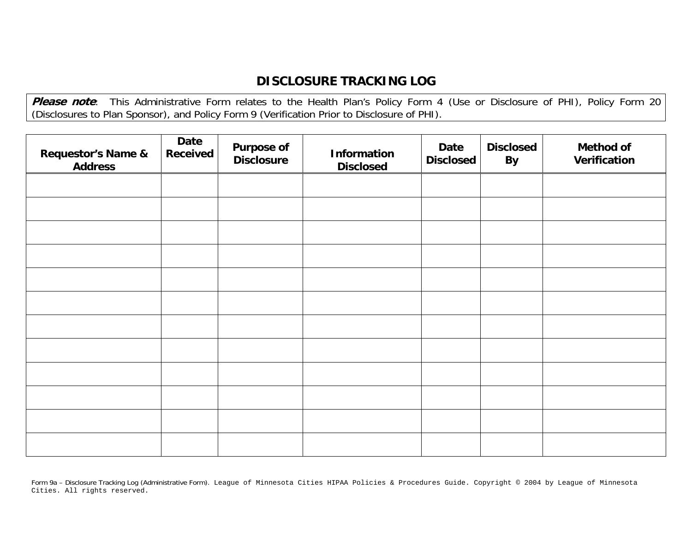# **DISCLOSURE TRACKING LOG**

**Please note**: This Administrative Form relates to the Health Plan's Policy Form 4 (Use or Disclosure of PHI), Policy Form 20 (Disclosures to Plan Sponsor), and Policy Form 9 (Verification Prior to Disclosure of PHI).

| <b>Requestor's Name &amp;</b><br><b>Address</b> | Date<br><b>Received</b> | <b>Purpose of</b><br><b>Disclosure</b> | Information<br><b>Disclosed</b> | Date<br><b>Disclosed</b> | <b>Disclosed</b><br><b>By</b> | <b>Method of</b><br>Verification |
|-------------------------------------------------|-------------------------|----------------------------------------|---------------------------------|--------------------------|-------------------------------|----------------------------------|
|                                                 |                         |                                        |                                 |                          |                               |                                  |
|                                                 |                         |                                        |                                 |                          |                               |                                  |
|                                                 |                         |                                        |                                 |                          |                               |                                  |
|                                                 |                         |                                        |                                 |                          |                               |                                  |
|                                                 |                         |                                        |                                 |                          |                               |                                  |
|                                                 |                         |                                        |                                 |                          |                               |                                  |
|                                                 |                         |                                        |                                 |                          |                               |                                  |
|                                                 |                         |                                        |                                 |                          |                               |                                  |
|                                                 |                         |                                        |                                 |                          |                               |                                  |
|                                                 |                         |                                        |                                 |                          |                               |                                  |
|                                                 |                         |                                        |                                 |                          |                               |                                  |
|                                                 |                         |                                        |                                 |                          |                               |                                  |

Form 9a – Disclosure Tracking Log (Administrative Form). League of Minnesota Cities HIPAA Policies & Procedures Guide. Copyright © 2004 by League of Minnesota Cities. All rights reserved.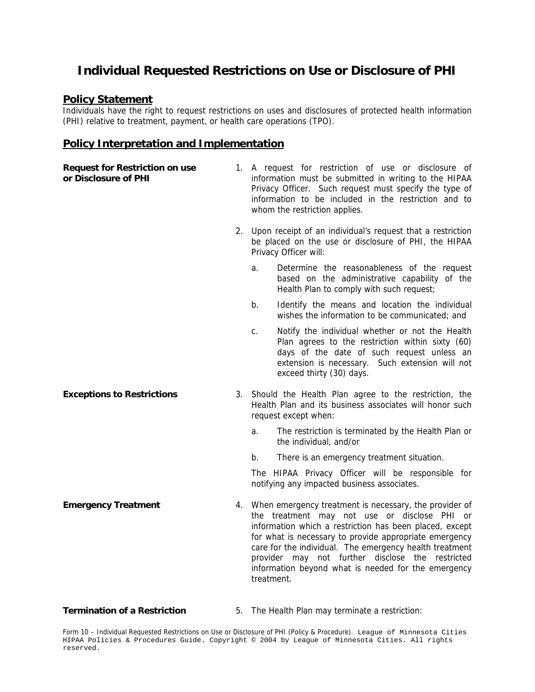## **Individual Requested Restrictions on Use or Disclosure of PHI**

### **Policy Statement**

Individuals have the right to request restrictions on uses and disclosures of protected health information (PHI) relative to treatment, payment, or health care operations (TPO).

### **Policy Interpretation and Implementation**

| <b>Request for Restriction on use</b><br>or Disclosure of PHI |    | 1. A request for restriction of use or disclosure of<br>information must be submitted in writing to the HIPAA<br>Privacy Officer. Such request must specify the type of<br>information to be included in the restriction and to<br>whom the restriction applies.                                                                                                                                                |
|---------------------------------------------------------------|----|-----------------------------------------------------------------------------------------------------------------------------------------------------------------------------------------------------------------------------------------------------------------------------------------------------------------------------------------------------------------------------------------------------------------|
|                                                               |    | 2. Upon receipt of an individual's request that a restriction<br>be placed on the use or disclosure of PHI, the HIPAA<br>Privacy Officer will:                                                                                                                                                                                                                                                                  |
|                                                               |    | Determine the reasonableness of the request<br>a.<br>based on the administrative capability of the<br>Health Plan to comply with such request;                                                                                                                                                                                                                                                                  |
|                                                               |    | b.<br>Identify the means and location the individual<br>wishes the information to be communicated; and                                                                                                                                                                                                                                                                                                          |
|                                                               |    | Notify the individual whether or not the Health<br>C.<br>Plan agrees to the restriction within sixty (60)<br>days of the date of such request unless an<br>extension is necessary. Such extension will not<br>exceed thirty (30) days.                                                                                                                                                                          |
| <b>Exceptions to Restrictions</b>                             |    | 3. Should the Health Plan agree to the restriction, the<br>Health Plan and its business associates will honor such<br>request except when:                                                                                                                                                                                                                                                                      |
|                                                               |    | The restriction is terminated by the Health Plan or<br>a.<br>the individual, and/or                                                                                                                                                                                                                                                                                                                             |
|                                                               |    | There is an emergency treatment situation.<br>b.                                                                                                                                                                                                                                                                                                                                                                |
|                                                               |    | The HIPAA Privacy Officer will be responsible for<br>notifying any impacted business associates.                                                                                                                                                                                                                                                                                                                |
| <b>Emergency Treatment</b>                                    | 4. | When emergency treatment is necessary, the provider of<br>the treatment may not use or disclose PHI or<br>information which a restriction has been placed, except<br>for what is necessary to provide appropriate emergency<br>care for the individual. The emergency health treatment<br>provider may not further disclose the restricted<br>information beyond what is needed for the emergency<br>treatment. |

#### **Termination of a Restriction 5.** The Health Plan may terminate a restriction:

Form 10 – Individual Requested Restrictions on Use or Disclosure of PHI (Policy & Procedure). League of Minnesota Cities HIPAA Policies & Procedures Guide. Copyright © 2004 by League of Minnesota Cities. All rights reserved.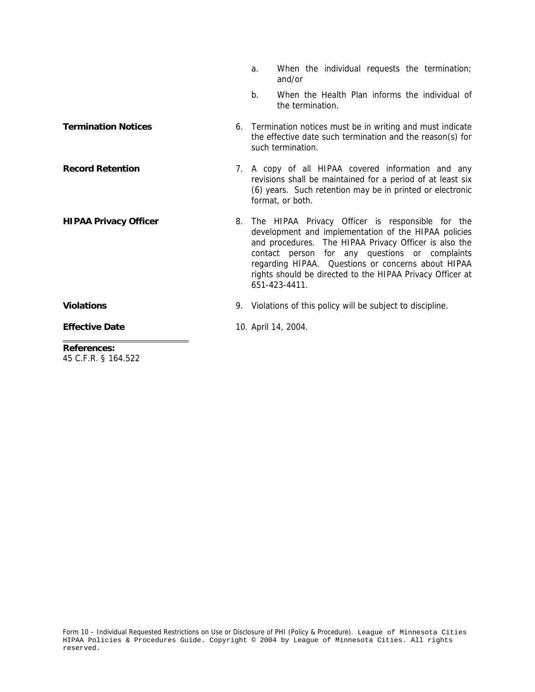|                              |    | When the individual requests the termination;<br>a.<br>and/or                                                                                                                                                                                                                                                                                           |
|------------------------------|----|---------------------------------------------------------------------------------------------------------------------------------------------------------------------------------------------------------------------------------------------------------------------------------------------------------------------------------------------------------|
|                              |    | When the Health Plan informs the individual of<br>b <sub>1</sub><br>the termination.                                                                                                                                                                                                                                                                    |
| <b>Termination Notices</b>   |    | 6. Termination notices must be in writing and must indicate<br>the effective date such termination and the reason(s) for<br>such termination.                                                                                                                                                                                                           |
| <b>Record Retention</b>      |    | 7. A copy of all HIPAA covered information and any<br>revisions shall be maintained for a period of at least six<br>(6) years. Such retention may be in printed or electronic<br>format, or both.                                                                                                                                                       |
| <b>HIPAA Privacy Officer</b> | 8. | The HIPAA Privacy Officer is responsible for the<br>development and implementation of the HIPAA policies<br>and procedures. The HIPAA Privacy Officer is also the<br>contact person for any questions or complaints<br>regarding HIPAA. Questions or concerns about HIPAA<br>rights should be directed to the HIPAA Privacy Officer at<br>651-423-4411. |
| <b>Violations</b>            |    | 9. Violations of this policy will be subject to discipline.                                                                                                                                                                                                                                                                                             |
| <b>Effective Date</b>        |    | 10. April 14, 2004.                                                                                                                                                                                                                                                                                                                                     |
| <b>References:</b>           |    |                                                                                                                                                                                                                                                                                                                                                         |

45 C.F.R. § 164.522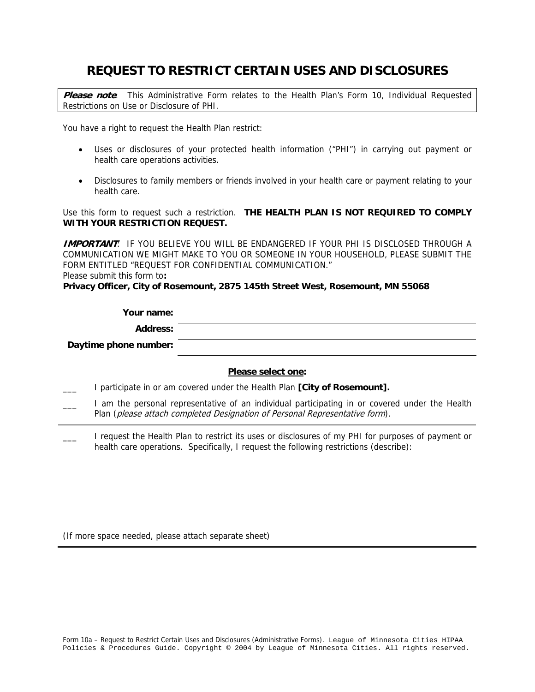## **REQUEST TO RESTRICT CERTAIN USES AND DISCLOSURES**

**Please note**:This Administrative Form relates to the Health Plan's Form 10, Individual Requested Restrictions on Use or Disclosure of PHI.

You have a right to request the Health Plan restrict:

- Uses or disclosures of your protected health information ("PHI") in carrying out payment or health care operations activities.
- Disclosures to family members or friends involved in your health care or payment relating to your health care.

Use this form to request such a restriction. **THE HEALTH PLAN IS NOT REQUIRED TO COMPLY WITH YOUR RESTRICTION REQUEST.** 

**IMPORTANT**: IF YOU BELIEVE YOU WILL BE ENDANGERED IF YOUR PHI IS DISCLOSED THROUGH A COMMUNICATION WE MIGHT MAKE TO YOU OR SOMEONE IN YOUR HOUSEHOLD, PLEASE SUBMIT THE FORM ENTITLED "REQUEST FOR CONFIDENTIAL COMMUNICATION." Please submit this form to**: Privacy Officer, City of Rosemount, 2875 145th Street West, Rosemount, MN 55068**

| Your name:            |  |
|-----------------------|--|
| <b>Address:</b>       |  |
| Daytime phone number: |  |

#### **Please select one:**

- \_\_\_ I participate in or am covered under the Health Plan **[City of Rosemount].**
- I am the personal representative of an individual participating in or covered under the Health Plan (please attach completed Designation of Personal Representative form).
- I request the Health Plan to restrict its uses or disclosures of my PHI for purposes of payment or health care operations. Specifically, I request the following restrictions (describe):

(If more space needed, please attach separate sheet)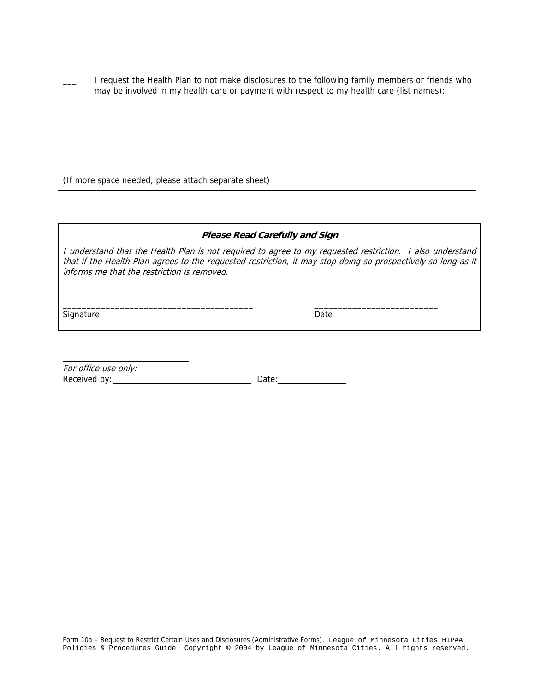I request the Health Plan to not make disclosures to the following family members or friends who may be involved in my health care or payment with respect to my health care (list names):

(If more space needed, please attach separate sheet)

#### **Please Read Carefully and Sign**

I understand that the Health Plan is not required to agree to my requested restriction. I also understand that if the Health Plan agrees to the requested restriction, it may stop doing so prospectively so long as it informs me that the restriction is removed.

\_\_\_\_\_\_\_\_\_\_\_\_\_\_\_\_\_\_\_\_\_\_\_\_\_\_\_\_\_\_\_\_\_\_\_\_\_\_\_\_ \_\_\_\_\_\_\_\_\_\_\_\_\_\_\_\_\_\_\_\_\_\_\_\_\_\_

Signature Date Date Communications and Date Date

For office use only: Received by: Date: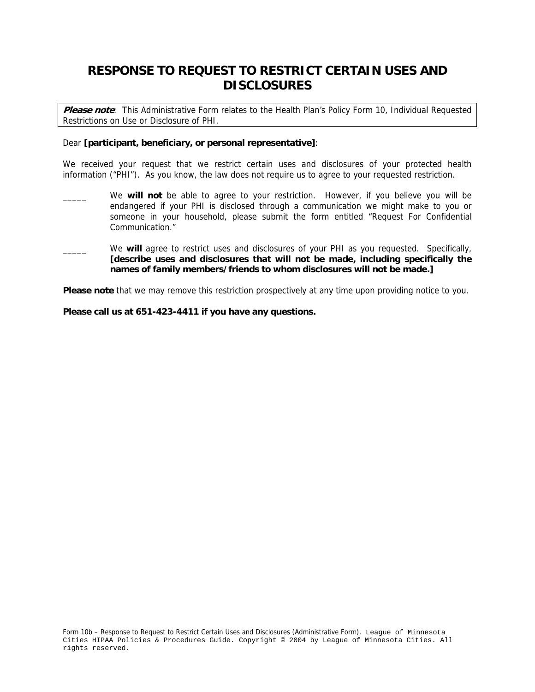## **RESPONSE TO REQUEST TO RESTRICT CERTAIN USES AND DISCLOSURES**

Please note: This Administrative Form relates to the Health Plan's Policy Form 10, Individual Requested Restrictions on Use or Disclosure of PHI.

#### Dear **[participant, beneficiary, or personal representative]**:

We received your request that we restrict certain uses and disclosures of your protected health information ("PHI"). As you know, the law does not require us to agree to your requested restriction.

- We **will not** be able to agree to your restriction. However, if you believe you will be endangered if your PHI is disclosed through a communication we might make to you or someone in your household, please submit the form entitled "Request For Confidential Communication."
- We will agree to restrict uses and disclosures of your PHI as you requested. Specifically, **[describe uses and disclosures that will not be made, including specifically the names of family members/friends to whom disclosures will not be made.]**

**Please note** that we may remove this restriction prospectively at any time upon providing notice to you.

**Please call us at 651-423-4411 if you have any questions.**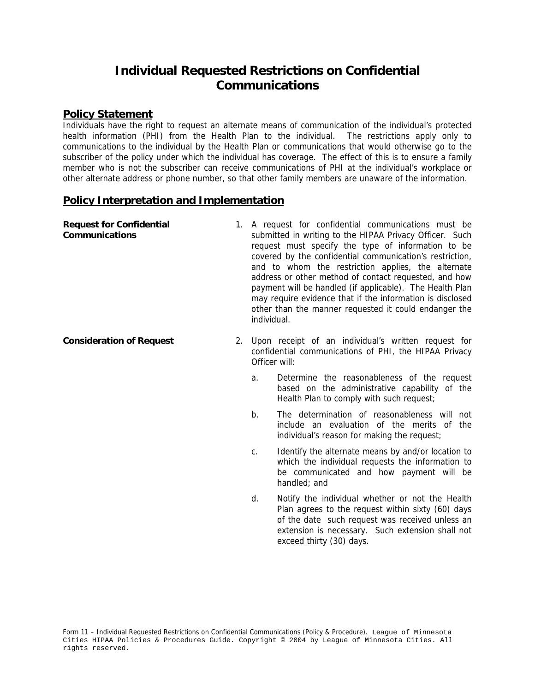## **Individual Requested Restrictions on Confidential Communications**

### **Policy Statement**

Individuals have the right to request an alternate means of communication of the individual's protected health information (PHI) from the Health Plan to the individual. The restrictions apply only to communications to the individual by the Health Plan or communications that would otherwise go to the subscriber of the policy under which the individual has coverage. The effect of this is to ensure a family member who is not the subscriber can receive communications of PHI at the individual's workplace or other alternate address or phone number, so that other family members are unaware of the information.

### **Policy Interpretation and Implementation**

| <b>Request for Confidential</b><br><b>Communications</b> | individual.   | 1. A request for confidential communications must be<br>submitted in writing to the HIPAA Privacy Officer. Such<br>request must specify the type of information to be<br>covered by the confidential communication's restriction,<br>and to whom the restriction applies, the alternate<br>address or other method of contact requested, and how<br>payment will be handled (if applicable). The Health Plan<br>may require evidence that if the information is disclosed<br>other than the manner requested it could endanger the |
|----------------------------------------------------------|---------------|------------------------------------------------------------------------------------------------------------------------------------------------------------------------------------------------------------------------------------------------------------------------------------------------------------------------------------------------------------------------------------------------------------------------------------------------------------------------------------------------------------------------------------|
| <b>Consideration of Request</b>                          | Officer will: | 2. Upon receipt of an individual's written request for<br>confidential communications of PHI, the HIPAA Privacy                                                                                                                                                                                                                                                                                                                                                                                                                    |
|                                                          | a.            | Determine the reasonableness of the request<br>based on the administrative capability of the<br>Health Plan to comply with such request;                                                                                                                                                                                                                                                                                                                                                                                           |
|                                                          | $b$ .         | The determination of reasonableness will not<br>include an evaluation of the merits of the<br>individual's reason for making the request;                                                                                                                                                                                                                                                                                                                                                                                          |
|                                                          | C.            | Identify the alternate means by and/or location to<br>which the individual requests the information to<br>be communicated and how payment will be<br>handled; and                                                                                                                                                                                                                                                                                                                                                                  |
|                                                          | d.            | Notify the individual whether or not the Health<br>Plan agrees to the request within sixty (60) days                                                                                                                                                                                                                                                                                                                                                                                                                               |

of the date such request was received unless an extension is necessary. Such extension shall not

exceed thirty (30) days.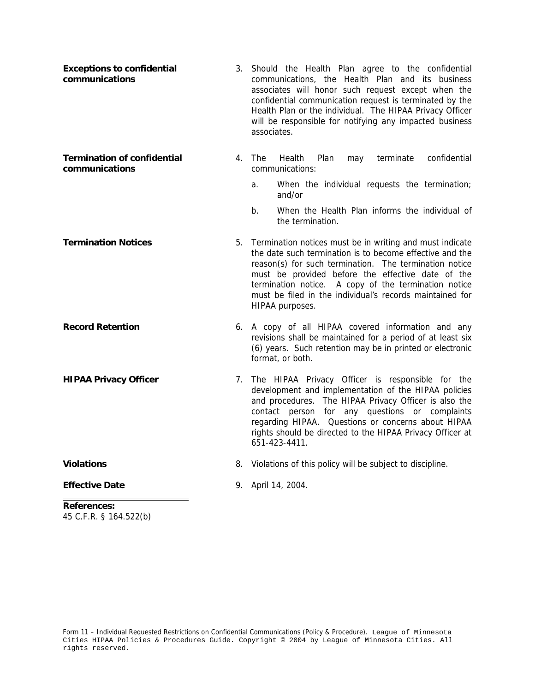| <b>Exceptions to confidential</b><br>communications  |    | 3. Should the Health Plan agree to the confidential<br>communications, the Health Plan and its business<br>associates will honor such request except when the<br>confidential communication request is terminated by the<br>Health Plan or the individual. The HIPAA Privacy Officer<br>will be responsible for notifying any impacted business<br>associates.             |
|------------------------------------------------------|----|----------------------------------------------------------------------------------------------------------------------------------------------------------------------------------------------------------------------------------------------------------------------------------------------------------------------------------------------------------------------------|
| <b>Termination of confidential</b><br>communications | 4. | Health<br>confidential<br>The<br>Plan<br>terminate<br>may<br>communications:                                                                                                                                                                                                                                                                                               |
|                                                      |    | When the individual requests the termination;<br>a.<br>and/or                                                                                                                                                                                                                                                                                                              |
|                                                      |    | b.<br>When the Health Plan informs the individual of<br>the termination.                                                                                                                                                                                                                                                                                                   |
| <b>Termination Notices</b>                           | 5. | Termination notices must be in writing and must indicate<br>the date such termination is to become effective and the<br>reason(s) for such termination. The termination notice<br>must be provided before the effective date of the<br>termination notice. A copy of the termination notice<br>must be filed in the individual's records maintained for<br>HIPAA purposes. |
| <b>Record Retention</b>                              |    | 6. A copy of all HIPAA covered information and any<br>revisions shall be maintained for a period of at least six<br>(6) years. Such retention may be in printed or electronic<br>format, or both.                                                                                                                                                                          |
| <b>HIPAA Privacy Officer</b>                         |    | 7. The HIPAA Privacy Officer is responsible for the<br>development and implementation of the HIPAA policies<br>and procedures. The HIPAA Privacy Officer is also the<br>contact person for any questions or complaints<br>regarding HIPAA. Questions or concerns about HIPAA<br>rights should be directed to the HIPAA Privacy Officer at<br>651-423-4411.                 |
| <b>Violations</b>                                    | 8. | Violations of this policy will be subject to discipline.                                                                                                                                                                                                                                                                                                                   |
| <b>Effective Date</b>                                |    | 9. April 14, 2004.                                                                                                                                                                                                                                                                                                                                                         |

**References:**  45 C.F.R. § 164.522(b)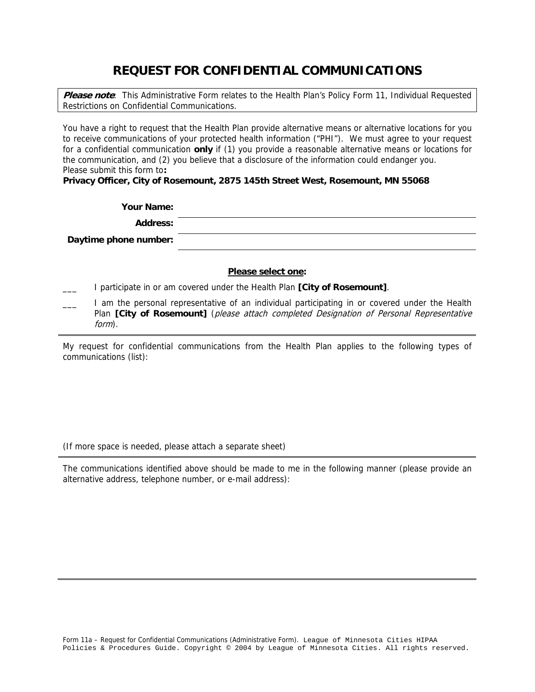# **REQUEST FOR CONFIDENTIAL COMMUNICATIONS**

**Please note**:This Administrative Form relates to the Health Plan's Policy Form 11, Individual Requested Restrictions on Confidential Communications.

You have a right to request that the Health Plan provide alternative means or alternative locations for you to receive communications of your protected health information ("PHI"). We must agree to your request for a confidential communication **only** if (1) you provide a reasonable alternative means or locations for the communication, and (2) you believe that a disclosure of the information could endanger you. Please submit this form to**:** 

**Privacy Officer, City of Rosemount, 2875 145th Street West, Rosemount, MN 55068**

| Your Name:            |  |
|-----------------------|--|
| <b>Address:</b>       |  |
| Daytime phone number: |  |

#### **Please select one:**

- \_\_\_ I participate in or am covered under the Health Plan **[City of Rosemount]**.
- I am the personal representative of an individual participating in or covered under the Health Plan **[City of Rosemount]** (please attach completed Designation of Personal Representative form).

My request for confidential communications from the Health Plan applies to the following types of communications (list):

(If more space is needed, please attach a separate sheet)

The communications identified above should be made to me in the following manner (please provide an alternative address, telephone number, or e-mail address):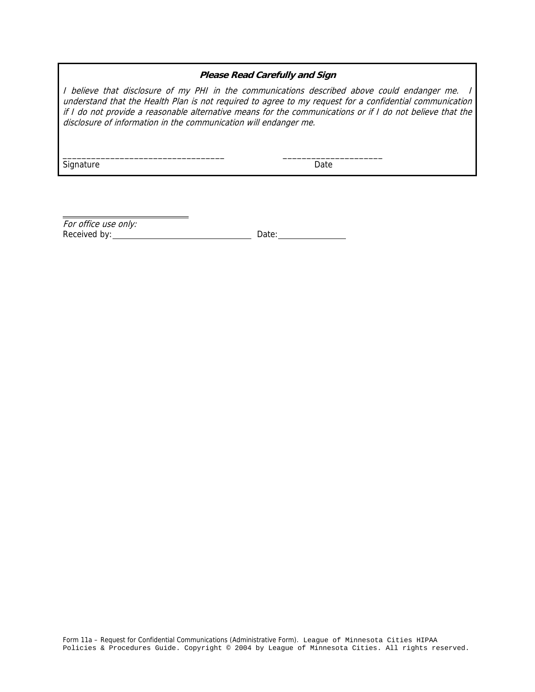#### **Please Read Carefully and Sign**

I believe that disclosure of my PHI in the communications described above could endanger me. I understand that the Health Plan is not required to agree to my request for a confidential communication if I do not provide a reasonable alternative means for the communications or if I do not believe that the disclosure of information in the communication will endanger me.

Signature Date

 For office use only: Received by: Date:

\_\_\_\_\_\_\_\_\_\_\_\_\_\_\_\_\_\_\_\_\_\_\_\_\_\_\_\_\_\_\_\_\_\_ \_\_\_\_\_\_\_\_\_\_\_\_\_\_\_\_\_\_\_\_\_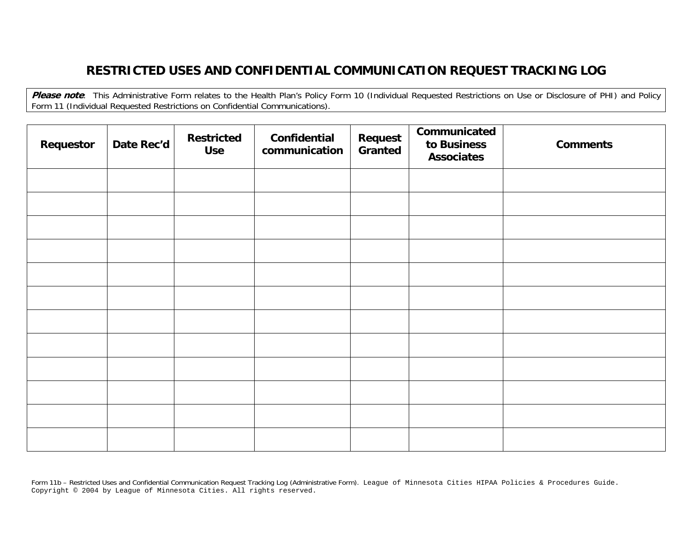# **RESTRICTED USES AND CONFIDENTIAL COMMUNICATION REQUEST TRACKING LOG**

**Please note**: This Administrative Form relates to the Health Plan's Policy Form 10 (Individual Requested Restrictions on Use or Disclosure of PHI) and Policy Form 11 (Individual Requested Restrictions on Confidential Communications).

| Requestor | Date Rec'd | <b>Restricted</b><br><b>Use</b> | Confidential<br>communication | <b>Request</b><br>Granted | Communicated<br>to Business<br><b>Associates</b> | <b>Comments</b> |
|-----------|------------|---------------------------------|-------------------------------|---------------------------|--------------------------------------------------|-----------------|
|           |            |                                 |                               |                           |                                                  |                 |
|           |            |                                 |                               |                           |                                                  |                 |
|           |            |                                 |                               |                           |                                                  |                 |
|           |            |                                 |                               |                           |                                                  |                 |
|           |            |                                 |                               |                           |                                                  |                 |
|           |            |                                 |                               |                           |                                                  |                 |
|           |            |                                 |                               |                           |                                                  |                 |
|           |            |                                 |                               |                           |                                                  |                 |
|           |            |                                 |                               |                           |                                                  |                 |
|           |            |                                 |                               |                           |                                                  |                 |
|           |            |                                 |                               |                           |                                                  |                 |
|           |            |                                 |                               |                           |                                                  |                 |

Form 11b – Restricted Uses and Confidential Communication Request Tracking Log (Administrative Form). League of Minnesota Cities HIPAA Policies & Procedures Guide. Copyright © 2004 by League of Minnesota Cities. All rights reserved.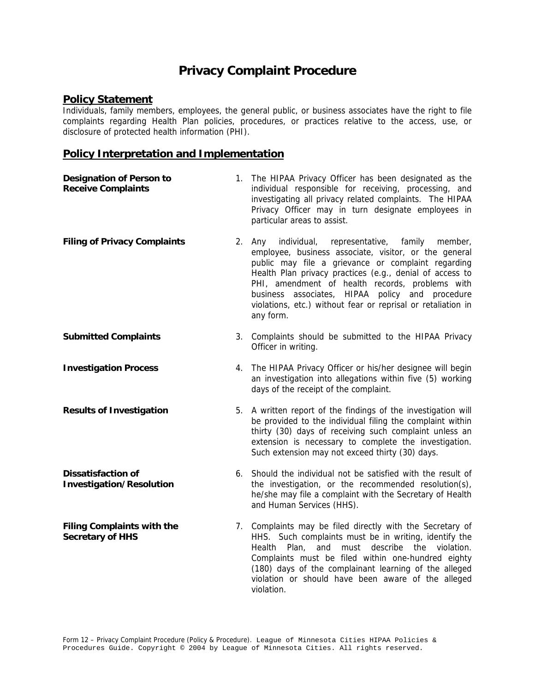# **Privacy Complaint Procedure**

### **Policy Statement**

Individuals, family members, employees, the general public, or business associates have the right to file complaints regarding Health Plan policies, procedures, or practices relative to the access, use, or disclosure of protected health information (PHI).

### **Policy Interpretation and Implementation**

| <b>Designation of Person to</b><br><b>Receive Complaints</b> | 1. The HIPAA Privacy Officer has been designated as the<br>individual responsible for receiving, processing, and<br>investigating all privacy related complaints. The HIPAA<br>Privacy Officer may in turn designate employees in<br>particular areas to assist.                                                                                                                                                         |
|--------------------------------------------------------------|--------------------------------------------------------------------------------------------------------------------------------------------------------------------------------------------------------------------------------------------------------------------------------------------------------------------------------------------------------------------------------------------------------------------------|
| <b>Filing of Privacy Complaints</b>                          | 2. Any<br>individual,<br>representative, family<br>member,<br>employee, business associate, visitor, or the general<br>public may file a grievance or complaint regarding<br>Health Plan privacy practices (e.g., denial of access to<br>PHI, amendment of health records, problems with<br>business associates, HIPAA policy and procedure<br>violations, etc.) without fear or reprisal or retaliation in<br>any form. |
| <b>Submitted Complaints</b>                                  | 3. Complaints should be submitted to the HIPAA Privacy<br>Officer in writing.                                                                                                                                                                                                                                                                                                                                            |
| <b>Investigation Process</b>                                 | 4. The HIPAA Privacy Officer or his/her designee will begin<br>an investigation into allegations within five (5) working<br>days of the receipt of the complaint.                                                                                                                                                                                                                                                        |
| <b>Results of Investigation</b>                              | 5. A written report of the findings of the investigation will<br>be provided to the individual filing the complaint within<br>thirty (30) days of receiving such complaint unless an<br>extension is necessary to complete the investigation.<br>Such extension may not exceed thirty (30) days.                                                                                                                         |
| <b>Dissatisfaction of</b><br><b>Investigation/Resolution</b> | 6. Should the individual not be satisfied with the result of<br>the investigation, or the recommended resolution(s),<br>he/she may file a complaint with the Secretary of Health<br>and Human Services (HHS).                                                                                                                                                                                                            |
| <b>Filing Complaints with the</b><br><b>Secretary of HHS</b> | 7. Complaints may be filed directly with the Secretary of<br>HHS. Such complaints must be in writing, identify the<br>Health Plan, and must describe the violation.<br>Complaints must be filed within one-hundred eighty<br>(180) days of the complainant learning of the alleged<br>violation or should have been aware of the alleged<br>violation.                                                                   |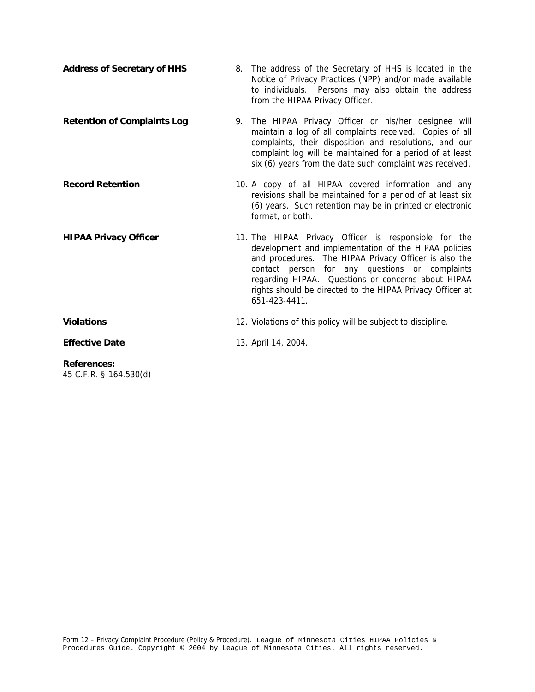| <b>Address of Secretary of HHS</b> | 8. The address of the Secretary of HHS is located in the<br>Notice of Privacy Practices (NPP) and/or made available<br>to individuals. Persons may also obtain the address<br>from the HIPAA Privacy Officer.                                                                                                                                               |
|------------------------------------|-------------------------------------------------------------------------------------------------------------------------------------------------------------------------------------------------------------------------------------------------------------------------------------------------------------------------------------------------------------|
| <b>Retention of Complaints Log</b> | 9. The HIPAA Privacy Officer or his/her designee will<br>maintain a log of all complaints received. Copies of all<br>complaints, their disposition and resolutions, and our<br>complaint log will be maintained for a period of at least<br>six (6) years from the date such complaint was received.                                                        |
| <b>Record Retention</b>            | 10. A copy of all HIPAA covered information and any<br>revisions shall be maintained for a period of at least six<br>(6) years. Such retention may be in printed or electronic<br>format, or both.                                                                                                                                                          |
| <b>HIPAA Privacy Officer</b>       | 11. The HIPAA Privacy Officer is responsible for the<br>development and implementation of the HIPAA policies<br>and procedures. The HIPAA Privacy Officer is also the<br>contact person for any questions or complaints<br>regarding HIPAA. Questions or concerns about HIPAA<br>rights should be directed to the HIPAA Privacy Officer at<br>651-423-4411. |
| <b>Violations</b>                  | 12. Violations of this policy will be subject to discipline.                                                                                                                                                                                                                                                                                                |
| <b>Effective Date</b>              | 13. April 14, 2004.                                                                                                                                                                                                                                                                                                                                         |
| <b>References:</b>                 |                                                                                                                                                                                                                                                                                                                                                             |

45 C.F.R. § 164.530(d)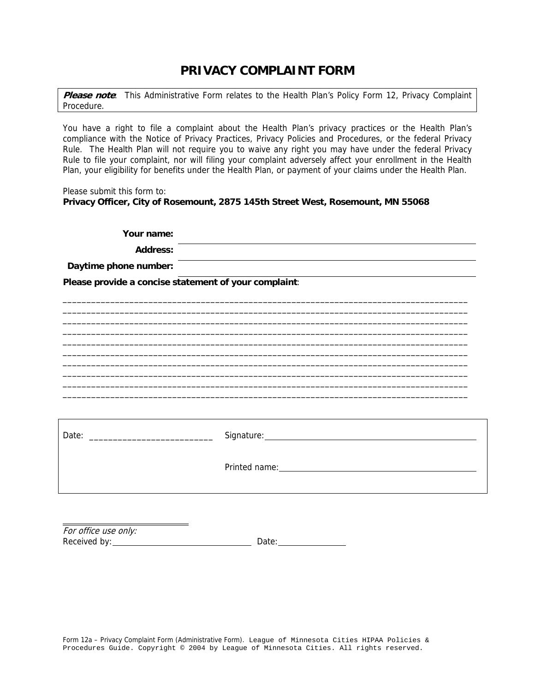### **PRIVACY COMPLAINT FORM**

**Please note**:This Administrative Form relates to the Health Plan's Policy Form 12, Privacy Complaint Procedure.

You have a right to file a complaint about the Health Plan's privacy practices or the Health Plan's compliance with the Notice of Privacy Practices, Privacy Policies and Procedures, or the federal Privacy Rule. The Health Plan will not require you to waive any right you may have under the federal Privacy Rule to file your complaint, nor will filing your complaint adversely affect your enrollment in the Health Plan, your eligibility for benefits under the Health Plan, or payment of your claims under the Health Plan.

#### Please submit this form to: **Privacy Officer, City of Rosemount, 2875 145th Street West, Rosemount, MN 55068**

| <b>Address:</b><br>Daytime phone number:<br>Please provide a concise statement of your complaint: |                                                                                                                |
|---------------------------------------------------------------------------------------------------|----------------------------------------------------------------------------------------------------------------|
|                                                                                                   |                                                                                                                |
|                                                                                                   |                                                                                                                |
|                                                                                                   |                                                                                                                |
|                                                                                                   |                                                                                                                |
|                                                                                                   |                                                                                                                |
|                                                                                                   |                                                                                                                |
|                                                                                                   |                                                                                                                |
|                                                                                                   |                                                                                                                |
|                                                                                                   |                                                                                                                |
|                                                                                                   |                                                                                                                |
|                                                                                                   |                                                                                                                |
|                                                                                                   | Printed name: Note and the series of the series of the series of the series of the series of the series of the |
|                                                                                                   |                                                                                                                |
| For office use only:                                                                              |                                                                                                                |

Received by: Date: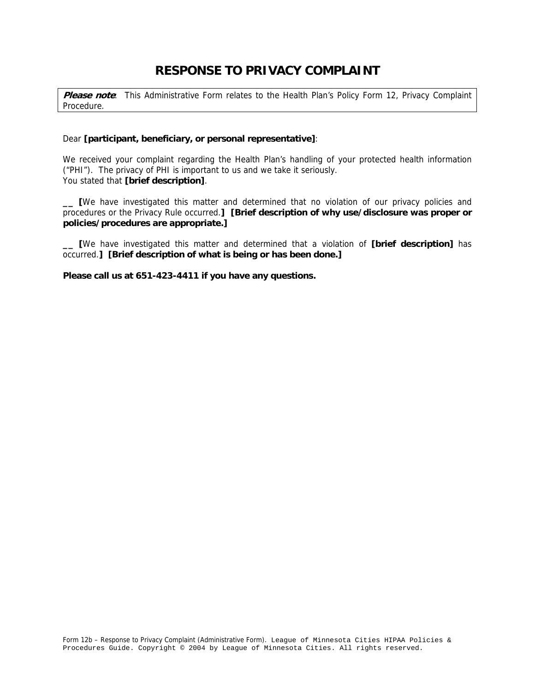## **RESPONSE TO PRIVACY COMPLAINT**

**Please note**:This Administrative Form relates to the Health Plan's Policy Form 12, Privacy Complaint Procedure.

#### Dear **[participant, beneficiary, or personal representative]**:

We received your complaint regarding the Health Plan's handling of your protected health information ("PHI"). The privacy of PHI is important to us and we take it seriously. You stated that **[brief description]**.

**\_\_ [**We have investigated this matter and determined that no violation of our privacy policies and procedures or the Privacy Rule occurred.**] [Brief description of why use/disclosure was proper or policies/procedures are appropriate.]** 

**\_\_ [**We have investigated this matter and determined that a violation of **[brief description]** has occurred.**] [Brief description of what is being or has been done.]**

**Please call us at 651-423-4411 if you have any questions.**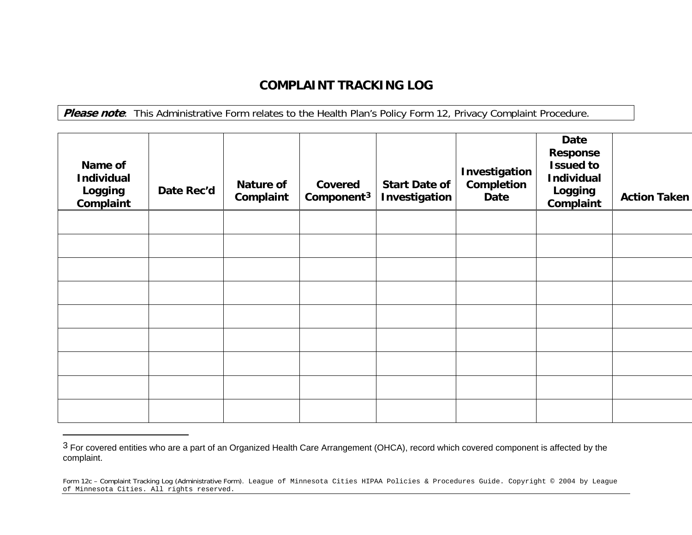# **COMPLAINT TRACKING LOG**

**Please note**: This Administrative Form relates to the Health Plan's Policy Form 12, Privacy Complaint Procedure.

| Name of<br><b>Individual</b><br>Logging<br>Complaint | Date Rec'd | <b>Nature of</b><br>Complaint | Covered<br>Component <sup>3</sup> | <b>Start Date of</b><br>Investigation | Investigation<br>Completion<br>Date | Date<br><b>Response</b><br><b>Issued to</b><br><b>Individual</b><br>Logging<br>Complaint | <b>Action Taken</b> |
|------------------------------------------------------|------------|-------------------------------|-----------------------------------|---------------------------------------|-------------------------------------|------------------------------------------------------------------------------------------|---------------------|
|                                                      |            |                               |                                   |                                       |                                     |                                                                                          |                     |
|                                                      |            |                               |                                   |                                       |                                     |                                                                                          |                     |
|                                                      |            |                               |                                   |                                       |                                     |                                                                                          |                     |
|                                                      |            |                               |                                   |                                       |                                     |                                                                                          |                     |
|                                                      |            |                               |                                   |                                       |                                     |                                                                                          |                     |
|                                                      |            |                               |                                   |                                       |                                     |                                                                                          |                     |
|                                                      |            |                               |                                   |                                       |                                     |                                                                                          |                     |
|                                                      |            |                               |                                   |                                       |                                     |                                                                                          |                     |
|                                                      |            |                               |                                   |                                       |                                     |                                                                                          |                     |

<span id="page-67-0"></span><sup>&</sup>lt;sup>3</sup> For covered entities who are a part of an Organized Health Care Arrangement (OHCA), record which covered component is affected by the complaint.

Form 12c – Complaint Tracking Log (Administrative Form). League of Minnesota Cities HIPAA Policies & Procedures Guide. Copyright © 2004 by League of Minnesota Cities. All rights reserved.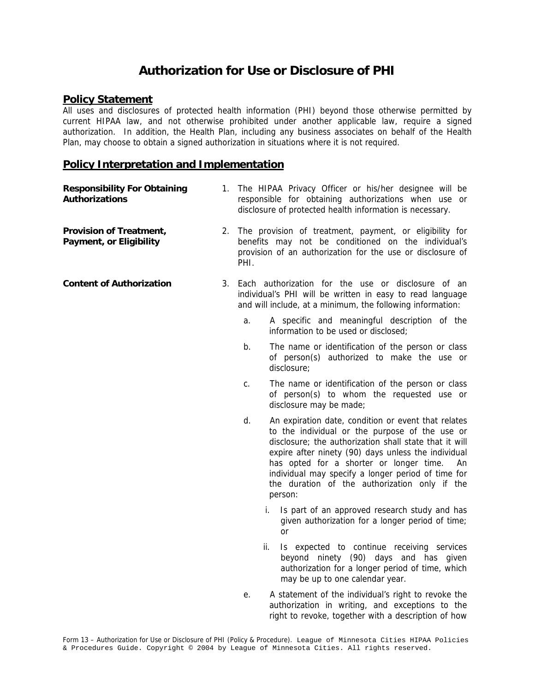# **Authorization for Use or Disclosure of PHI**

### **Policy Statement**

All uses and disclosures of protected health information (PHI) beyond those otherwise permitted by current HIPAA law, and not otherwise prohibited under another applicable law, require a signed authorization. In addition, the Health Plan, including any business associates on behalf of the Health Plan, may choose to obtain a signed authorization in situations where it is not required.

### **Policy Interpretation and Implementation**

| <b>Responsibility For Obtaining</b><br><b>Authorizations</b> |    | The HIPAA Privacy Officer or his/her designee will be<br>responsible for obtaining authorizations when use or<br>disclosure of protected health information is necessary.                                                                                                                                                                                                                       |
|--------------------------------------------------------------|----|-------------------------------------------------------------------------------------------------------------------------------------------------------------------------------------------------------------------------------------------------------------------------------------------------------------------------------------------------------------------------------------------------|
| Provision of Treatment,<br><b>Payment, or Eligibility</b>    | 2. | The provision of treatment, payment, or eligibility for<br>benefits may not be conditioned on the individual's<br>provision of an authorization for the use or disclosure of<br>PHI.                                                                                                                                                                                                            |
| <b>Content of Authorization</b>                              | 3. | Each authorization for the use or disclosure of an<br>individual's PHI will be written in easy to read language<br>and will include, at a minimum, the following information:                                                                                                                                                                                                                   |
|                                                              |    | A specific and meaningful description of the<br>a.<br>information to be used or disclosed;                                                                                                                                                                                                                                                                                                      |
|                                                              |    | b.<br>The name or identification of the person or class<br>of person(s) authorized to make the use or<br>disclosure;                                                                                                                                                                                                                                                                            |
|                                                              |    | The name or identification of the person or class<br>C.<br>of person(s) to whom the requested use or<br>disclosure may be made;                                                                                                                                                                                                                                                                 |
|                                                              |    | d.<br>An expiration date, condition or event that relates<br>to the individual or the purpose of the use or<br>disclosure; the authorization shall state that it will<br>expire after ninety (90) days unless the individual<br>has opted for a shorter or longer time.<br>An<br>individual may specify a longer period of time for<br>the duration of the authorization only if the<br>person: |
|                                                              |    | i.<br>Is part of an approved research study and has<br>given authorization for a longer period of time;<br>or                                                                                                                                                                                                                                                                                   |
|                                                              |    | Is expected to continue receiving services<br>ii.<br>beyond ninety (90) days and has given<br>authorization for a longer period of time, which<br>may be up to one calendar year.                                                                                                                                                                                                               |

e. A statement of the individual's right to revoke the authorization in writing, and exceptions to the right to revoke, together with a description of how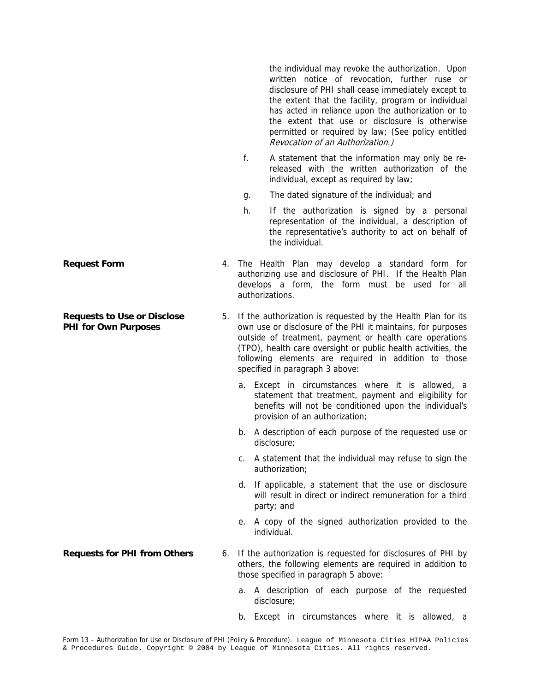the individual may revoke the authorization. Upon written notice of revocation, further ruse or disclosure of PHI shall cease immediately except to the extent that the facility, program or individual has acted in reliance upon the authorization or to the extent that use or disclosure is otherwise permitted or required by law; (See policy entitled Revocation of an Authorization.)

- f. A statement that the information may only be rereleased with the written authorization of the individual, except as required by law;
- g. The dated signature of the individual; and
- h. If the authorization is signed by a personal representation of the individual, a description of the representative's authority to act on behalf of the individual.
- **Request Form 4. The Health Plan may develop a standard form for** authorizing use and disclosure of PHI. If the Health Plan develops a form, the form must be used for all authorizations.
	- 5. If the authorization is requested by the Health Plan for its own use or disclosure of the PHI it maintains, for purposes outside of treatment, payment or health care operations (TPO), health care oversight or public health activities, the following elements are required in addition to those specified in paragraph 3 above:
		- a. Except in circumstances where it is allowed, a statement that treatment, payment and eligibility for benefits will not be conditioned upon the individual's provision of an authorization;
		- b. A description of each purpose of the requested use or disclosure;
		- c. A statement that the individual may refuse to sign the authorization;
		- d. If applicable, a statement that the use or disclosure will result in direct or indirect remuneration for a third party; and
		- e. A copy of the signed authorization provided to the individual.
- **Requests for PHI from Others** 6. If the authorization is requested for disclosures of PHI by others, the following elements are required in addition to those specified in paragraph 5 above:
	- a. A description of each purpose of the requested disclosure;
	- b. Except in circumstances where it is allowed, a

**Requests to Use or Disclose PHI for Own Purposes**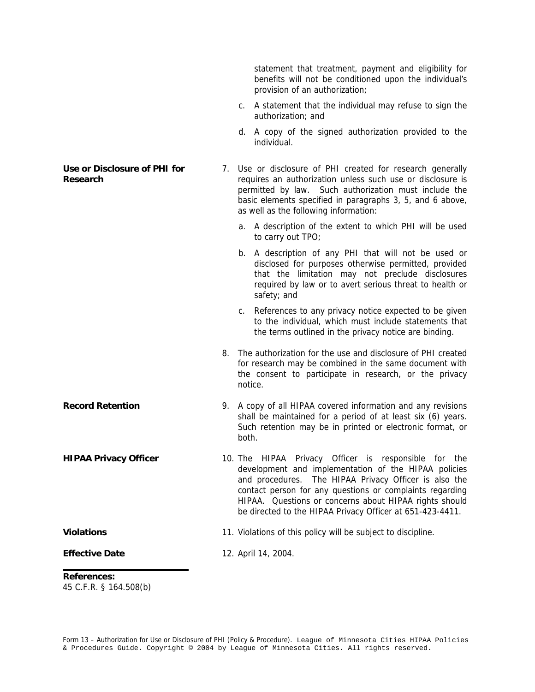statement that treatment, payment and eligibility for benefits will not be conditioned upon the individual's provision of an authorization;

- c. A statement that the individual may refuse to sign the authorization; and
- d. A copy of the signed authorization provided to the individual.

7. Use or disclosure of PHI created for research generally requires an authorization unless such use or disclosure is permitted by law. Such authorization must include the basic elements specified in paragraphs 3, 5, and 6 above, as well as the following information:

- a. A description of the extent to which PHI will be used to carry out TPO;
- b. A description of any PHI that will not be used or disclosed for purposes otherwise permitted, provided that the limitation may not preclude disclosures required by law or to avert serious threat to health or safety; and
- c. References to any privacy notice expected to be given to the individual, which must include statements that the terms outlined in the privacy notice are binding.
- 8. The authorization for the use and disclosure of PHI created for research may be combined in the same document with the consent to participate in research, or the privacy notice.
- **Record Retention** 9. A copy of all HIPAA covered information and any revisions shall be maintained for a period of at least six (6) years. Such retention may be in printed or electronic format, or both.
- **HIPAA Privacy Officer** 10. The HIPAA Privacy Officer is responsible for the development and implementation of the HIPAA policies and procedures. The HIPAA Privacy Officer is also the contact person for any questions or complaints regarding HIPAA. Questions or concerns about HIPAA rights should be directed to the HIPAA Privacy Officer at 651-423-4411.
- **Violations** 11. Violations of this policy will be subject to discipline.

**Effective Date 12. April 14, 2004.** 

**References:** 45 C.F.R. § 164.508(b)

**Use or Disclosure of PHI for** 

**Research**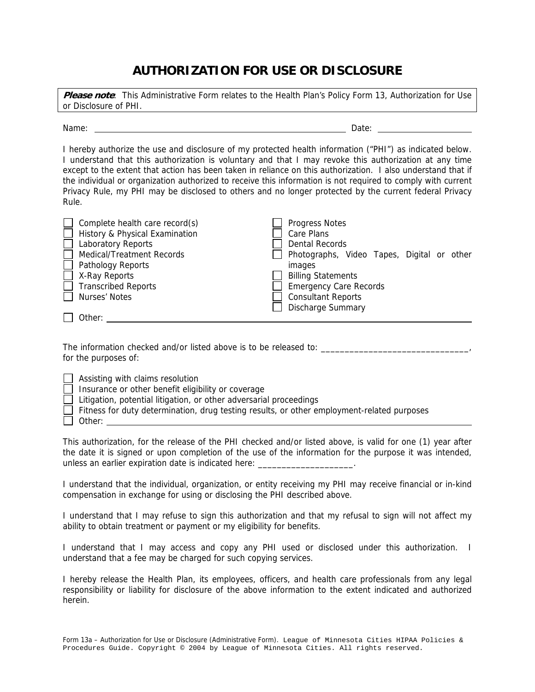### **AUTHORIZATION FOR USE OR DISCLOSURE**

| or Disclosure of PHI.                                                                                                                                                                                                                                                                                                                                                                                                                      | Please note: This Administrative Form relates to the Health Plan's Policy Form 13, Authorization for Use                                                                                                                                                                                                                                                                                                                                                                                                                                                     |
|--------------------------------------------------------------------------------------------------------------------------------------------------------------------------------------------------------------------------------------------------------------------------------------------------------------------------------------------------------------------------------------------------------------------------------------------|--------------------------------------------------------------------------------------------------------------------------------------------------------------------------------------------------------------------------------------------------------------------------------------------------------------------------------------------------------------------------------------------------------------------------------------------------------------------------------------------------------------------------------------------------------------|
| Name:<br><u> 1980 - Johann Stoff, deutscher Stoff, der Stoff, der Stoff, der Stoff, der Stoff, der Stoff, der Stoff, der S</u>                                                                                                                                                                                                                                                                                                             |                                                                                                                                                                                                                                                                                                                                                                                                                                                                                                                                                              |
| Rule.                                                                                                                                                                                                                                                                                                                                                                                                                                      | I hereby authorize the use and disclosure of my protected health information ("PHI") as indicated below.<br>I understand that this authorization is voluntary and that I may revoke this authorization at any time<br>except to the extent that action has been taken in reliance on this authorization. I also understand that if<br>the individual or organization authorized to receive this information is not required to comply with current<br>Privacy Rule, my PHI may be disclosed to others and no longer protected by the current federal Privacy |
| Complete health care record(s)<br>History & Physical Examination<br>Laboratory Reports<br>Medical/Treatment Records<br>Pathology Reports<br>X-Ray Reports<br><b>Transcribed Reports</b><br>Nurses' Notes<br>Other: and the contract of the contract of the contract of the contract of the contract of the contract of the contract of the contract of the contract of the contract of the contract of the contract of the contract of the | <b>Progress Notes</b><br><b>Care Plans</b><br><b>Dental Records</b><br>Photographs, Video Tapes, Digital or other<br>images<br><b>Billing Statements</b><br><b>Emergency Care Records</b><br><b>Consultant Reports</b><br>Discharge Summary                                                                                                                                                                                                                                                                                                                  |
| for the purposes of:                                                                                                                                                                                                                                                                                                                                                                                                                       |                                                                                                                                                                                                                                                                                                                                                                                                                                                                                                                                                              |
| Assisting with claims resolution<br>Insurance or other benefit eligibility or coverage<br>Litigation, potential litigation, or other adversarial proceedings<br>Fitness for duty determination, drug testing results, or other employment-related purposes<br>Other:                                                                                                                                                                       |                                                                                                                                                                                                                                                                                                                                                                                                                                                                                                                                                              |

This authorization, for the release of the PHI checked and/or listed above, is valid for one (1) year after the date it is signed or upon completion of the use of the information for the purpose it was intended, unless an earlier expiration date is indicated here:

I understand that the individual, organization, or entity receiving my PHI may receive financial or in-kind compensation in exchange for using or disclosing the PHI described above.

I understand that I may refuse to sign this authorization and that my refusal to sign will not affect my ability to obtain treatment or payment or my eligibility for benefits.

I understand that I may access and copy any PHI used or disclosed under this authorization. I understand that a fee may be charged for such copying services.

I hereby release the Health Plan, its employees, officers, and health care professionals from any legal responsibility or liability for disclosure of the above information to the extent indicated and authorized herein.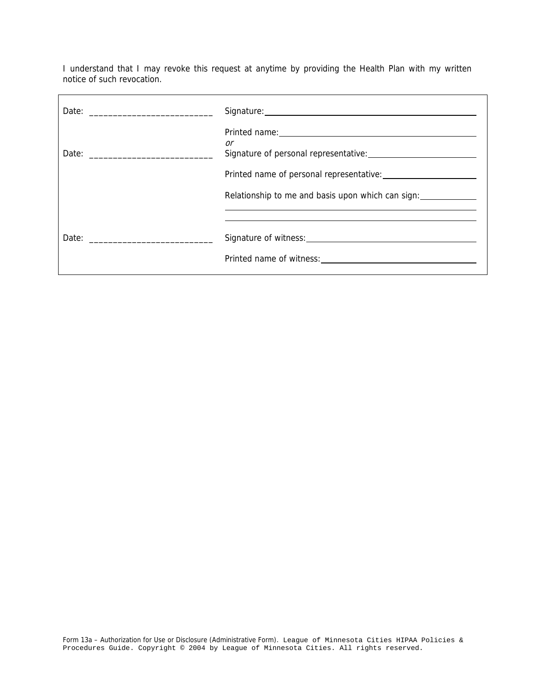I understand that I may revoke this request at anytime by providing the Health Plan with my written notice of such revocation.

| Printed name: Department of the contract of the contract of the contract of the contract of the contract of the contract of the contract of the contract of the contract of the contract of the contract of the contract of th<br>or |
|--------------------------------------------------------------------------------------------------------------------------------------------------------------------------------------------------------------------------------------|
|                                                                                                                                                                                                                                      |
| Relationship to me and basis upon which can sign:                                                                                                                                                                                    |
|                                                                                                                                                                                                                                      |
| Signature of witness:<br><u> Signature</u> of witness:                                                                                                                                                                               |
|                                                                                                                                                                                                                                      |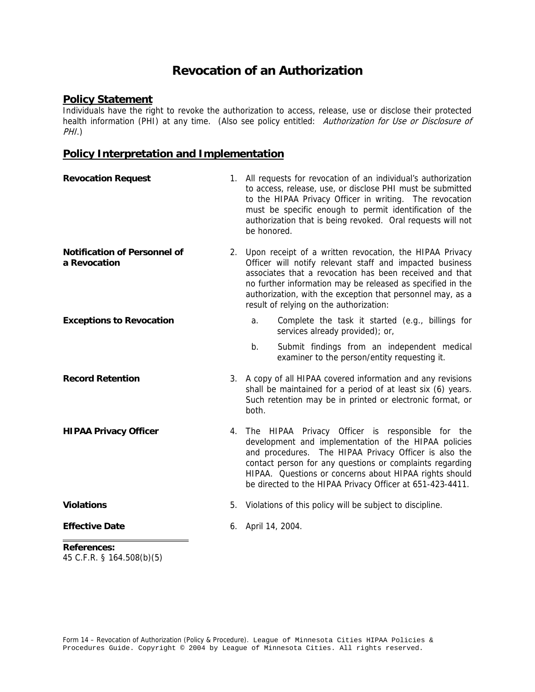# **Revocation of an Authorization**

## **Policy Statement**

Individuals have the right to revoke the authorization to access, release, use or disclose their protected health information (PHI) at any time. (Also see policy entitled: Authorization for Use or Disclosure of  $PHI.$ )

# **Policy Interpretation and Implementation**

| <b>Revocation Request</b>                           |    | 1. All requests for revocation of an individual's authorization<br>to access, release, use, or disclose PHI must be submitted<br>to the HIPAA Privacy Officer in writing. The revocation<br>must be specific enough to permit identification of the<br>authorization that is being revoked. Oral requests will not<br>be honored.                        |
|-----------------------------------------------------|----|----------------------------------------------------------------------------------------------------------------------------------------------------------------------------------------------------------------------------------------------------------------------------------------------------------------------------------------------------------|
| <b>Notification of Personnel of</b><br>a Revocation |    | 2. Upon receipt of a written revocation, the HIPAA Privacy<br>Officer will notify relevant staff and impacted business<br>associates that a revocation has been received and that<br>no further information may be released as specified in the<br>authorization, with the exception that personnel may, as a<br>result of relying on the authorization: |
| <b>Exceptions to Revocation</b>                     |    | Complete the task it started (e.g., billings for<br>a.<br>services already provided); or,                                                                                                                                                                                                                                                                |
|                                                     |    | b <sub>1</sub><br>Submit findings from an independent medical<br>examiner to the person/entity requesting it.                                                                                                                                                                                                                                            |
| <b>Record Retention</b>                             |    | 3. A copy of all HIPAA covered information and any revisions<br>shall be maintained for a period of at least six (6) years.<br>Such retention may be in printed or electronic format, or<br>both.                                                                                                                                                        |
| <b>HIPAA Privacy Officer</b>                        |    | 4. The HIPAA Privacy Officer is responsible for the<br>development and implementation of the HIPAA policies<br>and procedures. The HIPAA Privacy Officer is also the<br>contact person for any questions or complaints regarding<br>HIPAA. Questions or concerns about HIPAA rights should<br>be directed to the HIPAA Privacy Officer at 651-423-4411.  |
| <b>Violations</b>                                   | 5. | Violations of this policy will be subject to discipline.                                                                                                                                                                                                                                                                                                 |
| <b>Effective Date</b>                               |    | 6. April 14, 2004.                                                                                                                                                                                                                                                                                                                                       |
| <b>Deferences</b>                                   |    |                                                                                                                                                                                                                                                                                                                                                          |

**References:**  45 C.F.R. § 164.508(b)(5)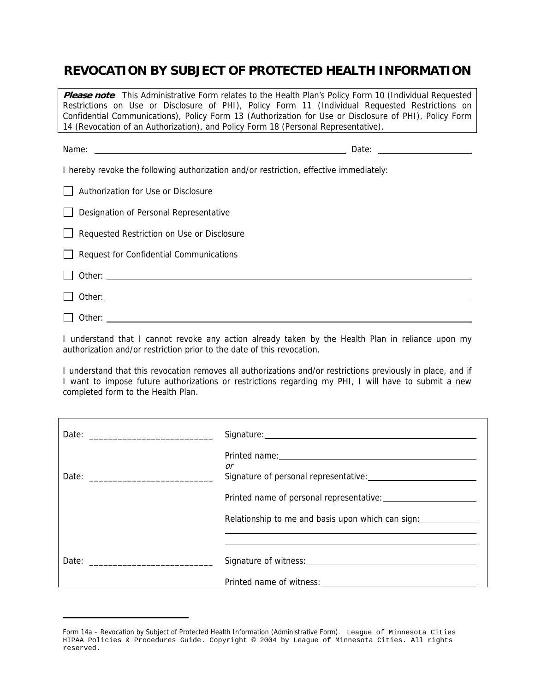# **REVOCATION BY SUBJECT OF PROTECTED HEALTH INFORMATION**

**Please note**:This Administrative Form relates to the Health Plan's Policy Form 10 (Individual Requested Restrictions on Use or Disclosure of PHI), Policy Form 11 (Individual Requested Restrictions on Confidential Communications), Policy Form 13 (Authorization for Use or Disclosure of PHI), Policy Form 14 (Revocation of an Authorization), and Policy Form 18 (Personal Representative).

| I hereby revoke the following authorization and/or restriction, effective immediately: |  |
|----------------------------------------------------------------------------------------|--|
| Authorization for Use or Disclosure                                                    |  |
| Designation of Personal Representative<br>$\mathbf{I}$                                 |  |
| Requested Restriction on Use or Disclosure<br>$\mathbf{L}$                             |  |
| $\Box$ Request for Confidential Communications                                         |  |
|                                                                                        |  |
|                                                                                        |  |
| Other: <u>www.communications.communications.com</u>                                    |  |

I understand that I cannot revoke any action already taken by the Health Plan in reliance upon my authorization and/or restriction prior to the date of this revocation.

I understand that this revocation removes all authorizations and/or restrictions previously in place, and if I want to impose future authorizations or restrictions regarding my PHI, I will have to submit a new completed form to the Health Plan.

| Printed name: <u>contract and a series of the series of the series of the series of the series of the series of the series of the series of the series of the series of the series of the series of the series of the series of </u><br>or |
|--------------------------------------------------------------------------------------------------------------------------------------------------------------------------------------------------------------------------------------------|
| Printed name of personal representative:                                                                                                                                                                                                   |
| Relationship to me and basis upon which can sign:                                                                                                                                                                                          |
|                                                                                                                                                                                                                                            |
|                                                                                                                                                                                                                                            |
|                                                                                                                                                                                                                                            |

Form 14a – Revocation by Subject of Protected Health Information (Administrative Form). League of Minnesota Cities HIPAA Policies & Procedures Guide. Copyright © 2004 by League of Minnesota Cities. All rights reserved.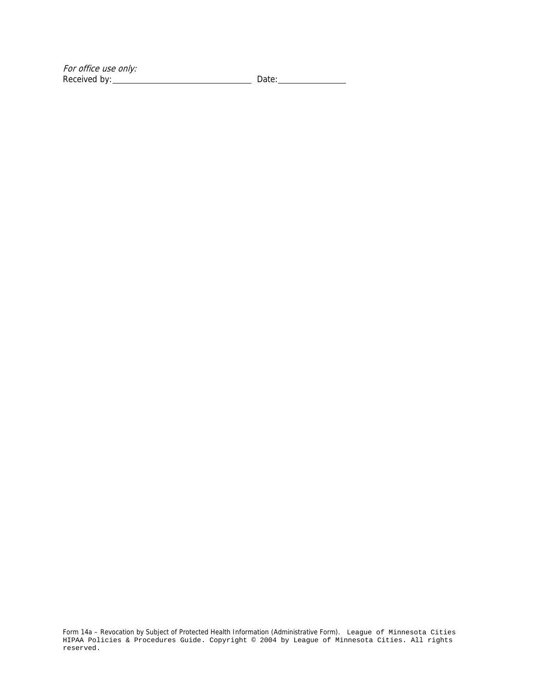For office use only: Received by: Date:

Form 14a – Revocation by Subject of Protected Health Information (Administrative Form). League of Minnesota Cities HIPAA Policies & Procedures Guide. Copyright © 2004 by League of Minnesota Cities. All rights reserved.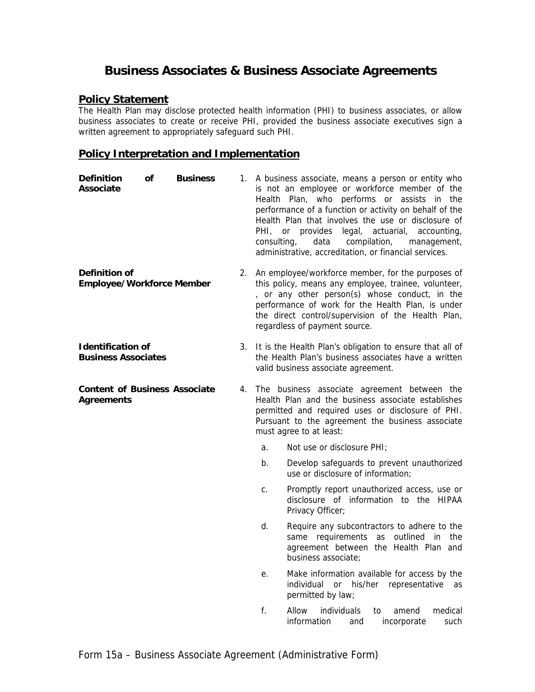# **Business Associates & Business Associate Agreements**

# **Policy Statement**

The Health Plan may disclose protected health information (PHI) to business associates, or allow business associates to create or receive PHI, provided the business associate executives sign a written agreement to appropriately safeguard such PHI.

| <b>Definition</b><br><b>Associate</b>                     | οf | <b>Business</b> | 1. | consulting, | A business associate, means a person or entity who<br>is not an employee or workforce member of the<br>Health Plan, who performs or assists in the<br>performance of a function or activity on behalf of the<br>Health Plan that involves the use or disclosure of<br>PHI, or provides legal, actuarial,<br>accounting,<br>compilation,<br>data<br>management,<br>administrative, accreditation, or financial services. |
|-----------------------------------------------------------|----|-----------------|----|-------------|-------------------------------------------------------------------------------------------------------------------------------------------------------------------------------------------------------------------------------------------------------------------------------------------------------------------------------------------------------------------------------------------------------------------------|
| Definition of<br><b>Employee/Workforce Member</b>         |    |                 | 2. |             | An employee/workforce member, for the purposes of<br>this policy, means any employee, trainee, volunteer,<br>, or any other person(s) whose conduct, in the<br>performance of work for the Health Plan, is under<br>the direct control/supervision of the Health Plan,<br>regardless of payment source.                                                                                                                 |
| <b>Identification of</b><br><b>Business Associates</b>    |    |                 | 3. |             | It is the Health Plan's obligation to ensure that all of<br>the Health Plan's business associates have a written<br>valid business associate agreement.                                                                                                                                                                                                                                                                 |
| <b>Content of Business Associate</b><br><b>Agreements</b> |    |                 | 4. |             | The business associate agreement between the<br>Health Plan and the business associate establishes<br>permitted and required uses or disclosure of PHI.<br>Pursuant to the agreement the business associate<br>must agree to at least:                                                                                                                                                                                  |
|                                                           |    |                 |    | a.          | Not use or disclosure PHI;                                                                                                                                                                                                                                                                                                                                                                                              |
|                                                           |    |                 |    | b.          | Develop safeguards to prevent unauthorized<br>use or disclosure of information;                                                                                                                                                                                                                                                                                                                                         |
|                                                           |    |                 |    | C.          | Promptly report unauthorized access, use or<br>disclosure of information to the HIPAA<br>Privacy Officer;                                                                                                                                                                                                                                                                                                               |
|                                                           |    |                 |    | d.          | Require any subcontractors to adhere to the<br>same requirements<br>outlined in<br>the<br>as<br>agreement between the Health Plan and<br>business associate;                                                                                                                                                                                                                                                            |
|                                                           |    |                 |    | е.          | Make information available for access by the<br>individual<br>his/her<br>representative<br>or<br>as<br>permitted by law;                                                                                                                                                                                                                                                                                                |
|                                                           |    |                 |    | f.          | Allow<br>individuals<br>medical<br>to<br>amend<br>information<br>and<br>incorporate<br>such                                                                                                                                                                                                                                                                                                                             |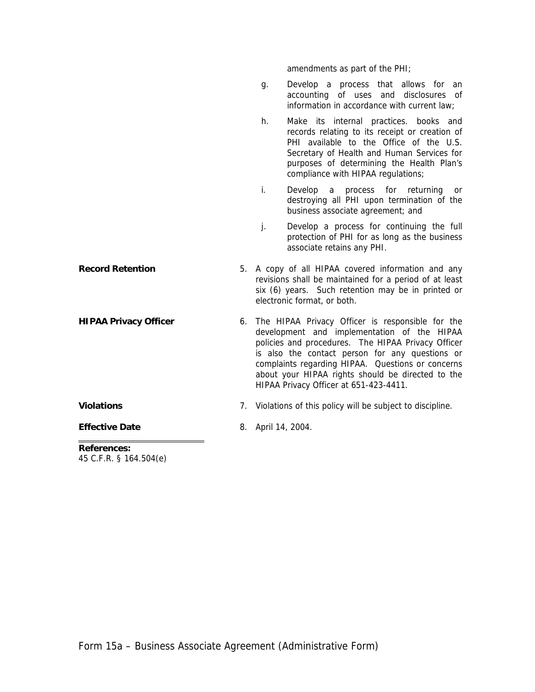amendments as part of the PHI;

- g. Develop a process that allows for an accounting of uses and disclosures of information in accordance with current law;
- h. Make its internal practices. books and records relating to its receipt or creation of PHI available to the Office of the U.S. Secretary of Health and Human Services for purposes of determining the Health Plan's compliance with HIPAA regulations;
- i. Develop a process for returning or destroying all PHI upon termination of the business associate agreement; and
- j. Develop a process for continuing the full protection of PHI for as long as the business associate retains any PHI.
- **Record Retention 5.** A copy of all HIPAA covered information and any revisions shall be maintained for a period of at least six (6) years. Such retention may be in printed or electronic format, or both.
- **HIPAA Privacy Officer** 6. The HIPAA Privacy Officer is responsible for the development and implementation of the HIPAA policies and procedures. The HIPAA Privacy Officer is also the contact person for any questions or complaints regarding HIPAA. Questions or concerns about your HIPAA rights should be directed to the HIPAA Privacy Officer at 651-423-4411.
- **Violations** 7. Violations of this policy will be subject to discipline.
- **Effective Date 8. April 14, 2004.**

**References:**  45 C.F.R. § 164.504(e)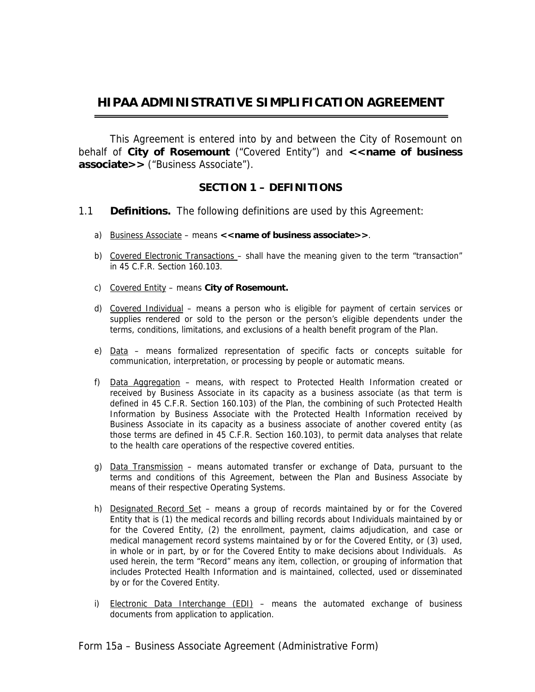# **HIPAA ADMINISTRATIVE SIMPLIFICATION AGREEMENT**

 This Agreement is entered into by and between the City of Rosemount on behalf of **City of Rosemount** ("Covered Entity") and **<<name of business associate>>** ("Business Associate").

# **SECTION 1 – DEFINITIONS**

- 1.1 **Definitions.** The following definitions are used by this Agreement:
	- a) Business Associate means << name of business associate>>.
	- b) Covered Electronic Transactions shall have the meaning given to the term "transaction" in 45 C.F.R. Section 160.103.
	- c) Covered Entity means **City of Rosemount.**
	- d) Covered Individual means a person who is eligible for payment of certain services or supplies rendered or sold to the person or the person's eligible dependents under the terms, conditions, limitations, and exclusions of a health benefit program of the Plan.
	- e) Data means formalized representation of specific facts or concepts suitable for communication, interpretation, or processing by people or automatic means.
	- f) Data Aggregation means, with respect to Protected Health Information created or received by Business Associate in its capacity as a business associate (as that term is defined in 45 C.F.R. Section 160.103) of the Plan, the combining of such Protected Health Information by Business Associate with the Protected Health Information received by Business Associate in its capacity as a business associate of another covered entity (as those terms are defined in 45 C.F.R. Section 160.103), to permit data analyses that relate to the health care operations of the respective covered entities.
	- g) Data Transmission means automated transfer or exchange of Data, pursuant to the terms and conditions of this Agreement, between the Plan and Business Associate by means of their respective Operating Systems.
	- h) Designated Record Set means a group of records maintained by or for the Covered Entity that is (1) the medical records and billing records about Individuals maintained by or for the Covered Entity, (2) the enrollment, payment, claims adjudication, and case or medical management record systems maintained by or for the Covered Entity, or (3) used, in whole or in part, by or for the Covered Entity to make decisions about Individuals. As used herein, the term "Record" means any item, collection, or grouping of information that includes Protected Health Information and is maintained, collected, used or disseminated by or for the Covered Entity.
	- i) Electronic Data Interchange (EDI) means the automated exchange of business documents from application to application.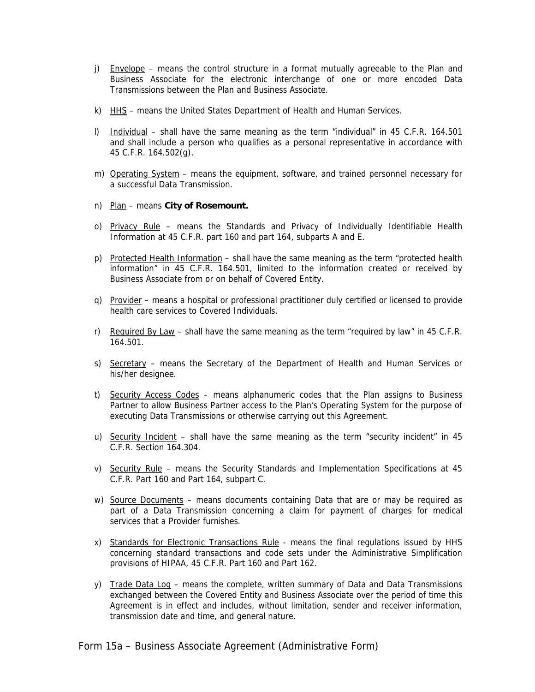- j) Envelope means the control structure in a format mutually agreeable to the Plan and Business Associate for the electronic interchange of one or more encoded Data Transmissions between the Plan and Business Associate.
- k)  $HHS$  means the United States Department of Health and Human Services.
- l) Individual shall have the same meaning as the term "individual" in 45 C.F.R. 164.501 and shall include a person who qualifies as a personal representative in accordance with 45 C.F.R. 164.502(g).
- m) Operating System means the equipment, software, and trained personnel necessary for a successful Data Transmission.
- n) Plan means **City of Rosemount.**
- o) Privacy Rule means the Standards and Privacy of Individually Identifiable Health Information at 45 C.F.R. part 160 and part 164, subparts A and E.
- p) Protected Health Information shall have the same meaning as the term "protected health information" in 45 C.F.R. 164.501, limited to the information created or received by Business Associate from or on behalf of Covered Entity.
- q) Provider means a hospital or professional practitioner duly certified or licensed to provide health care services to Covered Individuals.
- r) Required By Law shall have the same meaning as the term "required by law" in 45 C.F.R. 164.501.
- s) Secretary means the Secretary of the Department of Health and Human Services or his/her designee.
- t) Security Access Codes means alphanumeric codes that the Plan assigns to Business Partner to allow Business Partner access to the Plan's Operating System for the purpose of executing Data Transmissions or otherwise carrying out this Agreement.
- u) Security Incident shall have the same meaning as the term "security incident" in 45 C.F.R. Section 164.304.
- v) Security Rule means the Security Standards and Implementation Specifications at 45 C.F.R. Part 160 and Part 164, subpart C.
- w) Source Documents means documents containing Data that are or may be required as part of a Data Transmission concerning a claim for payment of charges for medical services that a Provider furnishes.
- x) Standards for Electronic Transactions Rule means the final regulations issued by HHS concerning standard transactions and code sets under the Administrative Simplification provisions of HIPAA, 45 C.F.R. Part 160 and Part 162.
- y) Trade Data Log means the complete, written summary of Data and Data Transmissions exchanged between the Covered Entity and Business Associate over the period of time this Agreement is in effect and includes, without limitation, sender and receiver information, transmission date and time, and general nature.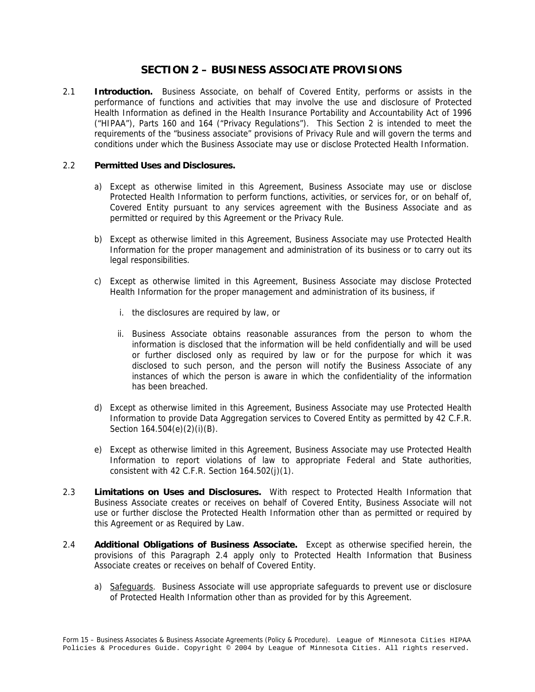# **SECTION 2 – BUSINESS ASSOCIATE PROVISIONS**

2.1 **Introduction.** Business Associate, on behalf of Covered Entity, performs or assists in the performance of functions and activities that may involve the use and disclosure of Protected Health Information as defined in the Health Insurance Portability and Accountability Act of 1996 ("HIPAA"), Parts 160 and 164 ("Privacy Regulations"). This Section 2 is intended to meet the requirements of the "business associate" provisions of Privacy Rule and will govern the terms and conditions under which the Business Associate may use or disclose Protected Health Information.

### 2.2 **Permitted Uses and Disclosures.**

- a) Except as otherwise limited in this Agreement, Business Associate may use or disclose Protected Health Information to perform functions, activities, or services for, or on behalf of, Covered Entity pursuant to any services agreement with the Business Associate and as permitted or required by this Agreement or the Privacy Rule.
- b) Except as otherwise limited in this Agreement, Business Associate may use Protected Health Information for the proper management and administration of its business or to carry out its legal responsibilities.
- c) Except as otherwise limited in this Agreement, Business Associate may disclose Protected Health Information for the proper management and administration of its business, if
	- i. the disclosures are required by law, or
	- ii. Business Associate obtains reasonable assurances from the person to whom the information is disclosed that the information will be held confidentially and will be used or further disclosed only as required by law or for the purpose for which it was disclosed to such person, and the person will notify the Business Associate of any instances of which the person is aware in which the confidentiality of the information has been breached.
- d) Except as otherwise limited in this Agreement, Business Associate may use Protected Health Information to provide Data Aggregation services to Covered Entity as permitted by 42 C.F.R. Section 164.504(e)(2)(i)(B).
- e) Except as otherwise limited in this Agreement, Business Associate may use Protected Health Information to report violations of law to appropriate Federal and State authorities, consistent with 42 C.F.R. Section 164.502(j)(1).
- 2.3 **Limitations on Uses and Disclosures.** With respect to Protected Health Information that Business Associate creates or receives on behalf of Covered Entity, Business Associate will not use or further disclose the Protected Health Information other than as permitted or required by this Agreement or as Required by Law.
- 2.4 **Additional Obligations of Business Associate.** Except as otherwise specified herein, the provisions of this Paragraph 2.4 apply only to Protected Health Information that Business Associate creates or receives on behalf of Covered Entity.
	- a) Safequards. Business Associate will use appropriate safeguards to prevent use or disclosure of Protected Health Information other than as provided for by this Agreement.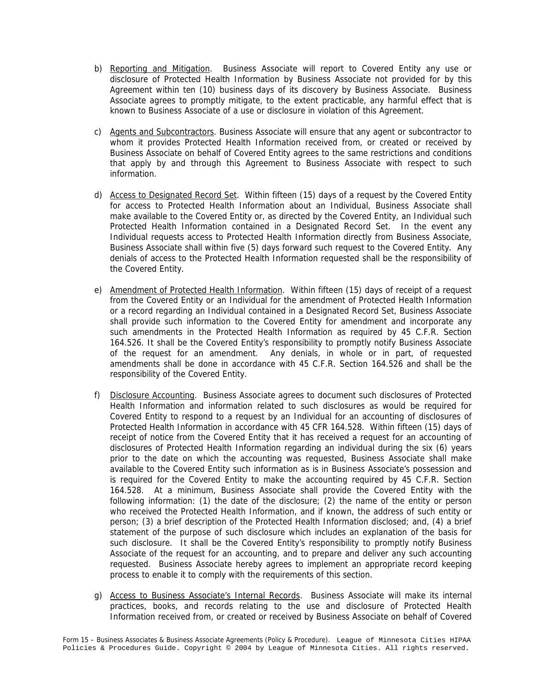- b) Reporting and Mitigation. Business Associate will report to Covered Entity any use or disclosure of Protected Health Information by Business Associate not provided for by this Agreement within ten (10) business days of its discovery by Business Associate. Business Associate agrees to promptly mitigate, to the extent practicable, any harmful effect that is known to Business Associate of a use or disclosure in violation of this Agreement.
- c) Agents and Subcontractors. Business Associate will ensure that any agent or subcontractor to whom it provides Protected Health Information received from, or created or received by Business Associate on behalf of Covered Entity agrees to the same restrictions and conditions that apply by and through this Agreement to Business Associate with respect to such information.
- d) Access to Designated Record Set. Within fifteen (15) days of a request by the Covered Entity for access to Protected Health Information about an Individual, Business Associate shall make available to the Covered Entity or, as directed by the Covered Entity, an Individual such Protected Health Information contained in a Designated Record Set. In the event any Individual requests access to Protected Health Information directly from Business Associate, Business Associate shall within five (5) days forward such request to the Covered Entity. Any denials of access to the Protected Health Information requested shall be the responsibility of the Covered Entity.
- e) Amendment of Protected Health Information. Within fifteen (15) days of receipt of a request from the Covered Entity or an Individual for the amendment of Protected Health Information or a record regarding an Individual contained in a Designated Record Set, Business Associate shall provide such information to the Covered Entity for amendment and incorporate any such amendments in the Protected Health Information as required by 45 C.F.R. Section 164.526. It shall be the Covered Entity's responsibility to promptly notify Business Associate of the request for an amendment. Any denials, in whole or in part, of requested amendments shall be done in accordance with 45 C.F.R. Section 164.526 and shall be the responsibility of the Covered Entity.
- f) Disclosure Accounting. Business Associate agrees to document such disclosures of Protected Health Information and information related to such disclosures as would be required for Covered Entity to respond to a request by an Individual for an accounting of disclosures of Protected Health Information in accordance with 45 CFR 164.528. Within fifteen (15) days of receipt of notice from the Covered Entity that it has received a request for an accounting of disclosures of Protected Health Information regarding an individual during the six (6) years prior to the date on which the accounting was requested, Business Associate shall make available to the Covered Entity such information as is in Business Associate's possession and is required for the Covered Entity to make the accounting required by 45 C.F.R. Section 164.528. At a minimum, Business Associate shall provide the Covered Entity with the following information: (1) the date of the disclosure; (2) the name of the entity or person who received the Protected Health Information, and if known, the address of such entity or person; (3) a brief description of the Protected Health Information disclosed; and, (4) a brief statement of the purpose of such disclosure which includes an explanation of the basis for such disclosure. It shall be the Covered Entity's responsibility to promptly notify Business Associate of the request for an accounting, and to prepare and deliver any such accounting requested. Business Associate hereby agrees to implement an appropriate record keeping process to enable it to comply with the requirements of this section.
- g) Access to Business Associate's Internal Records. Business Associate will make its internal practices, books, and records relating to the use and disclosure of Protected Health Information received from, or created or received by Business Associate on behalf of Covered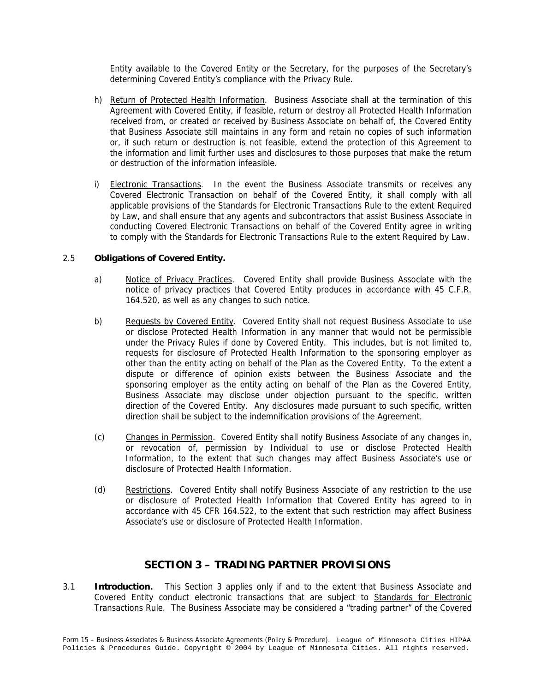Entity available to the Covered Entity or the Secretary, for the purposes of the Secretary's determining Covered Entity's compliance with the Privacy Rule.

- h) Return of Protected Health Information. Business Associate shall at the termination of this Agreement with Covered Entity, if feasible, return or destroy all Protected Health Information received from, or created or received by Business Associate on behalf of, the Covered Entity that Business Associate still maintains in any form and retain no copies of such information or, if such return or destruction is not feasible, extend the protection of this Agreement to the information and limit further uses and disclosures to those purposes that make the return or destruction of the information infeasible.
- i) Electronic Transactions. In the event the Business Associate transmits or receives any Covered Electronic Transaction on behalf of the Covered Entity, it shall comply with all applicable provisions of the Standards for Electronic Transactions Rule to the extent Required by Law, and shall ensure that any agents and subcontractors that assist Business Associate in conducting Covered Electronic Transactions on behalf of the Covered Entity agree in writing to comply with the Standards for Electronic Transactions Rule to the extent Required by Law.

### 2.5 **Obligations of Covered Entity.**

- a) Notice of Privacy Practices. Covered Entity shall provide Business Associate with the notice of privacy practices that Covered Entity produces in accordance with 45 C.F.R. 164.520, as well as any changes to such notice.
- b) Requests by Covered Entity. Covered Entity shall not request Business Associate to use or disclose Protected Health Information in any manner that would not be permissible under the Privacy Rules if done by Covered Entity. This includes, but is not limited to, requests for disclosure of Protected Health Information to the sponsoring employer as other than the entity acting on behalf of the Plan as the Covered Entity. To the extent a dispute or difference of opinion exists between the Business Associate and the sponsoring employer as the entity acting on behalf of the Plan as the Covered Entity, Business Associate may disclose under objection pursuant to the specific, written direction of the Covered Entity. Any disclosures made pursuant to such specific, written direction shall be subject to the indemnification provisions of the Agreement.
- (c) Changes in Permission. Covered Entity shall notify Business Associate of any changes in, or revocation of, permission by Individual to use or disclose Protected Health Information, to the extent that such changes may affect Business Associate's use or disclosure of Protected Health Information.
- (d) Restrictions. Covered Entity shall notify Business Associate of any restriction to the use or disclosure of Protected Health Information that Covered Entity has agreed to in accordance with 45 CFR 164.522, to the extent that such restriction may affect Business Associate's use or disclosure of Protected Health Information.

### **SECTION 3 – TRADING PARTNER PROVISIONS**

3.1 **Introduction.** This Section 3 applies only if and to the extent that Business Associate and Covered Entity conduct electronic transactions that are subject to Standards for Electronic Transactions Rule. The Business Associate may be considered a "trading partner" of the Covered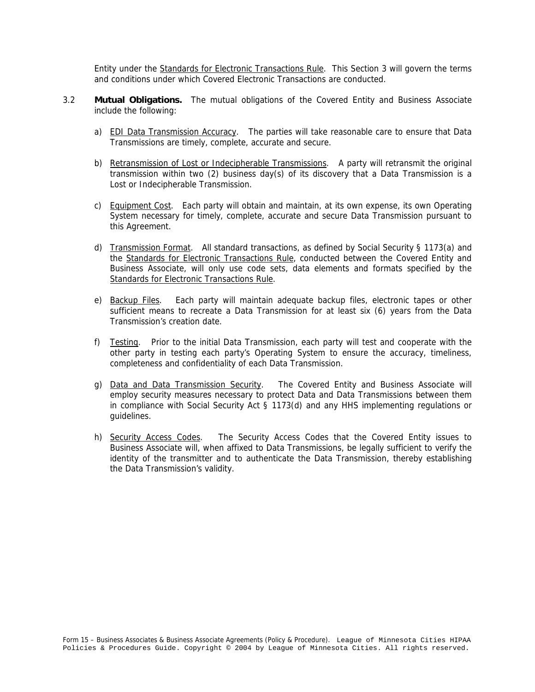Entity under the Standards for Electronic Transactions Rule. This Section 3 will govern the terms and conditions under which Covered Electronic Transactions are conducted.

- 3.2 **Mutual Obligations.** The mutual obligations of the Covered Entity and Business Associate include the following:
	- a) EDI Data Transmission Accuracy. The parties will take reasonable care to ensure that Data Transmissions are timely, complete, accurate and secure.
	- b) Retransmission of Lost or Indecipherable Transmissions. A party will retransmit the original transmission within two (2) business day(s) of its discovery that a Data Transmission is a Lost or Indecipherable Transmission.
	- c) Equipment Cost. Each party will obtain and maintain, at its own expense, its own Operating System necessary for timely, complete, accurate and secure Data Transmission pursuant to this Agreement.
	- d) Transmission Format. All standard transactions, as defined by Social Security § 1173(a) and the Standards for Electronic Transactions Rule, conducted between the Covered Entity and Business Associate, will only use code sets, data elements and formats specified by the Standards for Electronic Transactions Rule.
	- e) Backup Files. Each party will maintain adequate backup files, electronic tapes or other sufficient means to recreate a Data Transmission for at least six (6) years from the Data Transmission's creation date.
	- f) Testing. Prior to the initial Data Transmission, each party will test and cooperate with the other party in testing each party's Operating System to ensure the accuracy, timeliness, completeness and confidentiality of each Data Transmission.
	- g) Data and Data Transmission Security. The Covered Entity and Business Associate will employ security measures necessary to protect Data and Data Transmissions between them in compliance with Social Security Act § 1173(d) and any HHS implementing regulations or guidelines.
	- h) Security Access Codes. The Security Access Codes that the Covered Entity issues to Business Associate will, when affixed to Data Transmissions, be legally sufficient to verify the identity of the transmitter and to authenticate the Data Transmission, thereby establishing the Data Transmission's validity.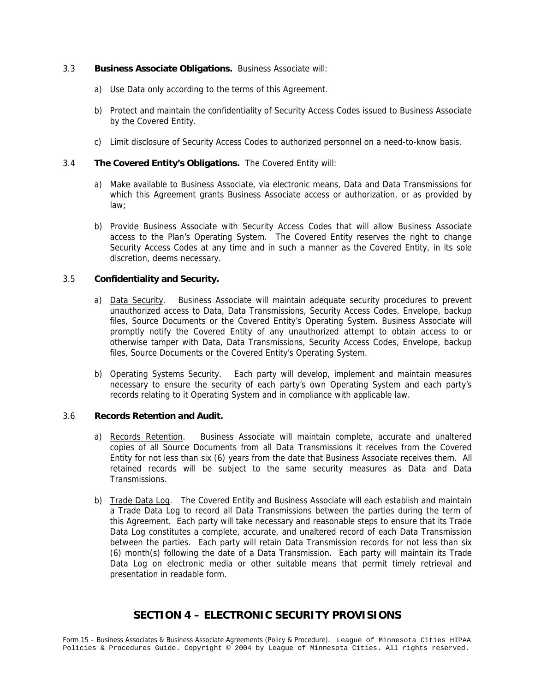#### 3.3 **Business Associate Obligations.** Business Associate will:

- a) Use Data only according to the terms of this Agreement.
- b) Protect and maintain the confidentiality of Security Access Codes issued to Business Associate by the Covered Entity.
- c) Limit disclosure of Security Access Codes to authorized personnel on a need-to-know basis.

### 3.4 **The Covered Entity's Obligations.** The Covered Entity will:

- a) Make available to Business Associate, via electronic means, Data and Data Transmissions for which this Agreement grants Business Associate access or authorization, or as provided by law;
- b) Provide Business Associate with Security Access Codes that will allow Business Associate access to the Plan's Operating System. The Covered Entity reserves the right to change Security Access Codes at any time and in such a manner as the Covered Entity, in its sole discretion, deems necessary.

### 3.5 **Confidentiality and Security.**

- a) Data Security. Business Associate will maintain adequate security procedures to prevent unauthorized access to Data, Data Transmissions, Security Access Codes, Envelope, backup files, Source Documents or the Covered Entity's Operating System. Business Associate will promptly notify the Covered Entity of any unauthorized attempt to obtain access to or otherwise tamper with Data, Data Transmissions, Security Access Codes, Envelope, backup files, Source Documents or the Covered Entity's Operating System.
- b) Operating Systems Security. Each party will develop, implement and maintain measures necessary to ensure the security of each party's own Operating System and each party's records relating to it Operating System and in compliance with applicable law.

#### 3.6 **Records Retention and Audit.**

- a) Records Retention. Business Associate will maintain complete, accurate and unaltered copies of all Source Documents from all Data Transmissions it receives from the Covered Entity for not less than six (6) years from the date that Business Associate receives them. All retained records will be subject to the same security measures as Data and Data Transmissions.
- b) Trade Data Log. The Covered Entity and Business Associate will each establish and maintain a Trade Data Log to record all Data Transmissions between the parties during the term of this Agreement. Each party will take necessary and reasonable steps to ensure that its Trade Data Log constitutes a complete, accurate, and unaltered record of each Data Transmission between the parties. Each party will retain Data Transmission records for not less than six (6) month(s) following the date of a Data Transmission. Each party will maintain its Trade Data Log on electronic media or other suitable means that permit timely retrieval and presentation in readable form.

# **SECTION 4 – ELECTRONIC SECURITY PROVISIONS**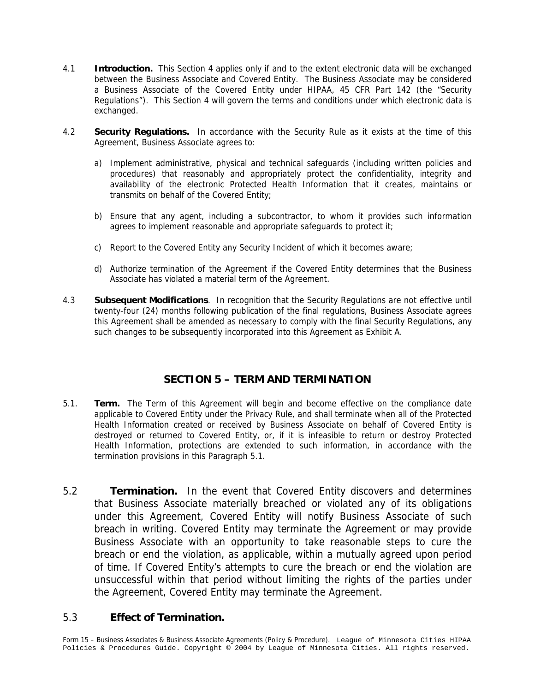- 4.1 **Introduction.** This Section 4 applies only if and to the extent electronic data will be exchanged between the Business Associate and Covered Entity. The Business Associate may be considered a Business Associate of the Covered Entity under HIPAA, 45 CFR Part 142 (the "Security Regulations"). This Section 4 will govern the terms and conditions under which electronic data is exchanged.
- 4.2 **Security Regulations.** In accordance with the Security Rule as it exists at the time of this Agreement, Business Associate agrees to:
	- a) Implement administrative, physical and technical safeguards (including written policies and procedures) that reasonably and appropriately protect the confidentiality, integrity and availability of the electronic Protected Health Information that it creates, maintains or transmits on behalf of the Covered Entity;
	- b) Ensure that any agent, including a subcontractor, to whom it provides such information agrees to implement reasonable and appropriate safeguards to protect it;
	- c) Report to the Covered Entity any Security Incident of which it becomes aware;
	- d) Authorize termination of the Agreement if the Covered Entity determines that the Business Associate has violated a material term of the Agreement.
- 4.3 **Subsequent Modifications**. In recognition that the Security Regulations are not effective until twenty-four (24) months following publication of the final regulations, Business Associate agrees this Agreement shall be amended as necessary to comply with the final Security Regulations, any such changes to be subsequently incorporated into this Agreement as Exhibit A.

# **SECTION 5 – TERM AND TERMINATION**

- 5.1. **Term.** The Term of this Agreement will begin and become effective on the compliance date applicable to Covered Entity under the Privacy Rule, and shall terminate when all of the Protected Health Information created or received by Business Associate on behalf of Covered Entity is destroyed or returned to Covered Entity, or, if it is infeasible to return or destroy Protected Health Information, protections are extended to such information, in accordance with the termination provisions in this Paragraph 5.1.
- 5.2 **Termination.** In the event that Covered Entity discovers and determines that Business Associate materially breached or violated any of its obligations under this Agreement, Covered Entity will notify Business Associate of such breach in writing. Covered Entity may terminate the Agreement or may provide Business Associate with an opportunity to take reasonable steps to cure the breach or end the violation, as applicable, within a mutually agreed upon period of time. If Covered Entity's attempts to cure the breach or end the violation are unsuccessful within that period without limiting the rights of the parties under the Agreement, Covered Entity may terminate the Agreement.

# 5.3 **Effect of Termination.**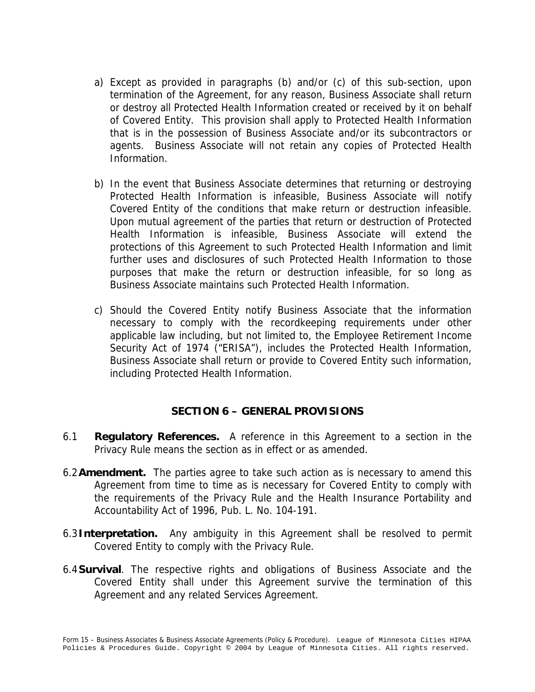- a) Except as provided in paragraphs (b) and/or (c) of this sub-section, upon termination of the Agreement, for any reason, Business Associate shall return or destroy all Protected Health Information created or received by it on behalf of Covered Entity. This provision shall apply to Protected Health Information that is in the possession of Business Associate and/or its subcontractors or agents. Business Associate will not retain any copies of Protected Health Information.
- b) In the event that Business Associate determines that returning or destroying Protected Health Information is infeasible, Business Associate will notify Covered Entity of the conditions that make return or destruction infeasible. Upon mutual agreement of the parties that return or destruction of Protected Health Information is infeasible, Business Associate will extend the protections of this Agreement to such Protected Health Information and limit further uses and disclosures of such Protected Health Information to those purposes that make the return or destruction infeasible, for so long as Business Associate maintains such Protected Health Information.
- c) Should the Covered Entity notify Business Associate that the information necessary to comply with the recordkeeping requirements under other applicable law including, but not limited to, the Employee Retirement Income Security Act of 1974 ("ERISA"), includes the Protected Health Information, Business Associate shall return or provide to Covered Entity such information, including Protected Health Information.

# **SECTION 6 – GENERAL PROVISIONS**

- 6.1 **Regulatory References.** A reference in this Agreement to a section in the Privacy Rule means the section as in effect or as amended.
- 6.2**Amendment.** The parties agree to take such action as is necessary to amend this Agreement from time to time as is necessary for Covered Entity to comply with the requirements of the Privacy Rule and the Health Insurance Portability and Accountability Act of 1996, Pub. L. No. 104-191.
- 6.3**Interpretation.** Any ambiguity in this Agreement shall be resolved to permit Covered Entity to comply with the Privacy Rule.
- 6.4**Survival**. The respective rights and obligations of Business Associate and the Covered Entity shall under this Agreement survive the termination of this Agreement and any related Services Agreement.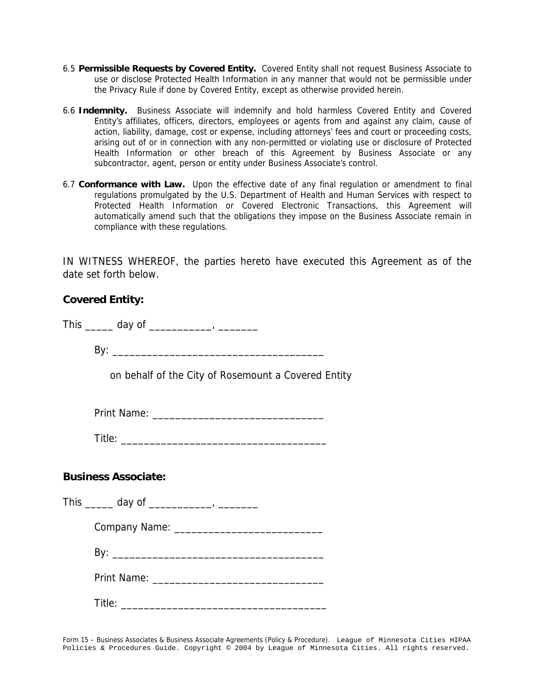- 6.5 **Permissible Requests by Covered Entity.** Covered Entity shall not request Business Associate to use or disclose Protected Health Information in any manner that would not be permissible under the Privacy Rule if done by Covered Entity, except as otherwise provided herein.
- 6.6 **Indemnity.** Business Associate will indemnify and hold harmless Covered Entity and Covered Entity's affiliates, officers, directors, employees or agents from and against any claim, cause of action, liability, damage, cost or expense, including attorneys' fees and court or proceeding costs, arising out of or in connection with any non-permitted or violating use or disclosure of Protected Health Information or other breach of this Agreement by Business Associate or any subcontractor, agent, person or entity under Business Associate's control.
- 6.7 **Conformance with Law.** Upon the effective date of any final regulation or amendment to final regulations promulgated by the U.S. Department of Health and Human Services with respect to Protected Health Information or Covered Electronic Transactions, this Agreement will automatically amend such that the obligations they impose on the Business Associate remain in compliance with these regulations.

IN WITNESS WHEREOF, the parties hereto have executed this Agreement as of the date set forth below.

### **Covered Entity:**

This \_\_\_\_\_\_\_ day of \_\_\_\_\_\_\_\_\_\_\_\_\_\_, \_\_\_\_\_\_\_\_\_

 $\mathsf{By:}\quad$ 

on behalf of the City of Rosemount a Covered Entity

| Print Name: |  |
|-------------|--|
|-------------|--|

| . |
|---|
|---|

### **Business Associate:**

This \_\_\_\_\_\_\_ day of \_\_\_\_\_\_\_\_\_\_\_\_\_\_, \_\_\_\_\_\_\_\_\_

Company Name: \_\_\_\_\_\_\_\_\_\_\_\_\_\_\_\_\_\_\_\_\_\_\_\_\_\_

 $\mathsf{By:}$ 

Print Name: **Example 10** 

Form 15 – Business Associates & Business Associate Agreements (Policy & Procedure). League of Minnesota Cities HIPAA Policies & Procedures Guide. Copyright © 2004 by League of Minnesota Cities. All rights reserved.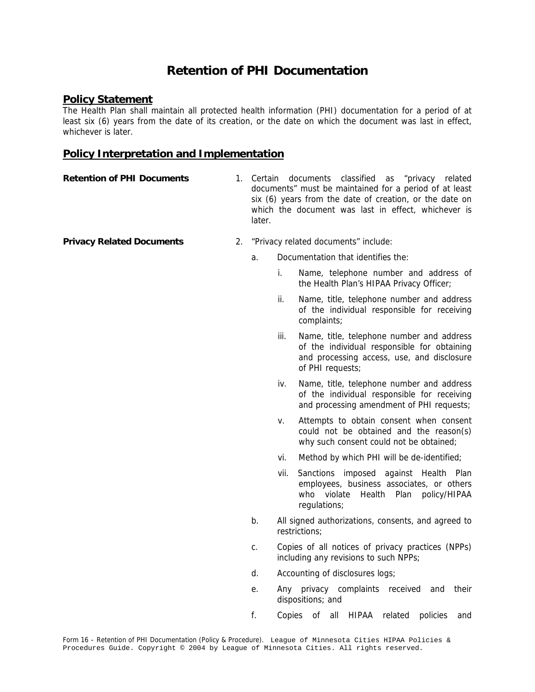# **Retention of PHI Documentation**

### **Policy Statement**

The Health Plan shall maintain all protected health information (PHI) documentation for a period of at least six (6) years from the date of its creation, or the date on which the document was last in effect, whichever is later.

| <b>Retention of PHI Documents</b> | 1. Certain documents classified as "privacy related<br>documents" must be maintained for a period of at least<br>six (6) years from the date of creation, or the date on<br>which the document was last in effect, whichever is<br>later. |
|-----------------------------------|-------------------------------------------------------------------------------------------------------------------------------------------------------------------------------------------------------------------------------------------|
| <b>Privacy Related Documents</b>  | 2. "Privacy related documents" include:                                                                                                                                                                                                   |

- a. Documentation that identifies the:
	- i. Name, telephone number and address of the Health Plan's HIPAA Privacy Officer;
	- ii. Name, title, telephone number and address of the individual responsible for receiving complaints;
	- iii. Name, title, telephone number and address of the individual responsible for obtaining and processing access, use, and disclosure of PHI requests;
	- iv. Name, title, telephone number and address of the individual responsible for receiving and processing amendment of PHI requests;
	- v. Attempts to obtain consent when consent could not be obtained and the reason(s) why such consent could not be obtained;
	- vi. Method by which PHI will be de-identified;
	- vii. Sanctions imposed against Health Plan employees, business associates, or others who violate Health Plan policy/HIPAA regulations;
- b. All signed authorizations, consents, and agreed to restrictions;
- c. Copies of all notices of privacy practices (NPPs) including any revisions to such NPPs;
- d. Accounting of disclosures logs;
- e. Any privacy complaints received and their dispositions; and
- f. Copies of all HIPAA related policies and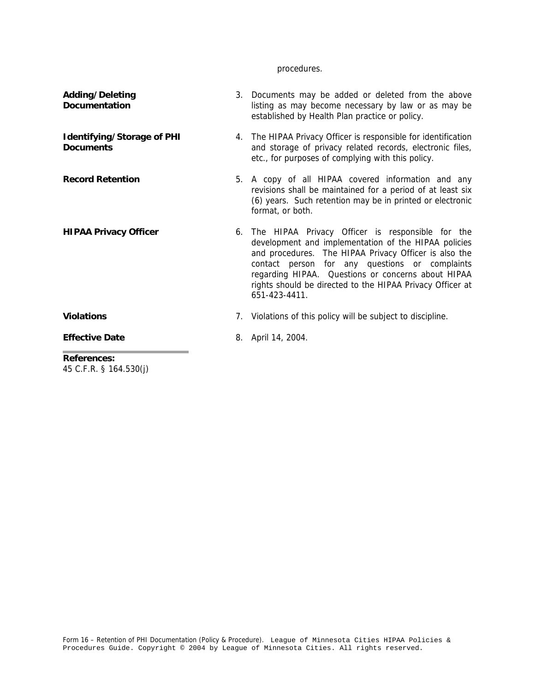procedures.

| Adding/Deleting<br><b>Documentation</b>               |    | 3. Documents may be added or deleted from the above<br>listing as may become necessary by law or as may be<br>established by Health Plan practice or policy.                                                                                                                                                                                               |
|-------------------------------------------------------|----|------------------------------------------------------------------------------------------------------------------------------------------------------------------------------------------------------------------------------------------------------------------------------------------------------------------------------------------------------------|
| <b>Identifying/Storage of PHI</b><br><b>Documents</b> |    | 4. The HIPAA Privacy Officer is responsible for identification<br>and storage of privacy related records, electronic files,<br>etc., for purposes of complying with this policy.                                                                                                                                                                           |
| <b>Record Retention</b>                               | 5. | A copy of all HIPAA covered information and any<br>revisions shall be maintained for a period of at least six<br>(6) years. Such retention may be in printed or electronic<br>format, or both.                                                                                                                                                             |
| <b>HIPAA Privacy Officer</b>                          |    | 6. The HIPAA Privacy Officer is responsible for the<br>development and implementation of the HIPAA policies<br>and procedures. The HIPAA Privacy Officer is also the<br>contact person for any questions or complaints<br>regarding HIPAA. Questions or concerns about HIPAA<br>rights should be directed to the HIPAA Privacy Officer at<br>651-423-4411. |
| <b>Violations</b>                                     | 7. | Violations of this policy will be subject to discipline.                                                                                                                                                                                                                                                                                                   |
| <b>Effective Date</b>                                 |    | 8. April 14, 2004.                                                                                                                                                                                                                                                                                                                                         |
| <b>References:</b>                                    |    |                                                                                                                                                                                                                                                                                                                                                            |

45 C.F.R. § 164.530(j)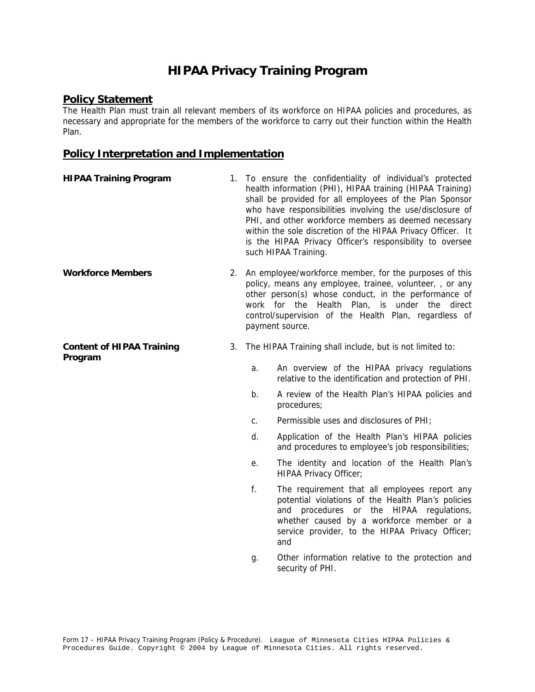# **HIPAA Privacy Training Program**

## **Policy Statement**

The Health Plan must train all relevant members of its workforce on HIPAA policies and procedures, as necessary and appropriate for the members of the workforce to carry out their function within the Health Plan.

| <b>HIPAA Training Program</b>    |  |                | 1. To ensure the confidentiality of individual's protected<br>health information (PHI), HIPAA training (HIPAA Training)<br>shall be provided for all employees of the Plan Sponsor<br>who have responsibilities involving the use/disclosure of<br>PHI, and other workforce members as deemed necessary<br>within the sole discretion of the HIPAA Privacy Officer. It<br>is the HIPAA Privacy Officer's responsibility to oversee<br>such HIPAA Training. |
|----------------------------------|--|----------------|------------------------------------------------------------------------------------------------------------------------------------------------------------------------------------------------------------------------------------------------------------------------------------------------------------------------------------------------------------------------------------------------------------------------------------------------------------|
| <b>Workforce Members</b>         |  |                | 2. An employee/workforce member, for the purposes of this<br>policy, means any employee, trainee, volunteer, , or any<br>other person(s) whose conduct, in the performance of<br>work for the Health Plan, is<br>under the<br>direct<br>control/supervision of the Health Plan, regardless of<br>payment source.                                                                                                                                           |
| <b>Content of HIPAA Training</b> |  |                | 3. The HIPAA Training shall include, but is not limited to:                                                                                                                                                                                                                                                                                                                                                                                                |
| Program                          |  | a.             | An overview of the HIPAA privacy regulations<br>relative to the identification and protection of PHI.                                                                                                                                                                                                                                                                                                                                                      |
|                                  |  | b <sub>1</sub> | A review of the Health Plan's HIPAA policies and<br>procedures;                                                                                                                                                                                                                                                                                                                                                                                            |
|                                  |  | $C_{1}$        | Permissible uses and disclosures of PHI;                                                                                                                                                                                                                                                                                                                                                                                                                   |
|                                  |  | d.             | Application of the Health Plan's HIPAA policies<br>and procedures to employee's job responsibilities;                                                                                                                                                                                                                                                                                                                                                      |
|                                  |  | е.             | The identity and location of the Health Plan's<br>HIPAA Privacy Officer;                                                                                                                                                                                                                                                                                                                                                                                   |
|                                  |  | f.             | The requirement that all employees report any<br>potential violations of the Health Plan's policies<br>and procedures or the HIPAA regulations,<br>whether caused by a workforce member or a<br>service provider, to the HIPAA Privacy Officer;<br>and                                                                                                                                                                                                     |
|                                  |  | g.             | Other information relative to the protection and<br>security of PHI.                                                                                                                                                                                                                                                                                                                                                                                       |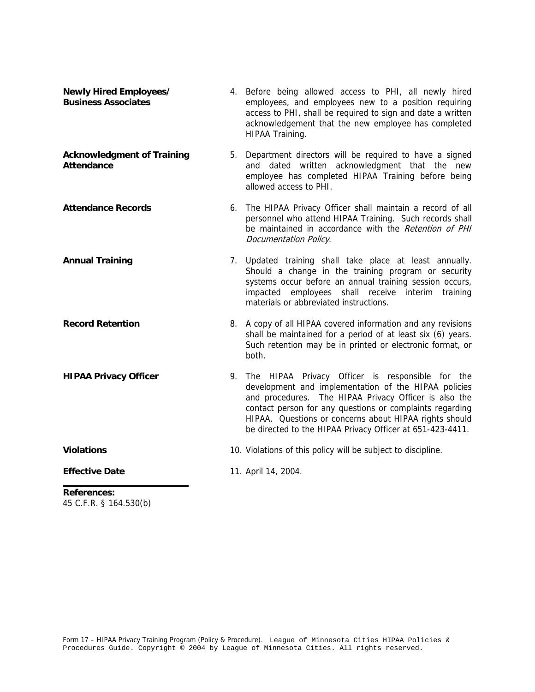| <b>Newly Hired Employees/</b><br><b>Business Associates</b> | 4. Before being allowed access to PHI, all newly hired<br>employees, and employees new to a position requiring<br>access to PHI, shall be required to sign and date a written<br>acknowledgement that the new employee has completed<br>HIPAA Training.                                                                                                 |
|-------------------------------------------------------------|---------------------------------------------------------------------------------------------------------------------------------------------------------------------------------------------------------------------------------------------------------------------------------------------------------------------------------------------------------|
| <b>Acknowledgment of Training</b><br><b>Attendance</b>      | 5. Department directors will be required to have a signed<br>and dated written acknowledgment that the new<br>employee has completed HIPAA Training before being<br>allowed access to PHI.                                                                                                                                                              |
| <b>Attendance Records</b>                                   | 6. The HIPAA Privacy Officer shall maintain a record of all<br>personnel who attend HIPAA Training. Such records shall<br>be maintained in accordance with the Retention of PHI<br>Documentation Policy.                                                                                                                                                |
| <b>Annual Training</b>                                      | 7. Updated training shall take place at least annually.<br>Should a change in the training program or security<br>systems occur before an annual training session occurs,<br>impacted employees shall receive interim training<br>materials or abbreviated instructions.                                                                                |
| <b>Record Retention</b>                                     | 8. A copy of all HIPAA covered information and any revisions<br>shall be maintained for a period of at least six (6) years.<br>Such retention may be in printed or electronic format, or<br>both.                                                                                                                                                       |
| <b>HIPAA Privacy Officer</b>                                | 9. The HIPAA Privacy Officer is responsible for the<br>development and implementation of the HIPAA policies<br>and procedures. The HIPAA Privacy Officer is also the<br>contact person for any questions or complaints regarding<br>HIPAA. Questions or concerns about HIPAA rights should<br>be directed to the HIPAA Privacy Officer at 651-423-4411. |
| <b>Violations</b>                                           | 10. Violations of this policy will be subject to discipline.                                                                                                                                                                                                                                                                                            |
| <b>Effective Date</b>                                       | 11. April 14, 2004.                                                                                                                                                                                                                                                                                                                                     |
| <b>References:</b>                                          |                                                                                                                                                                                                                                                                                                                                                         |

45 C.F.R. § 164.530(b)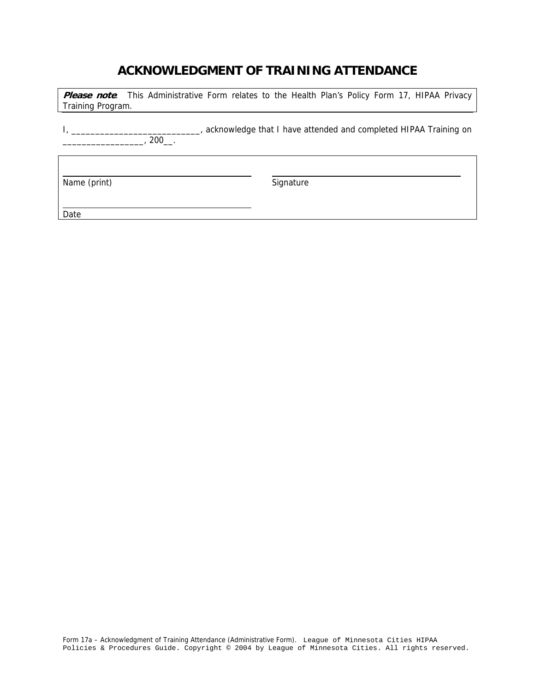# **ACKNOWLEDGMENT OF TRAINING ATTENDANCE**

Please note: This Administrative Form relates to the Health Plan's Policy Form 17, HIPAA Privacy Training Program.

I, \_\_\_\_\_\_\_\_\_\_\_\_\_\_\_\_\_\_\_\_\_\_\_\_\_\_\_\_\_, acknowledge that I have attended and completed HIPAA Training on  $\frac{1}{200}$ , 200

 Name (print)

**Signature** 

Date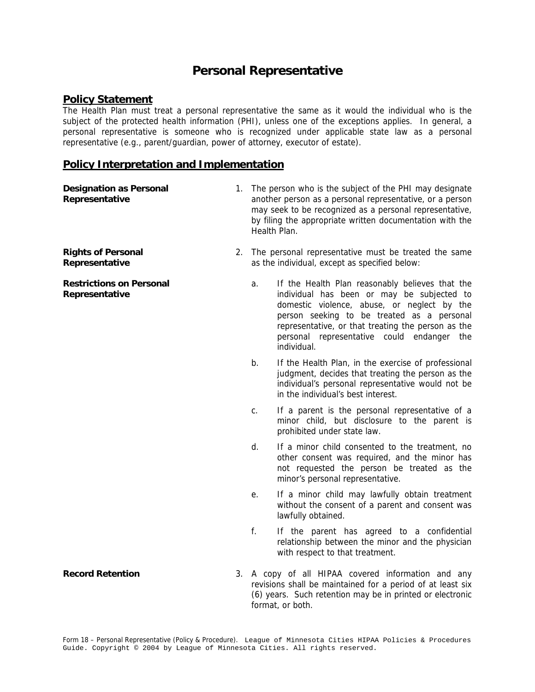# **Personal Representative**

# **Policy Statement**

The Health Plan must treat a personal representative the same as it would the individual who is the subject of the protected health information (PHI), unless one of the exceptions applies. In general, a personal representative is someone who is recognized under applicable state law as a personal representative (e.g., parent/guardian, power of attorney, executor of estate).

# **Policy Interpretation and Implementation**

| <b>Designation as Personal</b><br>Representative  | 1. The person who is the subject of the PHI may designate<br>another person as a personal representative, or a person<br>may seek to be recognized as a personal representative,<br>by filing the appropriate written documentation with the<br>Health Plan.                                                        |
|---------------------------------------------------|---------------------------------------------------------------------------------------------------------------------------------------------------------------------------------------------------------------------------------------------------------------------------------------------------------------------|
| <b>Rights of Personal</b><br>Representative       | 2. The personal representative must be treated the same<br>as the individual, except as specified below:                                                                                                                                                                                                            |
| <b>Restrictions on Personal</b><br>Representative | If the Health Plan reasonably believes that the<br>a.<br>individual has been or may be subjected to<br>domestic violence, abuse, or neglect by the<br>person seeking to be treated as a personal<br>representative, or that treating the person as the<br>personal representative could endanger the<br>individual. |
|                                                   | b.<br>If the Health Plan, in the exercise of professional<br>judgment, decides that treating the person as the<br>individual's personal representative would not be<br>in the individual's best interest.                                                                                                           |
|                                                   | If a parent is the personal representative of a<br>$C_{1}$<br>minor child, but disclosure to the parent is<br>prohibited under state law.                                                                                                                                                                           |
|                                                   | If a minor child consented to the treatment, no<br>d.<br>other consent was required, and the minor has<br>not requested the person be treated as the<br>minor's personal representative.                                                                                                                            |
|                                                   | If a minor child may lawfully obtain treatment<br>е.<br>without the consent of a parent and consent was<br>lawfully obtained.                                                                                                                                                                                       |
|                                                   | f.<br>If the parent has agreed to a confidential<br>relationship between the minor and the physician<br>with respect to that treatment.                                                                                                                                                                             |
| <b>Record Retention</b>                           | 3. A copy of all HIPAA covered information and any<br>revisions shall be maintained for a period of at least six<br>(6) years. Such retention may be in printed or electronic                                                                                                                                       |

Form 18 – Personal Representative (Policy & Procedure). League of Minnesota Cities HIPAA Policies & Procedures Guide. Copyright © 2004 by League of Minnesota Cities. All rights reserved.

format, or both.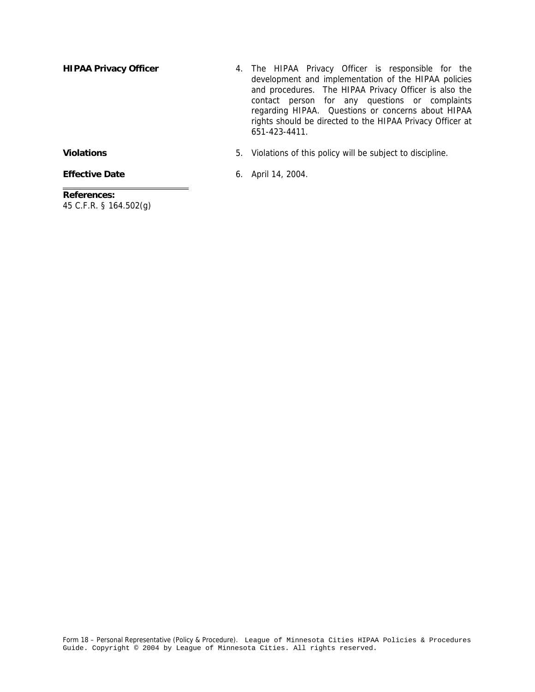**HIPAA Privacy Officer** 4. The HIPAA Privacy Officer is responsible for the development and implementation of the HIPAA policies and procedures. The HIPAA Privacy Officer is also the contact person for any questions or complaints regarding HIPAA. Questions or concerns about HIPAA rights should be directed to the HIPAA Privacy Officer at 651-423-4411.

**Violations** 5. Violations of this policy will be subject to discipline.

**Effective Date** 6. April 14, 2004.

**References:**  45 C.F.R. § 164.502(g)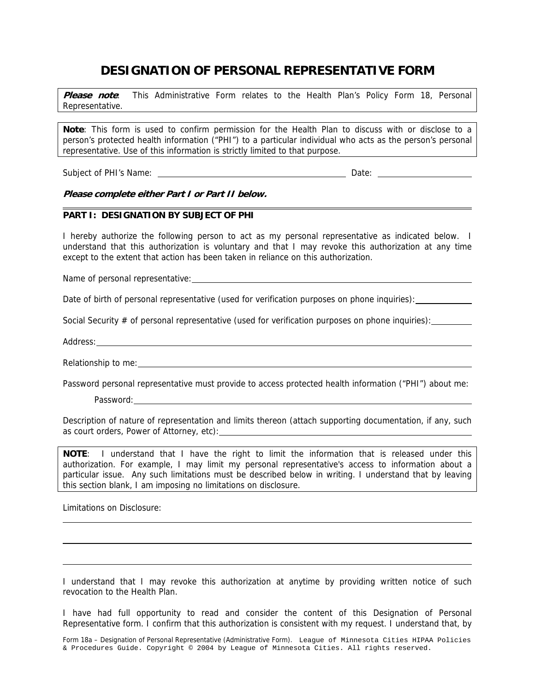# **DESIGNATION OF PERSONAL REPRESENTATIVE FORM**

**Please note**:This Administrative Form relates to the Health Plan's Policy Form 18, Personal Representative.

**Note**: This form is used to confirm permission for the Health Plan to discuss with or disclose to a person's protected health information ("PHI") to a particular individual who acts as the person's personal representative. Use of this information is strictly limited to that purpose.

Subject of PHI's Name: Date: Date: Date: Date: Date: Date: Date: Date: Date: Date: Date: Date: Date: Date: Date: Date: Date: Date: Date: Date: Date: Date: Date: Date: Date: Date: Date: Date: Date: Date: Date: Date: Date: D

#### **Please complete either Part I or Part II below.**

### **PART I: DESIGNATION BY SUBJECT OF PHI**

I hereby authorize the following person to act as my personal representative as indicated below. I understand that this authorization is voluntary and that I may revoke this authorization at any time except to the extent that action has been taken in reliance on this authorization.

Name of personal representative:<br>
<u>Name</u> of personal representative:

Date of birth of personal representative (used for verification purposes on phone inquiries):

Social Security # of personal representative (used for verification purposes on phone inquiries):

Address:

Relationship to me:

Password personal representative must provide to access protected health information ("PHI") about me:

Password:

Description of nature of representation and limits thereon (attach supporting documentation, if any, such as court orders, Power of Attorney, etc):

**NOTE**: I understand that I have the right to limit the information that is released under this authorization. For example, I may limit my personal representative's access to information about a particular issue. Any such limitations must be described below in writing. I understand that by leaving this section blank, I am imposing no limitations on disclosure.

Limitations on Disclosure:

 $\overline{a}$ 

I understand that I may revoke this authorization at anytime by providing written notice of such revocation to the Health Plan.

I have had full opportunity to read and consider the content of this Designation of Personal Representative form. I confirm that this authorization is consistent with my request. I understand that, by

Form 18a – Designation of Personal Representative (Administrative Form). League of Minnesota Cities HIPAA Policies & Procedures Guide. Copyright © 2004 by League of Minnesota Cities. All rights reserved.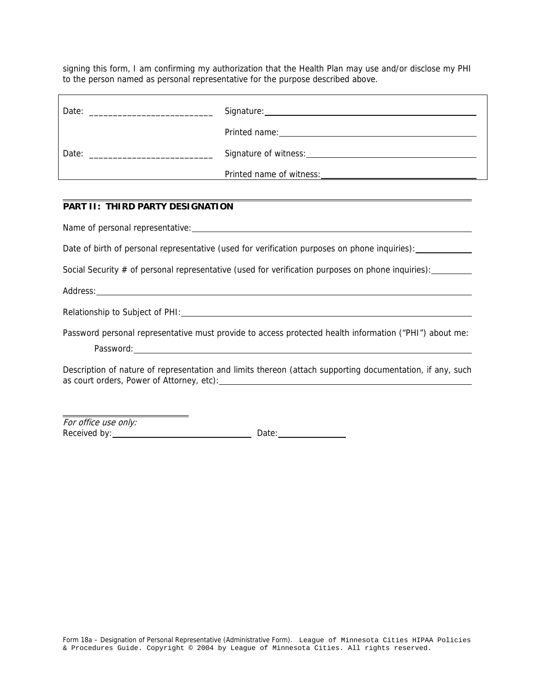signing this form, I am confirming my authorization that the Health Plan may use and/or disclose my PHI to the person named as personal representative for the purpose described above.

| Date: |                                                |
|-------|------------------------------------------------|
|       |                                                |
| Date: | Signature of witness:<br>Signature of witness: |
|       | Printed name of witness:                       |

### **PART II: THIRD PARTY DESIGNATION**

Name of personal representative:

Date of birth of personal representative (used for verification purposes on phone inquiries):

Social Security # of personal representative (used for verification purposes on phone inquiries):

Address: experience and the contract of the contract of the contract of the contract of the contract of the contract of the contract of the contract of the contract of the contract of the contract of the contract of the co

Relationship to Subject of PHI: Manual Annual Annual Annual Annual Annual Annual Annual Annual Annual Annual A

Password personal representative must provide to access protected health information ("PHI") about me: Password: with the contract of the contract of the contract of the contract of the contract of the contract of the contract of the contract of the contract of the contract of the contract of the contract of the contract of

Description of nature of representation and limits thereon (attach supporting documentation, if any, such as court orders, Power of Attorney, etc):

For office use only: Received by:  $\overline{\phantom{a}}$  Date: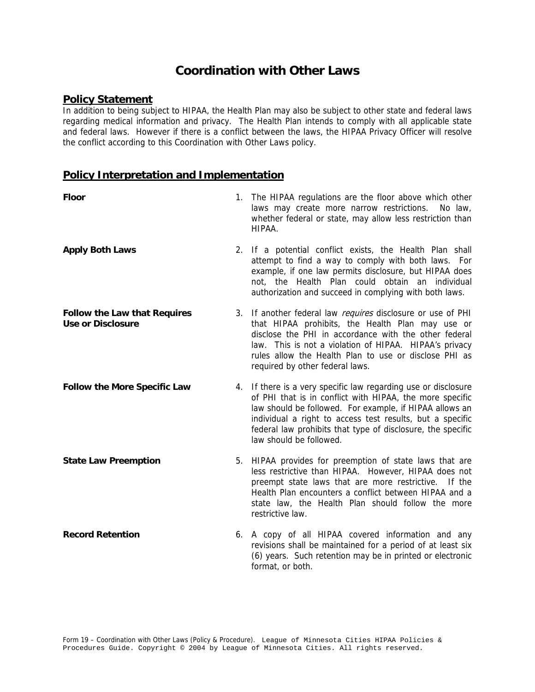# **Coordination with Other Laws**

### **Policy Statement**

In addition to being subject to HIPAA, the Health Plan may also be subject to other state and federal laws regarding medical information and privacy. The Health Plan intends to comply with all applicable state and federal laws. However if there is a conflict between the laws, the HIPAA Privacy Officer will resolve the conflict according to this Coordination with Other Laws policy.

| <b>Floor</b>                                                    |    | 1. The HIPAA regulations are the floor above which other<br>laws may create more narrow restrictions. No law,<br>whether federal or state, may allow less restriction than<br>HIPAA.                                                                                                                                                         |
|-----------------------------------------------------------------|----|----------------------------------------------------------------------------------------------------------------------------------------------------------------------------------------------------------------------------------------------------------------------------------------------------------------------------------------------|
| <b>Apply Both Laws</b>                                          |    | 2. If a potential conflict exists, the Health Plan shall<br>attempt to find a way to comply with both laws. For<br>example, if one law permits disclosure, but HIPAA does<br>not, the Health Plan could obtain an individual<br>authorization and succeed in complying with both laws.                                                       |
| <b>Follow the Law that Requires</b><br><b>Use or Disclosure</b> |    | 3. If another federal law requires disclosure or use of PHI<br>that HIPAA prohibits, the Health Plan may use or<br>disclose the PHI in accordance with the other federal<br>law. This is not a violation of HIPAA. HIPAA's privacy<br>rules allow the Health Plan to use or disclose PHI as<br>required by other federal laws.               |
| <b>Follow the More Specific Law</b>                             |    | 4. If there is a very specific law regarding use or disclosure<br>of PHI that is in conflict with HIPAA, the more specific<br>law should be followed. For example, if HIPAA allows an<br>individual a right to access test results, but a specific<br>federal law prohibits that type of disclosure, the specific<br>law should be followed. |
| <b>State Law Preemption</b>                                     | 5. | HIPAA provides for preemption of state laws that are<br>less restrictive than HIPAA. However, HIPAA does not<br>preempt state laws that are more restrictive.<br>If the<br>Health Plan encounters a conflict between HIPAA and a<br>state law, the Health Plan should follow the more<br>restrictive law.                                    |
| <b>Record Retention</b>                                         |    | 6. A copy of all HIPAA covered information and any<br>revisions shall be maintained for a period of at least six<br>(6) years. Such retention may be in printed or electronic<br>format, or both.                                                                                                                                            |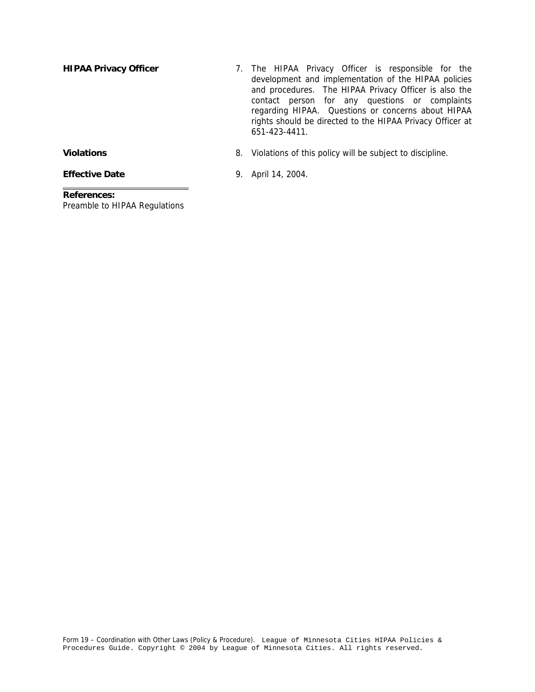**HIPAA Privacy Officer** 7. The HIPAA Privacy Officer is responsible for the development and implementation of the HIPAA policies and procedures. The HIPAA Privacy Officer is also the contact person for any questions or complaints regarding HIPAA. Questions or concerns about HIPAA rights should be directed to the HIPAA Privacy Officer at 651-423-4411.

**Violations Violations 8.** Violations of this policy will be subject to discipline.

**Effective Date** 9. April 14, 2004.

**References:**  Preamble to HIPAA Regulations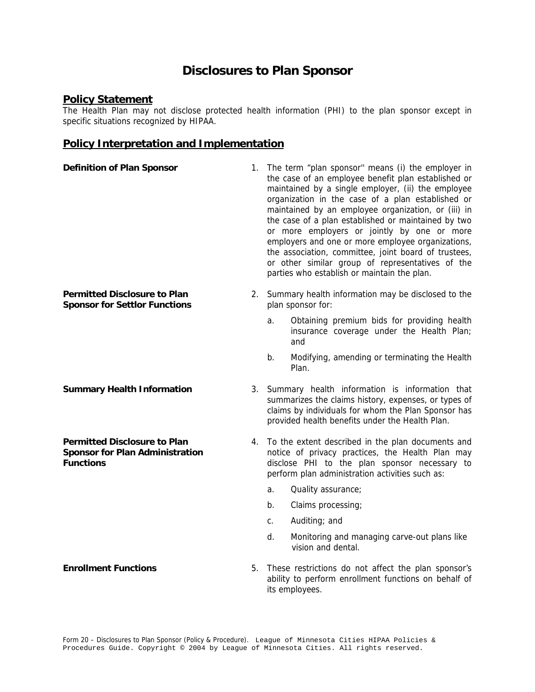# **Disclosures to Plan Sponsor**

## **Policy Statement**

The Health Plan may not disclose protected health information (PHI) to the plan sponsor except in specific situations recognized by HIPAA.

| <b>Definition of Plan Sponsor</b>                                                                 | 1. The term "plan sponsor" means (i) the employer in<br>the case of an employee benefit plan established or<br>maintained by a single employer, (ii) the employee<br>organization in the case of a plan established or<br>maintained by an employee organization, or (iii) in<br>the case of a plan established or maintained by two<br>or more employers or jointly by one or more<br>employers and one or more employee organizations,<br>the association, committee, joint board of trustees,<br>or other similar group of representatives of the<br>parties who establish or maintain the plan. |
|---------------------------------------------------------------------------------------------------|-----------------------------------------------------------------------------------------------------------------------------------------------------------------------------------------------------------------------------------------------------------------------------------------------------------------------------------------------------------------------------------------------------------------------------------------------------------------------------------------------------------------------------------------------------------------------------------------------------|
| <b>Permitted Disclosure to Plan</b><br><b>Sponsor for Settlor Functions</b>                       | 2. Summary health information may be disclosed to the<br>plan sponsor for:                                                                                                                                                                                                                                                                                                                                                                                                                                                                                                                          |
|                                                                                                   | Obtaining premium bids for providing health<br>a.<br>insurance coverage under the Health Plan;<br>and                                                                                                                                                                                                                                                                                                                                                                                                                                                                                               |
|                                                                                                   | Modifying, amending or terminating the Health<br>b.<br>Plan.                                                                                                                                                                                                                                                                                                                                                                                                                                                                                                                                        |
| <b>Summary Health Information</b>                                                                 | 3. Summary health information is information that<br>summarizes the claims history, expenses, or types of<br>claims by individuals for whom the Plan Sponsor has<br>provided health benefits under the Health Plan.                                                                                                                                                                                                                                                                                                                                                                                 |
| <b>Permitted Disclosure to Plan</b><br><b>Sponsor for Plan Administration</b><br><b>Functions</b> | 4. To the extent described in the plan documents and<br>notice of privacy practices, the Health Plan may<br>disclose PHI to the plan sponsor necessary to<br>perform plan administration activities such as:                                                                                                                                                                                                                                                                                                                                                                                        |
|                                                                                                   | Quality assurance;<br>a.                                                                                                                                                                                                                                                                                                                                                                                                                                                                                                                                                                            |
|                                                                                                   | b.<br>Claims processing;                                                                                                                                                                                                                                                                                                                                                                                                                                                                                                                                                                            |
|                                                                                                   | Auditing; and<br>$\mathsf{C}$ .                                                                                                                                                                                                                                                                                                                                                                                                                                                                                                                                                                     |
|                                                                                                   | d.<br>Monitoring and managing carve-out plans like<br>vision and dental.                                                                                                                                                                                                                                                                                                                                                                                                                                                                                                                            |
| <b>Enrollment Functions</b>                                                                       | 5. These restrictions do not affect the plan sponsor's<br>ability to perform enrollment functions on behalf of<br>its employees.                                                                                                                                                                                                                                                                                                                                                                                                                                                                    |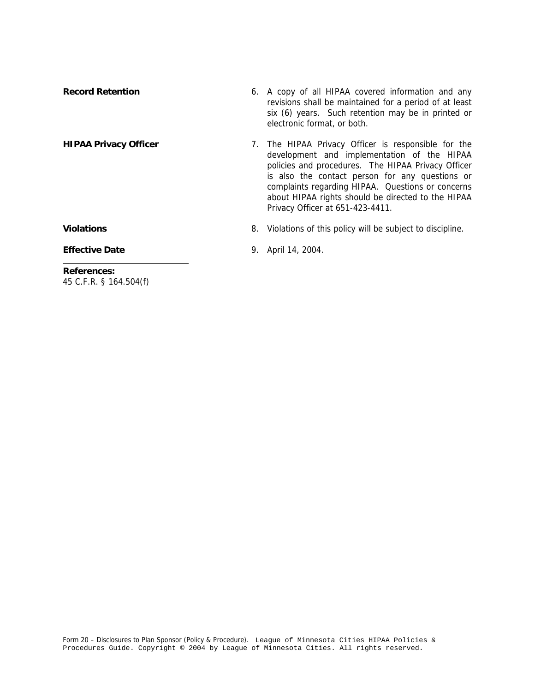| <b>Record Retention</b>      |    | 6. A copy of all HIPAA covered information and any<br>revisions shall be maintained for a period of at least<br>six (6) years. Such retention may be in printed or<br>electronic format, or both.                                                                                                                                                          |
|------------------------------|----|------------------------------------------------------------------------------------------------------------------------------------------------------------------------------------------------------------------------------------------------------------------------------------------------------------------------------------------------------------|
| <b>HIPAA Privacy Officer</b> |    | 7. The HIPAA Privacy Officer is responsible for the<br>development and implementation of the HIPAA<br>policies and procedures. The HIPAA Privacy Officer<br>is also the contact person for any questions or<br>complaints regarding HIPAA. Questions or concerns<br>about HIPAA rights should be directed to the HIPAA<br>Privacy Officer at 651-423-4411. |
| <b>Violations</b>            | 8. | Violations of this policy will be subject to discipline.                                                                                                                                                                                                                                                                                                   |
| <b>Effective Date</b>        | 9. | April 14, 2004.                                                                                                                                                                                                                                                                                                                                            |

**References:**  45 C.F.R. § 164.504(f)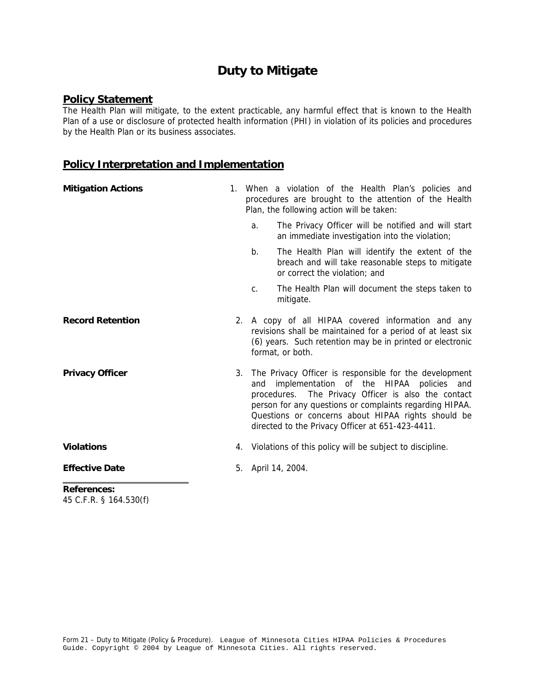# **Duty to Mitigate**

## **Policy Statement**

The Health Plan will mitigate, to the extent practicable, any harmful effect that is known to the Health Plan of a use or disclosure of protected health information (PHI) in violation of its policies and procedures by the Health Plan or its business associates.

# **Policy Interpretation and Implementation**

| <b>Mitigation Actions</b> | 1. When a violation of the Health Plan's policies and<br>procedures are brought to the attention of the Health<br>Plan, the following action will be taken: |                                                                                                                                                                                                                                                                                                                                          |  |  |  |
|---------------------------|-------------------------------------------------------------------------------------------------------------------------------------------------------------|------------------------------------------------------------------------------------------------------------------------------------------------------------------------------------------------------------------------------------------------------------------------------------------------------------------------------------------|--|--|--|
|                           |                                                                                                                                                             | The Privacy Officer will be notified and will start<br>a.<br>an immediate investigation into the violation;                                                                                                                                                                                                                              |  |  |  |
|                           |                                                                                                                                                             | b.<br>The Health Plan will identify the extent of the<br>breach and will take reasonable steps to mitigate<br>or correct the violation; and                                                                                                                                                                                              |  |  |  |
|                           |                                                                                                                                                             | The Health Plan will document the steps taken to<br>C.<br>mitigate.                                                                                                                                                                                                                                                                      |  |  |  |
| <b>Record Retention</b>   |                                                                                                                                                             | 2. A copy of all HIPAA covered information and any<br>revisions shall be maintained for a period of at least six<br>(6) years. Such retention may be in printed or electronic<br>format, or both.                                                                                                                                        |  |  |  |
| <b>Privacy Officer</b>    | 3.                                                                                                                                                          | The Privacy Officer is responsible for the development<br>implementation of the HIPAA policies<br>and<br>and<br>procedures. The Privacy Officer is also the contact<br>person for any questions or complaints regarding HIPAA.<br>Questions or concerns about HIPAA rights should be<br>directed to the Privacy Officer at 651-423-4411. |  |  |  |
| <b>Violations</b>         | 4.                                                                                                                                                          | Violations of this policy will be subject to discipline.                                                                                                                                                                                                                                                                                 |  |  |  |
| <b>Effective Date</b>     |                                                                                                                                                             | 5. April 14, 2004.                                                                                                                                                                                                                                                                                                                       |  |  |  |
| <b>References:</b>        |                                                                                                                                                             |                                                                                                                                                                                                                                                                                                                                          |  |  |  |

45 C.F.R. § 164.530(f)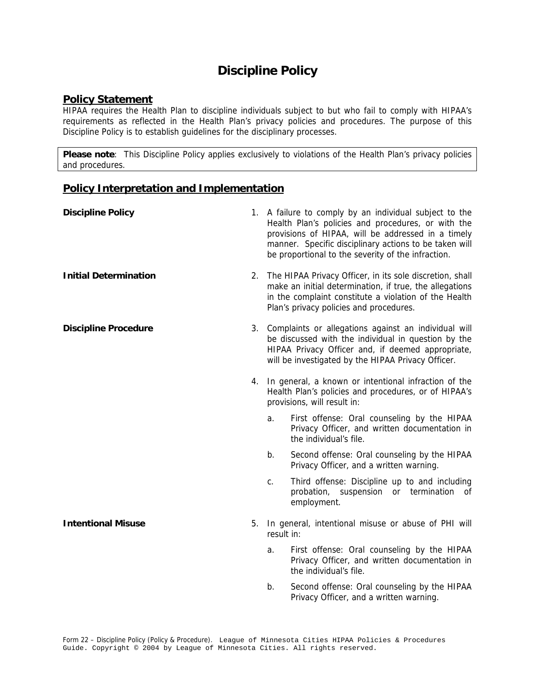# **Discipline Policy**

## **Policy Statement**

HIPAA requires the Health Plan to discipline individuals subject to but who fail to comply with HIPAA's requirements as reflected in the Health Plan's privacy policies and procedures. The purpose of this Discipline Policy is to establish guidelines for the disciplinary processes.

**Please note**: This Discipline Policy applies exclusively to violations of the Health Plan's privacy policies and procedures.

| <b>Discipline Policy</b>     |    |            | 1. A failure to comply by an individual subject to the<br>Health Plan's policies and procedures, or with the<br>provisions of HIPAA, will be addressed in a timely<br>manner. Specific disciplinary actions to be taken will<br>be proportional to the severity of the infraction. |
|------------------------------|----|------------|------------------------------------------------------------------------------------------------------------------------------------------------------------------------------------------------------------------------------------------------------------------------------------|
| <b>Initial Determination</b> | 2. |            | The HIPAA Privacy Officer, in its sole discretion, shall<br>make an initial determination, if true, the allegations<br>in the complaint constitute a violation of the Health<br>Plan's privacy policies and procedures.                                                            |
| <b>Discipline Procedure</b>  |    |            | 3. Complaints or allegations against an individual will<br>be discussed with the individual in question by the<br>HIPAA Privacy Officer and, if deemed appropriate,<br>will be investigated by the HIPAA Privacy Officer.                                                          |
|                              |    |            | 4. In general, a known or intentional infraction of the<br>Health Plan's policies and procedures, or of HIPAA's<br>provisions, will result in:                                                                                                                                     |
|                              |    | a.         | First offense: Oral counseling by the HIPAA<br>Privacy Officer, and written documentation in<br>the individual's file.                                                                                                                                                             |
|                              |    | b.         | Second offense: Oral counseling by the HIPAA<br>Privacy Officer, and a written warning.                                                                                                                                                                                            |
|                              |    | C.         | Third offense: Discipline up to and including<br>suspension or termination<br>probation,<br>of<br>employment.                                                                                                                                                                      |
| <b>Intentional Misuse</b>    |    | result in: | 5. In general, intentional misuse or abuse of PHI will                                                                                                                                                                                                                             |
|                              |    | a.         | First offense: Oral counseling by the HIPAA<br>Privacy Officer, and written documentation in<br>the individual's file.                                                                                                                                                             |
|                              |    | b.         | Second offense: Oral counseling by the HIPAA<br>Privacy Officer, and a written warning.                                                                                                                                                                                            |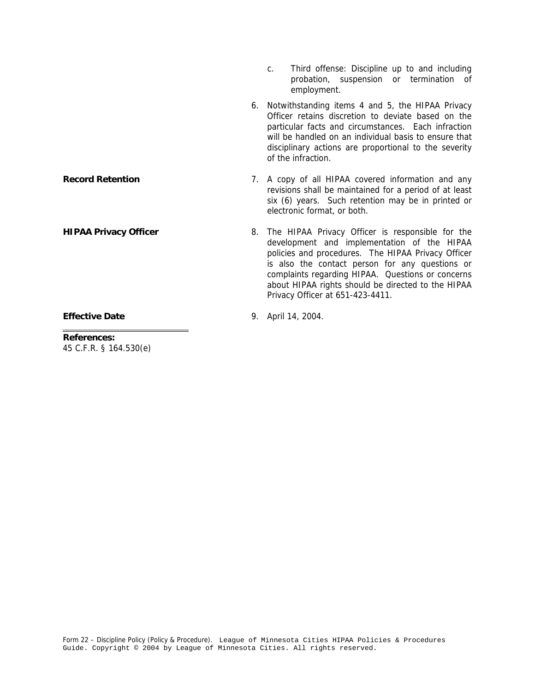|                              | Third offense: Discipline up to and including<br>$C_{1}$<br>probation, suspension or termination of<br>employment.                                                                                                                                                                                                                                         |
|------------------------------|------------------------------------------------------------------------------------------------------------------------------------------------------------------------------------------------------------------------------------------------------------------------------------------------------------------------------------------------------------|
|                              | 6. Notwithstanding items 4 and 5, the HIPAA Privacy<br>Officer retains discretion to deviate based on the<br>particular facts and circumstances. Each infraction<br>will be handled on an individual basis to ensure that<br>disciplinary actions are proportional to the severity<br>of the infraction.                                                   |
| <b>Record Retention</b>      | 7. A copy of all HIPAA covered information and any<br>revisions shall be maintained for a period of at least<br>six (6) years. Such retention may be in printed or<br>electronic format, or both.                                                                                                                                                          |
| <b>HIPAA Privacy Officer</b> | 8. The HIPAA Privacy Officer is responsible for the<br>development and implementation of the HIPAA<br>policies and procedures. The HIPAA Privacy Officer<br>is also the contact person for any questions or<br>complaints regarding HIPAA. Questions or concerns<br>about HIPAA rights should be directed to the HIPAA<br>Privacy Officer at 651-423-4411. |
| <b>Effective Date</b>        | 9. April 14, 2004.                                                                                                                                                                                                                                                                                                                                         |

**References:**  45 C.F.R. § 164.530(e)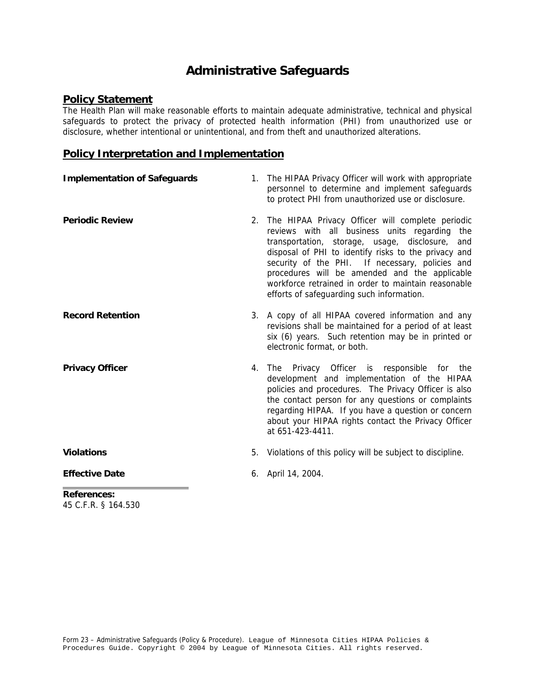# **Administrative Safeguards**

## **Policy Statement**

The Health Plan will make reasonable efforts to maintain adequate administrative, technical and physical safeguards to protect the privacy of protected health information (PHI) from unauthorized use or disclosure, whether intentional or unintentional, and from theft and unauthorized alterations.

## **Policy Interpretation and Implementation**

| <b>Implementation of Safeguards</b> |    | 1. The HIPAA Privacy Officer will work with appropriate<br>personnel to determine and implement safeguards<br>to protect PHI from unauthorized use or disclosure.                                                                                                                                                                                                                                                          |
|-------------------------------------|----|----------------------------------------------------------------------------------------------------------------------------------------------------------------------------------------------------------------------------------------------------------------------------------------------------------------------------------------------------------------------------------------------------------------------------|
| <b>Periodic Review</b>              |    | 2. The HIPAA Privacy Officer will complete periodic<br>reviews with all business units regarding the<br>transportation, storage, usage, disclosure,<br>and<br>disposal of PHI to identify risks to the privacy and<br>security of the PHI. If necessary, policies and<br>procedures will be amended and the applicable<br>workforce retrained in order to maintain reasonable<br>efforts of safeguarding such information. |
| <b>Record Retention</b>             |    | 3. A copy of all HIPAA covered information and any<br>revisions shall be maintained for a period of at least<br>six (6) years. Such retention may be in printed or<br>electronic format, or both.                                                                                                                                                                                                                          |
| <b>Privacy Officer</b>              | 4. | Privacy Officer is responsible for the<br>The<br>development and implementation of the HIPAA<br>policies and procedures. The Privacy Officer is also<br>the contact person for any questions or complaints<br>regarding HIPAA. If you have a question or concern<br>about your HIPAA rights contact the Privacy Officer<br>at 651-423-4411.                                                                                |
| <b>Violations</b>                   |    | 5. Violations of this policy will be subject to discipline.                                                                                                                                                                                                                                                                                                                                                                |
| <b>Effective Date</b>               |    | 6. April 14, 2004.                                                                                                                                                                                                                                                                                                                                                                                                         |
| <b>References:</b>                  |    |                                                                                                                                                                                                                                                                                                                                                                                                                            |

45 C.F.R. § 164.530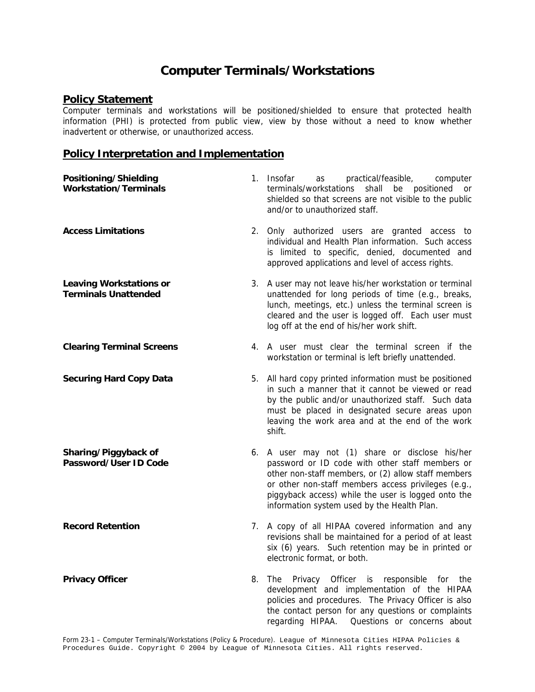# **Computer Terminals/Workstations**

## **Policy Statement**

Computer terminals and workstations will be positioned/shielded to ensure that protected health information (PHI) is protected from public view, view by those without a need to know whether inadvertent or otherwise, or unauthorized access.

| Positioning/Shielding<br><b>Workstation/Terminals</b>         | 1. Insofar<br>practical/feasible,<br>as<br>computer<br>terminals/workstations<br>shall<br>be positioned or<br>shielded so that screens are not visible to the public<br>and/or to unauthorized staff.                                                                                                                  |
|---------------------------------------------------------------|------------------------------------------------------------------------------------------------------------------------------------------------------------------------------------------------------------------------------------------------------------------------------------------------------------------------|
| <b>Access Limitations</b>                                     | 2. Only authorized users are granted access to<br>individual and Health Plan information. Such access<br>is limited to specific, denied, documented and<br>approved applications and level of access rights.                                                                                                           |
| <b>Leaving Workstations or</b><br><b>Terminals Unattended</b> | 3. A user may not leave his/her workstation or terminal<br>unattended for long periods of time (e.g., breaks,<br>lunch, meetings, etc.) unless the terminal screen is<br>cleared and the user is logged off. Each user must<br>log off at the end of his/her work shift.                                               |
| <b>Clearing Terminal Screens</b>                              | 4. A user must clear the terminal screen if the<br>workstation or terminal is left briefly unattended.                                                                                                                                                                                                                 |
| <b>Securing Hard Copy Data</b>                                | 5. All hard copy printed information must be positioned<br>in such a manner that it cannot be viewed or read<br>by the public and/or unauthorized staff. Such data<br>must be placed in designated secure areas upon<br>leaving the work area and at the end of the work<br>shift.                                     |
| Sharing/Piggyback of<br>Password/User ID Code                 | 6. A user may not (1) share or disclose his/her<br>password or ID code with other staff members or<br>other non-staff members, or (2) allow staff members<br>or other non-staff members access privileges (e.g.,<br>piggyback access) while the user is logged onto the<br>information system used by the Health Plan. |
| <b>Record Retention</b>                                       | 7. A copy of all HIPAA covered information and any<br>revisions shall be maintained for a period of at least<br>six (6) years. Such retention may be in printed or<br>electronic format, or both.                                                                                                                      |
| <b>Privacy Officer</b>                                        | 8. The Privacy Officer is responsible for the<br>development and implementation of the HIPAA<br>policies and procedures. The Privacy Officer is also<br>the contact person for any questions or complaints<br>regarding HIPAA.<br>Questions or concerns about                                                          |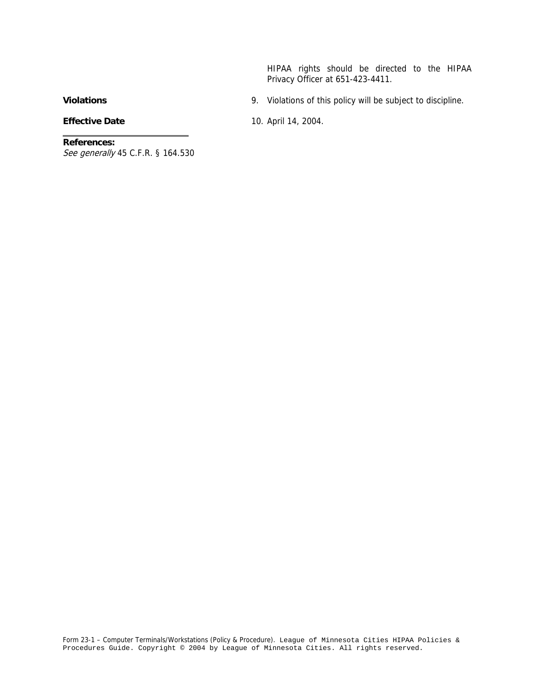HIPAA rights should be directed to the HIPAA Privacy Officer at 651-423-4411.

**References:**  See generally 45 C.F.R. § 164.530

**Violations** 9. Violations of this policy will be subject to discipline.

**Effective Date 10. April 14, 2004.**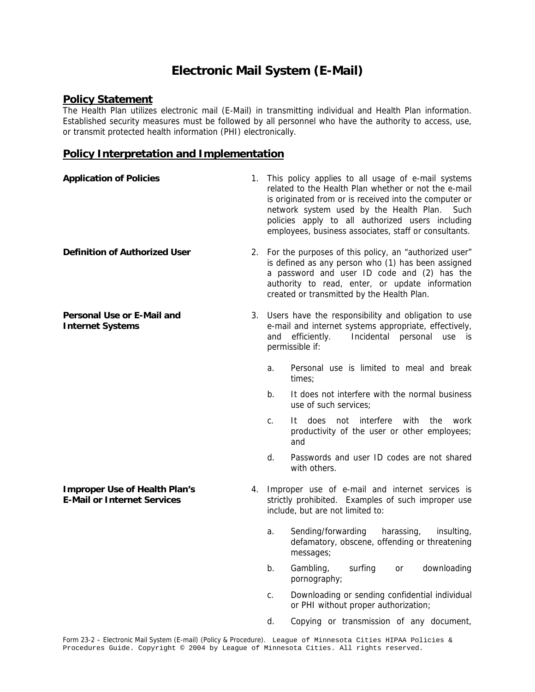# **Electronic Mail System (E-Mail)**

## **Policy Statement**

The Health Plan utilizes electronic mail (E-Mail) in transmitting individual and Health Plan information. Established security measures must be followed by all personnel who have the authority to access, use, or transmit protected health information (PHI) electronically.

| <b>Application of Policies</b>                                             |    | 1. This policy applies to all usage of e-mail systems<br>related to the Health Plan whether or not the e-mail<br>is originated from or is received into the computer or<br>network system used by the Health Plan. Such<br>policies apply to all authorized users including<br>employees, business associates, staff or consultants. |
|----------------------------------------------------------------------------|----|--------------------------------------------------------------------------------------------------------------------------------------------------------------------------------------------------------------------------------------------------------------------------------------------------------------------------------------|
| <b>Definition of Authorized User</b>                                       |    | 2. For the purposes of this policy, an "authorized user"<br>is defined as any person who (1) has been assigned<br>a password and user ID code and (2) has the<br>authority to read, enter, or update information<br>created or transmitted by the Health Plan.                                                                       |
| Personal Use or E-Mail and<br><b>Internet Systems</b>                      |    | 3. Users have the responsibility and obligation to use<br>e-mail and internet systems appropriate, effectively,<br>Incidental personal use is<br>and efficiently.<br>permissible if:                                                                                                                                                 |
|                                                                            |    | Personal use is limited to meal and break<br>a.<br>times;                                                                                                                                                                                                                                                                            |
|                                                                            |    | It does not interfere with the normal business<br>b.<br>use of such services;                                                                                                                                                                                                                                                        |
|                                                                            |    | It does not interfere with<br>C.<br>the<br>work<br>productivity of the user or other employees;<br>and                                                                                                                                                                                                                               |
|                                                                            |    | d.<br>Passwords and user ID codes are not shared<br>with others.                                                                                                                                                                                                                                                                     |
| <b>Improper Use of Health Plan's</b><br><b>E-Mail or Internet Services</b> | 4. | Improper use of e-mail and internet services is<br>strictly prohibited. Examples of such improper use<br>include, but are not limited to:                                                                                                                                                                                            |
|                                                                            |    | Sending/forwarding<br>harassing,<br>insulting,<br>a.<br>defamatory, obscene, offending or threatening<br>messages;                                                                                                                                                                                                                   |
|                                                                            |    | b.<br>surfing<br>downloading<br>Gambling,<br>or<br>pornography;                                                                                                                                                                                                                                                                      |
|                                                                            |    | Downloading or sending confidential individual<br>C.<br>or PHI without proper authorization;                                                                                                                                                                                                                                         |
|                                                                            |    | d.<br>Copying or transmission of any document,                                                                                                                                                                                                                                                                                       |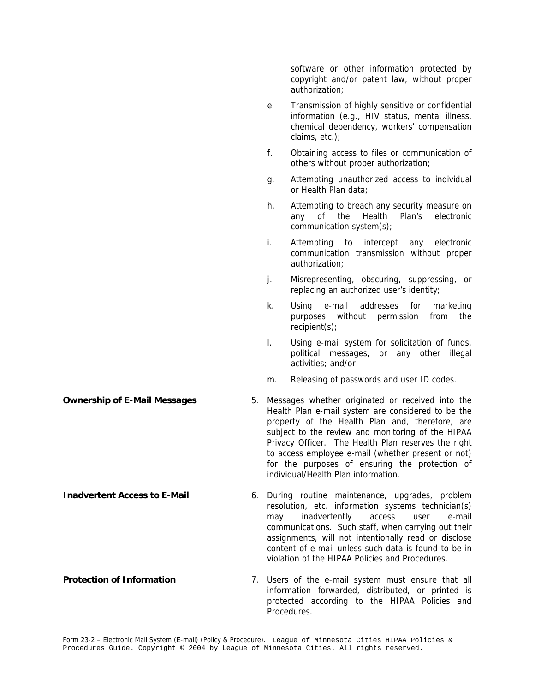software or other information protected by copyright and/or patent law, without proper authorization;

- e. Transmission of highly sensitive or confidential information (e.g., HIV status, mental illness, chemical dependency, workers' compensation claims, etc.);
- f. Obtaining access to files or communication of others without proper authorization;
- g. Attempting unauthorized access to individual or Health Plan data;
- h. Attempting to breach any security measure on any of the Health Plan's electronic communication system(s);
- i. Attempting to intercept any electronic communication transmission without proper authorization;
- j. Misrepresenting, obscuring, suppressing, or replacing an authorized user's identity;
- k. Using e-mail addresses for marketing purposes without permission from the recipient(s);
- l. Using e-mail system for solicitation of funds, political messages, or any other illegal activities; and/or
- m. Releasing of passwords and user ID codes.
- **Ownership of E-Mail Messages** 5. Messages whether originated or received into the Health Plan e-mail system are considered to be the property of the Health Plan and, therefore, are subject to the review and monitoring of the HIPAA Privacy Officer. The Health Plan reserves the right to access employee e-mail (whether present or not) for the purposes of ensuring the protection of individual/Health Plan information.
- **Inadvertent Access to E-Mail 6. During routine maintenance, upgrades, problem** resolution, etc. information systems technician(s) may inadvertently access user e-mail communications. Such staff, when carrying out their assignments, will not intentionally read or disclose content of e-mail unless such data is found to be in violation of the HIPAA Policies and Procedures.
- **Protection of Information 7.** Users of the e-mail system must ensure that all information forwarded, distributed, or printed is protected according to the HIPAA Policies and Procedures.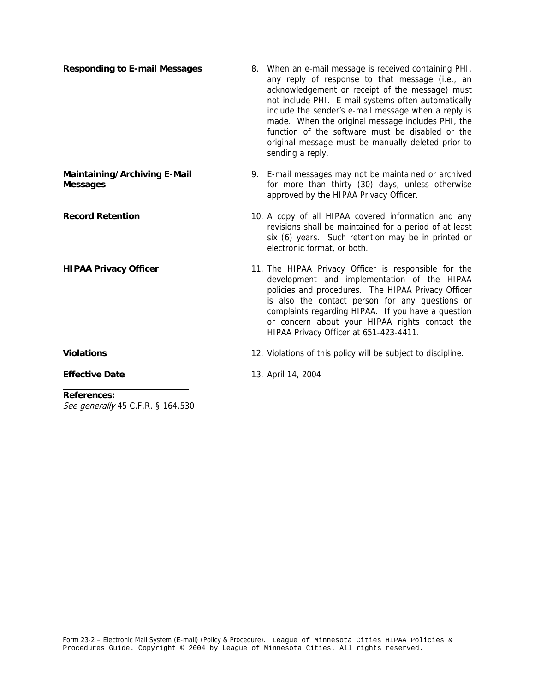| <b>Responding to E-mail Messages</b>            | 8. When an e-mail message is received containing PHI,<br>any reply of response to that message (i.e., an<br>acknowledgement or receipt of the message) must<br>not include PHI. E-mail systems often automatically<br>include the sender's e-mail message when a reply is<br>made. When the original message includes PHI, the<br>function of the software must be disabled or the<br>original message must be manually deleted prior to<br>sending a reply. |
|-------------------------------------------------|--------------------------------------------------------------------------------------------------------------------------------------------------------------------------------------------------------------------------------------------------------------------------------------------------------------------------------------------------------------------------------------------------------------------------------------------------------------|
| Maintaining/Archiving E-Mail<br><b>Messages</b> | 9. E-mail messages may not be maintained or archived<br>for more than thirty (30) days, unless otherwise<br>approved by the HIPAA Privacy Officer.                                                                                                                                                                                                                                                                                                           |
| <b>Record Retention</b>                         | 10. A copy of all HIPAA covered information and any<br>revisions shall be maintained for a period of at least<br>six (6) years. Such retention may be in printed or<br>electronic format, or both.                                                                                                                                                                                                                                                           |
| <b>HIPAA Privacy Officer</b>                    | 11. The HIPAA Privacy Officer is responsible for the<br>development and implementation of the HIPAA<br>policies and procedures. The HIPAA Privacy Officer<br>is also the contact person for any questions or<br>complaints regarding HIPAA. If you have a question<br>or concern about your HIPAA rights contact the<br>HIPAA Privacy Officer at 651-423-4411.                                                                                               |
| <b>Violations</b>                               | 12. Violations of this policy will be subject to discipline.                                                                                                                                                                                                                                                                                                                                                                                                 |
| <b>Effective Date</b>                           | 13. April 14, 2004                                                                                                                                                                                                                                                                                                                                                                                                                                           |
| Doforoncos:                                     |                                                                                                                                                                                                                                                                                                                                                                                                                                                              |

**References:**  See generally 45 C.F.R. § 164.530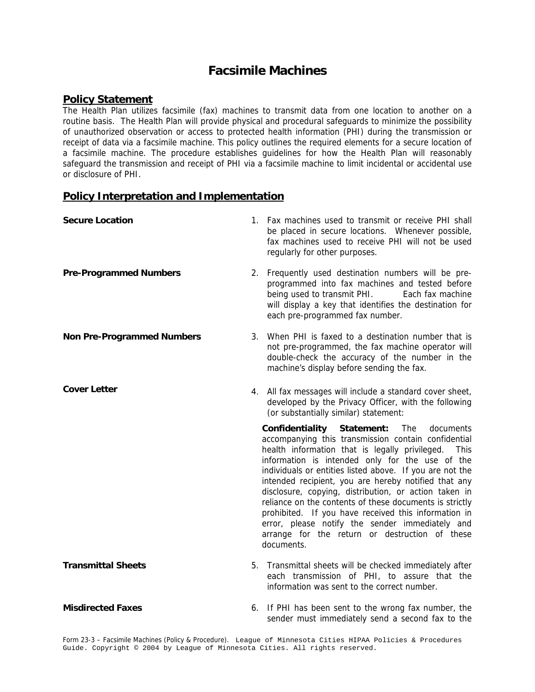# **Facsimile Machines**

#### **Policy Statement**

The Health Plan utilizes facsimile (fax) machines to transmit data from one location to another on a routine basis. The Health Plan will provide physical and procedural safeguards to minimize the possibility of unauthorized observation or access to protected health information (PHI) during the transmission or receipt of data via a facsimile machine. This policy outlines the required elements for a secure location of a facsimile machine. The procedure establishes guidelines for how the Health Plan will reasonably safeguard the transmission and receipt of PHI via a facsimile machine to limit incidental or accidental use or disclosure of PHI.

### **Policy Interpretation and Implementation**

| <b>Secure Location</b>            | 1. Fax machines used to transmit or receive PHI shall<br>be placed in secure locations. Whenever possible,<br>fax machines used to receive PHI will not be used<br>regularly for other purposes.                                                                                                                                                                                                                                                                                                                                                                                                                                             |
|-----------------------------------|----------------------------------------------------------------------------------------------------------------------------------------------------------------------------------------------------------------------------------------------------------------------------------------------------------------------------------------------------------------------------------------------------------------------------------------------------------------------------------------------------------------------------------------------------------------------------------------------------------------------------------------------|
| <b>Pre-Programmed Numbers</b>     | 2. Frequently used destination numbers will be pre-<br>programmed into fax machines and tested before<br>being used to transmit PHI.<br>Each fax machine<br>will display a key that identifies the destination for<br>each pre-programmed fax number.                                                                                                                                                                                                                                                                                                                                                                                        |
| <b>Non Pre-Programmed Numbers</b> | 3. When PHI is faxed to a destination number that is<br>not pre-programmed, the fax machine operator will<br>double-check the accuracy of the number in the<br>machine's display before sending the fax.                                                                                                                                                                                                                                                                                                                                                                                                                                     |
| <b>Cover Letter</b>               | 4. All fax messages will include a standard cover sheet,<br>developed by the Privacy Officer, with the following<br>(or substantially similar) statement:                                                                                                                                                                                                                                                                                                                                                                                                                                                                                    |
|                                   | Confidentiality Statement:<br>The<br>documents<br>accompanying this transmission contain confidential<br>health information that is legally privileged.<br><b>This</b><br>information is intended only for the use of the<br>individuals or entities listed above. If you are not the<br>intended recipient, you are hereby notified that any<br>disclosure, copying, distribution, or action taken in<br>reliance on the contents of these documents is strictly<br>prohibited. If you have received this information in<br>error, please notify the sender immediately and<br>arrange for the return or destruction of these<br>documents. |
| <b>Transmittal Sheets</b>         | 5. Transmittal sheets will be checked immediately after<br>each transmission of PHI, to assure that the                                                                                                                                                                                                                                                                                                                                                                                                                                                                                                                                      |
|                                   | information was sent to the correct number.                                                                                                                                                                                                                                                                                                                                                                                                                                                                                                                                                                                                  |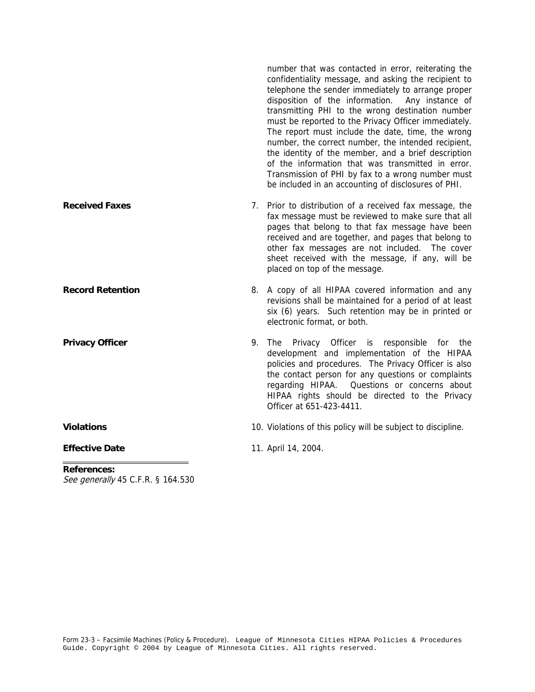|                         | must be reported to the Privacy Officer immediately.<br>The report must include the date, time, the wrong<br>number, the correct number, the intended recipient,<br>the identity of the member, and a brief description<br>of the information that was transmitted in error.<br>Transmission of PHI by fax to a wrong number must<br>be included in an accounting of disclosures of PHI. |
|-------------------------|------------------------------------------------------------------------------------------------------------------------------------------------------------------------------------------------------------------------------------------------------------------------------------------------------------------------------------------------------------------------------------------|
| <b>Received Faxes</b>   | 7. Prior to distribution of a received fax message, the<br>fax message must be reviewed to make sure that all<br>pages that belong to that fax message have been<br>received and are together, and pages that belong to<br>other fax messages are not included. The cover<br>sheet received with the message, if any, will be<br>placed on top of the message.                           |
| <b>Record Retention</b> | 8. A copy of all HIPAA covered information and any<br>revisions shall be maintained for a period of at least<br>six (6) years. Such retention may be in printed or<br>electronic format, or both.                                                                                                                                                                                        |
| <b>Privacy Officer</b>  | 9.<br>Privacy Officer is responsible for<br>The<br>the<br>development and implementation of the HIPAA<br>policies and procedures. The Privacy Officer is also<br>the contact person for any questions or complaints<br>regarding HIPAA. Questions or concerns about<br>HIPAA rights should be directed to the Privacy<br>Officer at 651-423-4411.                                        |
| <b>Violations</b>       | 10. Violations of this policy will be subject to discipline.                                                                                                                                                                                                                                                                                                                             |
| <b>Effective Date</b>   | 11. April 14, 2004.                                                                                                                                                                                                                                                                                                                                                                      |
| <b>References:</b>      |                                                                                                                                                                                                                                                                                                                                                                                          |

number that was contacted in error, reiterating the confidentiality message, and asking the recipient to telephone the sender immediately to arrange proper disposition of the information. Any instance of transmitting PHI to the wrong destination number

See generally 45 C.F.R. § 164.530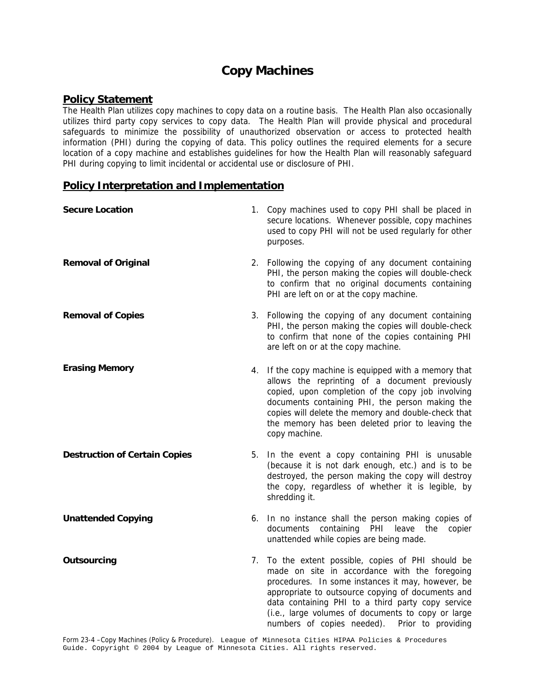# **Copy Machines**

### **Policy Statement**

The Health Plan utilizes copy machines to copy data on a routine basis. The Health Plan also occasionally utilizes third party copy services to copy data. The Health Plan will provide physical and procedural safeguards to minimize the possibility of unauthorized observation or access to protected health information (PHI) during the copying of data. This policy outlines the required elements for a secure location of a copy machine and establishes guidelines for how the Health Plan will reasonably safeguard PHI during copying to limit incidental or accidental use or disclosure of PHI.

### **Policy Interpretation and Implementation**

| <b>Secure Location</b>               | 1. Copy machines used to copy PHI shall be placed in<br>secure locations. Whenever possible, copy machines<br>used to copy PHI will not be used regularly for other<br>purposes.                                                                                                                                                                                             |
|--------------------------------------|------------------------------------------------------------------------------------------------------------------------------------------------------------------------------------------------------------------------------------------------------------------------------------------------------------------------------------------------------------------------------|
| <b>Removal of Original</b>           | 2. Following the copying of any document containing<br>PHI, the person making the copies will double-check<br>to confirm that no original documents containing<br>PHI are left on or at the copy machine.                                                                                                                                                                    |
| <b>Removal of Copies</b>             | 3. Following the copying of any document containing<br>PHI, the person making the copies will double-check<br>to confirm that none of the copies containing PHI<br>are left on or at the copy machine.                                                                                                                                                                       |
| <b>Erasing Memory</b>                | 4. If the copy machine is equipped with a memory that<br>allows the reprinting of a document previously<br>copied, upon completion of the copy job involving<br>documents containing PHI, the person making the<br>copies will delete the memory and double-check that<br>the memory has been deleted prior to leaving the<br>copy machine.                                  |
| <b>Destruction of Certain Copies</b> | 5. In the event a copy containing PHI is unusable<br>(because it is not dark enough, etc.) and is to be<br>destroyed, the person making the copy will destroy<br>the copy, regardless of whether it is legible, by<br>shredding it.                                                                                                                                          |
| <b>Unattended Copying</b>            | 6. In no instance shall the person making copies of<br>documents containing PHI leave the<br>copier<br>unattended while copies are being made.                                                                                                                                                                                                                               |
| Outsourcing                          | 7. To the extent possible, copies of PHI should be<br>made on site in accordance with the foregoing<br>procedures. In some instances it may, however, be<br>appropriate to outsource copying of documents and<br>data containing PHI to a third party copy service<br>(i.e., large volumes of documents to copy or large<br>numbers of copies needed).<br>Prior to providing |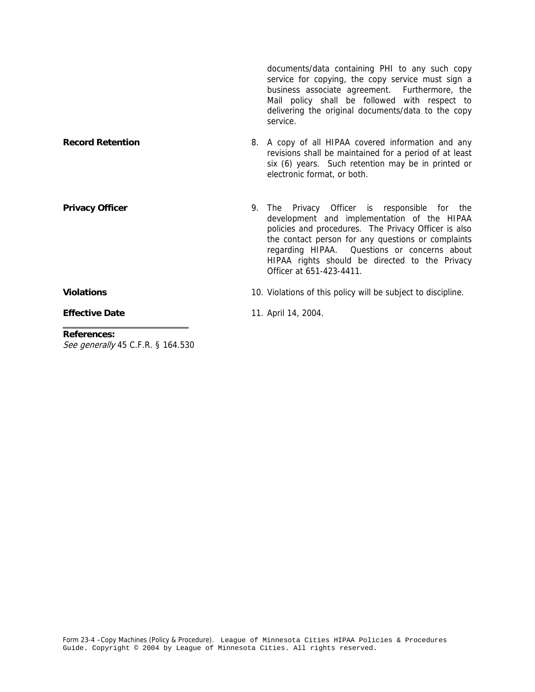| <b>References:</b>      |                                                                                                                                                                                                                                                                                                                                             |
|-------------------------|---------------------------------------------------------------------------------------------------------------------------------------------------------------------------------------------------------------------------------------------------------------------------------------------------------------------------------------------|
| <b>Effective Date</b>   | 11. April 14, 2004.                                                                                                                                                                                                                                                                                                                         |
| <b>Violations</b>       | 10. Violations of this policy will be subject to discipline.                                                                                                                                                                                                                                                                                |
| <b>Privacy Officer</b>  | Privacy Officer is responsible for the<br>9. The<br>development and implementation of the HIPAA<br>policies and procedures. The Privacy Officer is also<br>the contact person for any questions or complaints<br>regarding HIPAA. Questions or concerns about<br>HIPAA rights should be directed to the Privacy<br>Officer at 651-423-4411. |
| <b>Record Retention</b> | 8. A copy of all HIPAA covered information and any<br>revisions shall be maintained for a period of at least<br>six (6) years. Such retention may be in printed or<br>electronic format, or both.                                                                                                                                           |
|                         | documents/data containing PHI to any such copy<br>service for copying, the copy service must sign a<br>business associate agreement. Furthermore, the<br>Mail policy shall be followed with respect to<br>delivering the original documents/data to the copy<br>service.                                                                    |

See generally 45 C.F.R. § 164.530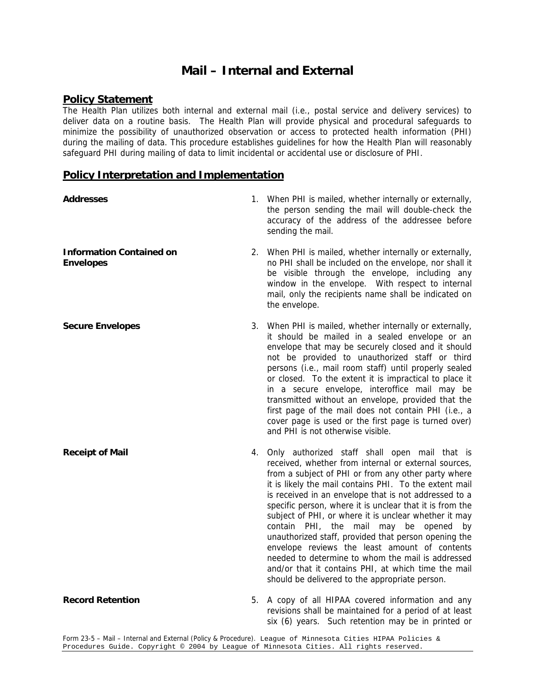# **Mail – Internal and External**

#### **Policy Statement**

The Health Plan utilizes both internal and external mail (i.e., postal service and delivery services) to deliver data on a routine basis. The Health Plan will provide physical and procedural safeguards to minimize the possibility of unauthorized observation or access to protected health information (PHI) during the mailing of data. This procedure establishes guidelines for how the Health Plan will reasonably safeguard PHI during mailing of data to limit incidental or accidental use or disclosure of PHI.

#### **Policy Interpretation and Implementation**

| <b>Addresses</b>                                    | 1. When PHI is mailed, whether internally or externally,<br>the person sending the mail will double-check the<br>accuracy of the address of the addressee before<br>sending the mail.                                                                                                                                                                                                                                                                                                                                                                                                                                                                                                                                       |
|-----------------------------------------------------|-----------------------------------------------------------------------------------------------------------------------------------------------------------------------------------------------------------------------------------------------------------------------------------------------------------------------------------------------------------------------------------------------------------------------------------------------------------------------------------------------------------------------------------------------------------------------------------------------------------------------------------------------------------------------------------------------------------------------------|
| <b>Information Contained on</b><br><b>Envelopes</b> | 2. When PHI is mailed, whether internally or externally,<br>no PHI shall be included on the envelope, nor shall it<br>be visible through the envelope, including any<br>window in the envelope. With respect to internal<br>mail, only the recipients name shall be indicated on<br>the envelope.                                                                                                                                                                                                                                                                                                                                                                                                                           |
| <b>Secure Envelopes</b>                             | 3. When PHI is mailed, whether internally or externally,<br>it should be mailed in a sealed envelope or an<br>envelope that may be securely closed and it should<br>not be provided to unauthorized staff or third<br>persons (i.e., mail room staff) until properly sealed<br>or closed. To the extent it is impractical to place it<br>in a secure envelope, interoffice mail may be<br>transmitted without an envelope, provided that the<br>first page of the mail does not contain PHI (i.e., a<br>cover page is used or the first page is turned over)<br>and PHI is not otherwise visible.                                                                                                                           |
| <b>Receipt of Mail</b>                              | 4. Only authorized staff shall open mail that is<br>received, whether from internal or external sources,<br>from a subject of PHI or from any other party where<br>it is likely the mail contains PHI. To the extent mail<br>is received in an envelope that is not addressed to a<br>specific person, where it is unclear that it is from the<br>subject of PHI, or where it is unclear whether it may<br>contain PHI, the mail may be opened<br>by<br>unauthorized staff, provided that person opening the<br>envelope reviews the least amount of contents<br>needed to determine to whom the mail is addressed<br>and/or that it contains PHI, at which time the mail<br>should be delivered to the appropriate person. |
| <b>Record Retention</b>                             | 5. A copy of all HIPAA covered information and any<br>revisions shall be maintained for a period of at least                                                                                                                                                                                                                                                                                                                                                                                                                                                                                                                                                                                                                |

six (6) years. Such retention may be in printed or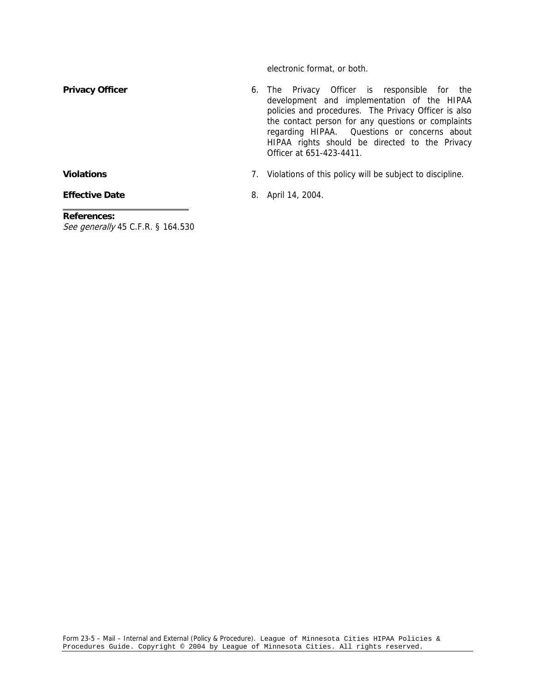electronic format, or both.

**Privacy Officer 19. Interpolation Control of the Privacy Officer is responsible for the** development and implementation of the HIPAA policies and procedures. The Privacy Officer is also the contact person for any questions or complaints regarding HIPAA. Questions or concerns about HIPAA rights should be directed to the Privacy Officer at 651-423-4411.

**Violations** 7. Violations of this policy will be subject to discipline.

**Effective Date 8. April 14, 2004.** 

**References:**  See generally 45 C.F.R. § 164.530